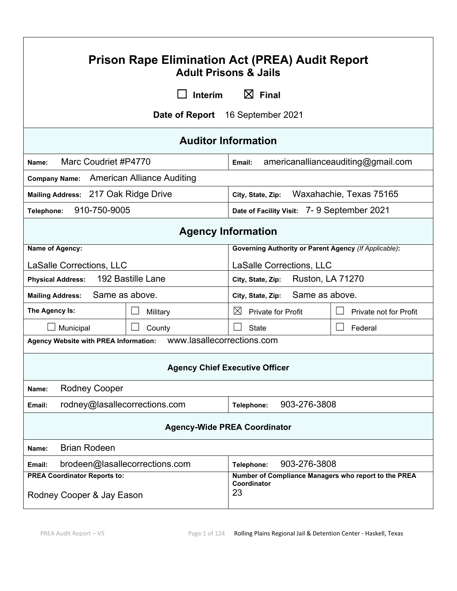| <b>Prison Rape Elimination Act (PREA) Audit Report</b><br><b>Adult Prisons &amp; Jails</b>                                                    |                                                                    |  |  |  |
|-----------------------------------------------------------------------------------------------------------------------------------------------|--------------------------------------------------------------------|--|--|--|
| Interim                                                                                                                                       | $\boxtimes$ Final                                                  |  |  |  |
|                                                                                                                                               | Date of Report 16 September 2021                                   |  |  |  |
|                                                                                                                                               | <b>Auditor Information</b>                                         |  |  |  |
| Marc Coudriet #P4770<br>Name:                                                                                                                 | americanallianceauditing@gmail.com<br>Email:                       |  |  |  |
| Company Name: American Alliance Auditing                                                                                                      |                                                                    |  |  |  |
| Mailing Address: 217 Oak Ridge Drive                                                                                                          | Waxahachie, Texas 75165<br>City, State, Zip:                       |  |  |  |
| 910-750-9005<br>Telephone:                                                                                                                    | Date of Facility Visit: 7-9 September 2021                         |  |  |  |
| <b>Agency Information</b>                                                                                                                     |                                                                    |  |  |  |
| Name of Agency:<br><b>Governing Authority or Parent Agency (If Applicable):</b>                                                               |                                                                    |  |  |  |
| <b>LaSalle Corrections, LLC</b>                                                                                                               | LaSalle Corrections, LLC                                           |  |  |  |
| 192 Bastille Lane<br><b>Ruston, LA 71270</b><br><b>Physical Address:</b><br>City, State, Zip:                                                 |                                                                    |  |  |  |
| Same as above.<br>Same as above.<br><b>Mailing Address:</b><br>City, State, Zip:                                                              |                                                                    |  |  |  |
| The Agency Is:<br>Military                                                                                                                    | $\boxtimes$<br><b>Private for Profit</b><br>Private not for Profit |  |  |  |
| Municipal<br>County                                                                                                                           | <b>State</b><br>Federal                                            |  |  |  |
| <b>Agency Website with PREA Information:</b>                                                                                                  | www.lasallecorrections.com                                         |  |  |  |
| <b>Agency Chief Executive Officer</b>                                                                                                         |                                                                    |  |  |  |
| <b>Rodney Cooper</b><br>Name:                                                                                                                 |                                                                    |  |  |  |
| rodney@lasallecorrections.com<br>903-276-3808<br>Telephone:<br>Email:                                                                         |                                                                    |  |  |  |
| <b>Agency-Wide PREA Coordinator</b>                                                                                                           |                                                                    |  |  |  |
| <b>Brian Rodeen</b><br>Name:                                                                                                                  |                                                                    |  |  |  |
| 903-276-3808<br>brodeen@lasallecorrections.com<br>Email:<br>Telephone:                                                                        |                                                                    |  |  |  |
| <b>PREA Coordinator Reports to:</b><br>Number of Compliance Managers who report to the PREA<br>Coordinator<br>23<br>Rodney Cooper & Jay Eason |                                                                    |  |  |  |

 $\mathbf{r}$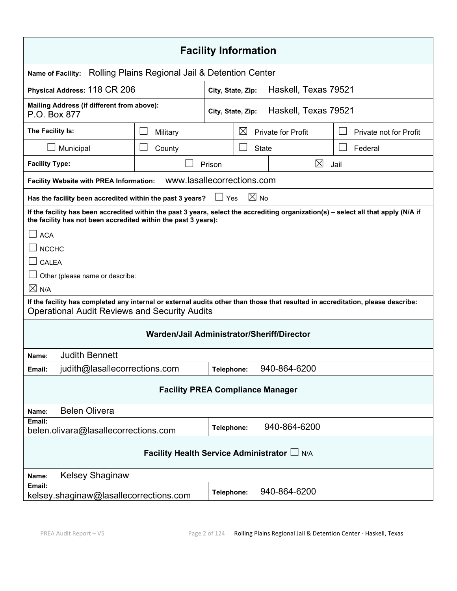| <b>Facility Information</b>                                                                                                                                                                           |                            |                   |                |                      |                        |  |
|-------------------------------------------------------------------------------------------------------------------------------------------------------------------------------------------------------|----------------------------|-------------------|----------------|----------------------|------------------------|--|
| Rolling Plains Regional Jail & Detention Center<br><b>Name of Facility:</b>                                                                                                                           |                            |                   |                |                      |                        |  |
| Physical Address: 118 CR 206                                                                                                                                                                          |                            | City, State, Zip: |                | Haskell, Texas 79521 |                        |  |
| Mailing Address (if different from above):<br>P.O. Box 877                                                                                                                                            |                            | City, State, Zip: |                | Haskell, Texas 79521 |                        |  |
| The Facility Is:                                                                                                                                                                                      | Military                   |                   | $\boxtimes$    | Private for Profit   | Private not for Profit |  |
| Municipal                                                                                                                                                                                             | County                     |                   | <b>State</b>   |                      | Federal                |  |
| <b>Facility Type:</b>                                                                                                                                                                                 |                            | Prison            |                | $\boxtimes$          | Jail                   |  |
| <b>Facility Website with PREA Information:</b>                                                                                                                                                        | www.lasallecorrections.com |                   |                |                      |                        |  |
| Has the facility been accredited within the past 3 years?                                                                                                                                             |                            | Yes               | $\boxtimes$ No |                      |                        |  |
| If the facility has been accredited within the past 3 years, select the accrediting organization(s) - select all that apply (N/A if<br>the facility has not been accredited within the past 3 years): |                            |                   |                |                      |                        |  |
| <b>ACA</b>                                                                                                                                                                                            |                            |                   |                |                      |                        |  |
| <b>NCCHC</b>                                                                                                                                                                                          |                            |                   |                |                      |                        |  |
| <b>CALEA</b>                                                                                                                                                                                          |                            |                   |                |                      |                        |  |
| Other (please name or describe:                                                                                                                                                                       |                            |                   |                |                      |                        |  |
| $\times$ N/A                                                                                                                                                                                          |                            |                   |                |                      |                        |  |
| If the facility has completed any internal or external audits other than those that resulted in accreditation, please describe:<br><b>Operational Audit Reviews and Security Audits</b>               |                            |                   |                |                      |                        |  |
| Warden/Jail Administrator/Sheriff/Director                                                                                                                                                            |                            |                   |                |                      |                        |  |
| <b>Judith Bennett</b><br>Name:                                                                                                                                                                        |                            |                   |                |                      |                        |  |
| judith@lasallecorrections.com<br>Email:                                                                                                                                                               |                            | Telephone:        |                | 940-864-6200         |                        |  |
| <b>Facility PREA Compliance Manager</b>                                                                                                                                                               |                            |                   |                |                      |                        |  |
| <b>Belen Olivera</b><br>Name:                                                                                                                                                                         |                            |                   |                |                      |                        |  |
| Email:<br>belen.olivara@lasallecorrections.com                                                                                                                                                        |                            | Telephone:        |                | 940-864-6200         |                        |  |
| Facility Health Service Administrator L N/A                                                                                                                                                           |                            |                   |                |                      |                        |  |
| <b>Kelsey Shaginaw</b><br>Name:                                                                                                                                                                       |                            |                   |                |                      |                        |  |
| Email:<br>940-864-6200<br>Telephone:<br>kelsey.shaginaw@lasallecorrections.com                                                                                                                        |                            |                   |                |                      |                        |  |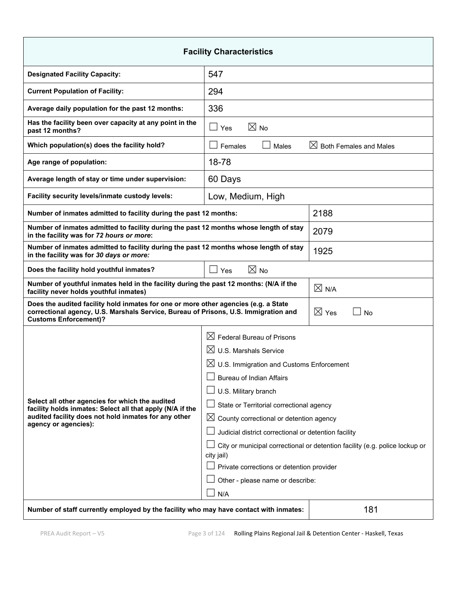| <b>Facility Characteristics</b>                                                                                                                                                                            |                                                                                           |                                                      |  |  |
|------------------------------------------------------------------------------------------------------------------------------------------------------------------------------------------------------------|-------------------------------------------------------------------------------------------|------------------------------------------------------|--|--|
| <b>Designated Facility Capacity:</b>                                                                                                                                                                       | 547                                                                                       |                                                      |  |  |
| <b>Current Population of Facility:</b>                                                                                                                                                                     | 294                                                                                       |                                                      |  |  |
| Average daily population for the past 12 months:                                                                                                                                                           | 336                                                                                       |                                                      |  |  |
| Has the facility been over capacity at any point in the<br>past 12 months?                                                                                                                                 | $\boxtimes$ No<br>$\vert \ \ \vert$<br>Yes                                                |                                                      |  |  |
| Which population(s) does the facility hold?                                                                                                                                                                | Females<br>Males                                                                          | $\boxtimes$ Both Females and Males                   |  |  |
| Age range of population:                                                                                                                                                                                   | 18-78                                                                                     |                                                      |  |  |
| Average length of stay or time under supervision:                                                                                                                                                          | 60 Days                                                                                   |                                                      |  |  |
| Facility security levels/inmate custody levels:                                                                                                                                                            | Low, Medium, High                                                                         |                                                      |  |  |
| Number of inmates admitted to facility during the past 12 months:                                                                                                                                          |                                                                                           | 2188                                                 |  |  |
| Number of inmates admitted to facility during the past 12 months whose length of stay<br>in the facility was for 72 hours or more:                                                                         |                                                                                           | 2079                                                 |  |  |
| Number of inmates admitted to facility during the past 12 months whose length of stay<br>in the facility was for 30 days or more:                                                                          |                                                                                           | 1925                                                 |  |  |
| $\boxtimes$ No<br>Does the facility hold youthful inmates?<br>$\Box$<br>Yes                                                                                                                                |                                                                                           |                                                      |  |  |
| Number of youthful inmates held in the facility during the past 12 months: (N/A if the<br>facility never holds youthful inmates)                                                                           |                                                                                           | $\boxtimes$ N/A                                      |  |  |
| Does the audited facility hold inmates for one or more other agencies (e.g. a State<br>correctional agency, U.S. Marshals Service, Bureau of Prisons, U.S. Immigration and<br><b>Customs Enforcement)?</b> |                                                                                           | $\boxtimes$ Yes<br><b>No</b>                         |  |  |
|                                                                                                                                                                                                            | $\boxtimes$ Federal Bureau of Prisons                                                     |                                                      |  |  |
|                                                                                                                                                                                                            | $\boxtimes$ U.S. Marshals Service                                                         |                                                      |  |  |
|                                                                                                                                                                                                            |                                                                                           | $\boxtimes$ U.S. Immigration and Customs Enforcement |  |  |
|                                                                                                                                                                                                            | <b>Bureau of Indian Affairs</b>                                                           |                                                      |  |  |
| Select all other agencies for which the audited                                                                                                                                                            | U.S. Military branch                                                                      |                                                      |  |  |
| facility holds inmates: Select all that apply (N/A if the                                                                                                                                                  | State or Territorial correctional agency                                                  |                                                      |  |  |
| audited facility does not hold inmates for any other<br>agency or agencies):                                                                                                                               | $\boxtimes$ County correctional or detention agency                                       |                                                      |  |  |
|                                                                                                                                                                                                            | Judicial district correctional or detention facility                                      |                                                      |  |  |
|                                                                                                                                                                                                            | City or municipal correctional or detention facility (e.g. police lockup or<br>city jail) |                                                      |  |  |
|                                                                                                                                                                                                            | Private corrections or detention provider                                                 |                                                      |  |  |
|                                                                                                                                                                                                            | Other - please name or describe:                                                          |                                                      |  |  |
|                                                                                                                                                                                                            | N/A                                                                                       |                                                      |  |  |
| Number of staff currently employed by the facility who may have contact with inmates:                                                                                                                      |                                                                                           | 181                                                  |  |  |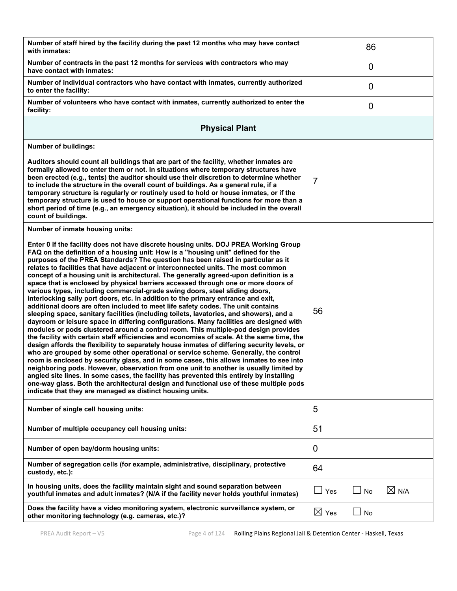| Number of staff hired by the facility during the past 12 months who may have contact<br>with inmates:                                                                                                                                                                                                                                                                                                                                                                                                                                                                                                                                                                                                                                                                                                                                                                                                                                                                                                                                                                                                                                                                                                                                                                                                                                                                                                                                                                                                                                                                                                                                                                                                                                                                                         |                 | 86             |                 |
|-----------------------------------------------------------------------------------------------------------------------------------------------------------------------------------------------------------------------------------------------------------------------------------------------------------------------------------------------------------------------------------------------------------------------------------------------------------------------------------------------------------------------------------------------------------------------------------------------------------------------------------------------------------------------------------------------------------------------------------------------------------------------------------------------------------------------------------------------------------------------------------------------------------------------------------------------------------------------------------------------------------------------------------------------------------------------------------------------------------------------------------------------------------------------------------------------------------------------------------------------------------------------------------------------------------------------------------------------------------------------------------------------------------------------------------------------------------------------------------------------------------------------------------------------------------------------------------------------------------------------------------------------------------------------------------------------------------------------------------------------------------------------------------------------|-----------------|----------------|-----------------|
| Number of contracts in the past 12 months for services with contractors who may<br>have contact with inmates:                                                                                                                                                                                                                                                                                                                                                                                                                                                                                                                                                                                                                                                                                                                                                                                                                                                                                                                                                                                                                                                                                                                                                                                                                                                                                                                                                                                                                                                                                                                                                                                                                                                                                 |                 | $\overline{0}$ |                 |
| Number of individual contractors who have contact with inmates, currently authorized<br>to enter the facility:                                                                                                                                                                                                                                                                                                                                                                                                                                                                                                                                                                                                                                                                                                                                                                                                                                                                                                                                                                                                                                                                                                                                                                                                                                                                                                                                                                                                                                                                                                                                                                                                                                                                                |                 | 0              |                 |
| Number of volunteers who have contact with inmates, currently authorized to enter the<br>facility:                                                                                                                                                                                                                                                                                                                                                                                                                                                                                                                                                                                                                                                                                                                                                                                                                                                                                                                                                                                                                                                                                                                                                                                                                                                                                                                                                                                                                                                                                                                                                                                                                                                                                            |                 | 0              |                 |
| <b>Physical Plant</b>                                                                                                                                                                                                                                                                                                                                                                                                                                                                                                                                                                                                                                                                                                                                                                                                                                                                                                                                                                                                                                                                                                                                                                                                                                                                                                                                                                                                                                                                                                                                                                                                                                                                                                                                                                         |                 |                |                 |
| <b>Number of buildings:</b>                                                                                                                                                                                                                                                                                                                                                                                                                                                                                                                                                                                                                                                                                                                                                                                                                                                                                                                                                                                                                                                                                                                                                                                                                                                                                                                                                                                                                                                                                                                                                                                                                                                                                                                                                                   |                 |                |                 |
| Auditors should count all buildings that are part of the facility, whether inmates are<br>formally allowed to enter them or not. In situations where temporary structures have<br>been erected (e.g., tents) the auditor should use their discretion to determine whether<br>to include the structure in the overall count of buildings. As a general rule, if a<br>temporary structure is regularly or routinely used to hold or house inmates, or if the<br>temporary structure is used to house or support operational functions for more than a<br>short period of time (e.g., an emergency situation), it should be included in the overall<br>count of buildings.                                                                                                                                                                                                                                                                                                                                                                                                                                                                                                                                                                                                                                                                                                                                                                                                                                                                                                                                                                                                                                                                                                                       | $\overline{7}$  |                |                 |
| Number of inmate housing units:                                                                                                                                                                                                                                                                                                                                                                                                                                                                                                                                                                                                                                                                                                                                                                                                                                                                                                                                                                                                                                                                                                                                                                                                                                                                                                                                                                                                                                                                                                                                                                                                                                                                                                                                                               |                 |                |                 |
| Enter 0 if the facility does not have discrete housing units. DOJ PREA Working Group<br>FAQ on the definition of a housing unit: How is a "housing unit" defined for the<br>purposes of the PREA Standards? The question has been raised in particular as it<br>relates to facilities that have adjacent or interconnected units. The most common<br>concept of a housing unit is architectural. The generally agreed-upon definition is a<br>space that is enclosed by physical barriers accessed through one or more doors of<br>various types, including commercial-grade swing doors, steel sliding doors,<br>interlocking sally port doors, etc. In addition to the primary entrance and exit,<br>additional doors are often included to meet life safety codes. The unit contains<br>sleeping space, sanitary facilities (including toilets, lavatories, and showers), and a<br>dayroom or leisure space in differing configurations. Many facilities are designed with<br>modules or pods clustered around a control room. This multiple-pod design provides<br>the facility with certain staff efficiencies and economies of scale. At the same time, the<br>design affords the flexibility to separately house inmates of differing security levels, or<br>who are grouped by some other operational or service scheme. Generally, the control<br>room is enclosed by security glass, and in some cases, this allows inmates to see into<br>neighboring pods. However, observation from one unit to another is usually limited by<br>angled site lines. In some cases, the facility has prevented this entirely by installing<br>one-way glass. Both the architectural design and functional use of these multiple pods<br>indicate that they are managed as distinct housing units. | 56              |                |                 |
| Number of single cell housing units:                                                                                                                                                                                                                                                                                                                                                                                                                                                                                                                                                                                                                                                                                                                                                                                                                                                                                                                                                                                                                                                                                                                                                                                                                                                                                                                                                                                                                                                                                                                                                                                                                                                                                                                                                          | 5               |                |                 |
| Number of multiple occupancy cell housing units:                                                                                                                                                                                                                                                                                                                                                                                                                                                                                                                                                                                                                                                                                                                                                                                                                                                                                                                                                                                                                                                                                                                                                                                                                                                                                                                                                                                                                                                                                                                                                                                                                                                                                                                                              | 51              |                |                 |
| Number of open bay/dorm housing units:                                                                                                                                                                                                                                                                                                                                                                                                                                                                                                                                                                                                                                                                                                                                                                                                                                                                                                                                                                                                                                                                                                                                                                                                                                                                                                                                                                                                                                                                                                                                                                                                                                                                                                                                                        | 0               |                |                 |
| Number of segregation cells (for example, administrative, disciplinary, protective<br>custody, etc.):                                                                                                                                                                                                                                                                                                                                                                                                                                                                                                                                                                                                                                                                                                                                                                                                                                                                                                                                                                                                                                                                                                                                                                                                                                                                                                                                                                                                                                                                                                                                                                                                                                                                                         | 64              |                |                 |
| In housing units, does the facility maintain sight and sound separation between<br>youthful inmates and adult inmates? (N/A if the facility never holds youthful inmates)                                                                                                                                                                                                                                                                                                                                                                                                                                                                                                                                                                                                                                                                                                                                                                                                                                                                                                                                                                                                                                                                                                                                                                                                                                                                                                                                                                                                                                                                                                                                                                                                                     | Yes             | No             | $\boxtimes$ N/A |
| Does the facility have a video monitoring system, electronic surveillance system, or<br>other monitoring technology (e.g. cameras, etc.)?                                                                                                                                                                                                                                                                                                                                                                                                                                                                                                                                                                                                                                                                                                                                                                                                                                                                                                                                                                                                                                                                                                                                                                                                                                                                                                                                                                                                                                                                                                                                                                                                                                                     | $\boxtimes$ Yes | No             |                 |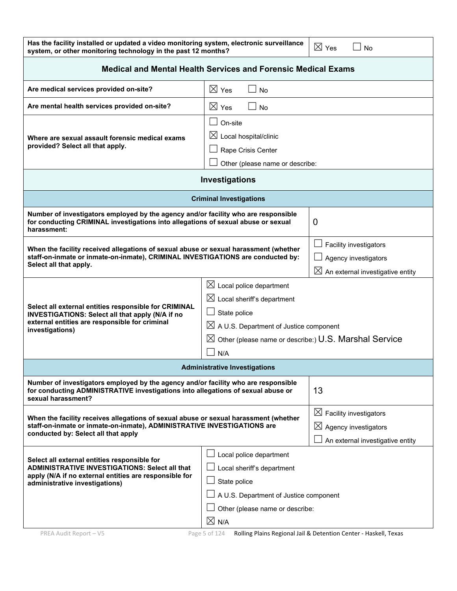| Has the facility installed or updated a video monitoring system, electronic surveillance<br>system, or other monitoring technology in the past 12 months?                                                                                                                                                                                               |                                                                                                                                                                                                                                 | $\boxtimes$ Yes<br>No                                                                                         |  |  |
|---------------------------------------------------------------------------------------------------------------------------------------------------------------------------------------------------------------------------------------------------------------------------------------------------------------------------------------------------------|---------------------------------------------------------------------------------------------------------------------------------------------------------------------------------------------------------------------------------|---------------------------------------------------------------------------------------------------------------|--|--|
| <b>Medical and Mental Health Services and Forensic Medical Exams</b>                                                                                                                                                                                                                                                                                    |                                                                                                                                                                                                                                 |                                                                                                               |  |  |
| Are medical services provided on-site?                                                                                                                                                                                                                                                                                                                  | $\boxtimes$ Yes<br>No                                                                                                                                                                                                           |                                                                                                               |  |  |
| Are mental health services provided on-site?                                                                                                                                                                                                                                                                                                            | $\boxtimes$ Yes<br>No                                                                                                                                                                                                           |                                                                                                               |  |  |
| Where are sexual assault forensic medical exams<br>provided? Select all that apply.                                                                                                                                                                                                                                                                     | $\Box$<br>On-site<br>$\boxtimes$ Local hospital/clinic<br>Rape Crisis Center<br>Other (please name or describe:                                                                                                                 |                                                                                                               |  |  |
|                                                                                                                                                                                                                                                                                                                                                         | Investigations                                                                                                                                                                                                                  |                                                                                                               |  |  |
|                                                                                                                                                                                                                                                                                                                                                         | <b>Criminal Investigations</b>                                                                                                                                                                                                  |                                                                                                               |  |  |
| Number of investigators employed by the agency and/or facility who are responsible<br>for conducting CRIMINAL investigations into allegations of sexual abuse or sexual<br>harassment:                                                                                                                                                                  |                                                                                                                                                                                                                                 | 0                                                                                                             |  |  |
| When the facility received allegations of sexual abuse or sexual harassment (whether<br>staff-on-inmate or inmate-on-inmate), CRIMINAL INVESTIGATIONS are conducted by:<br>Select all that apply.                                                                                                                                                       |                                                                                                                                                                                                                                 | Facility investigators<br>Agency investigators<br>$\boxtimes$ An external investigative entity                |  |  |
| Select all external entities responsible for CRIMINAL<br>INVESTIGATIONS: Select all that apply (N/A if no<br>external entities are responsible for criminal<br>investigations)                                                                                                                                                                          | $\boxtimes$ Local police department<br>$\boxtimes$ Local sheriff's department<br>State police<br>$\boxtimes$ A U.S. Department of Justice component<br>$\boxtimes$ Other (please name or describe:) U.S. Marshal Service<br>N/A |                                                                                                               |  |  |
| <b>Administrative Investigations</b>                                                                                                                                                                                                                                                                                                                    |                                                                                                                                                                                                                                 |                                                                                                               |  |  |
| Number of investigators employed by the agency and/or facility who are responsible<br>13<br>for conducting ADMINISTRATIVE investigations into allegations of sexual abuse or<br>sexual harassment?                                                                                                                                                      |                                                                                                                                                                                                                                 |                                                                                                               |  |  |
| When the facility receives allegations of sexual abuse or sexual harassment (whether<br>staff-on-inmate or inmate-on-inmate), ADMINISTRATIVE INVESTIGATIONS are<br>conducted by: Select all that apply                                                                                                                                                  |                                                                                                                                                                                                                                 | $\boxtimes$ Facility investigators<br>$\boxtimes$<br>Agency investigators<br>An external investigative entity |  |  |
| Local police department<br>Select all external entities responsible for<br><b>ADMINISTRATIVE INVESTIGATIONS: Select all that</b><br>Local sheriff's department<br>apply (N/A if no external entities are responsible for<br>State police<br>administrative investigations)<br>A U.S. Department of Justice component<br>Other (please name or describe: |                                                                                                                                                                                                                                 |                                                                                                               |  |  |
|                                                                                                                                                                                                                                                                                                                                                         | $\boxtimes$ N/A                                                                                                                                                                                                                 |                                                                                                               |  |  |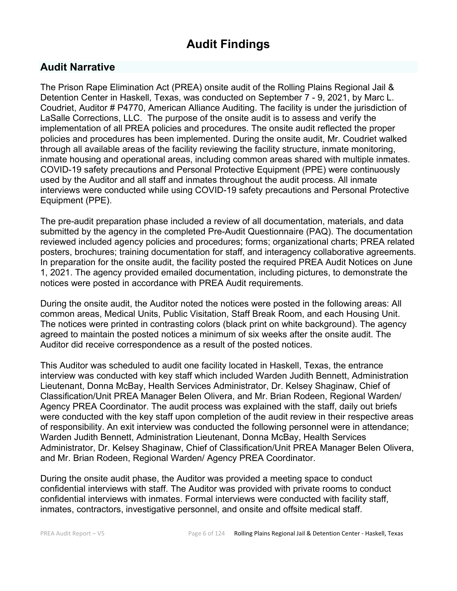# **Audit Findings**

# **Audit Narrative**

The Prison Rape Elimination Act (PREA) onsite audit of the Rolling Plains Regional Jail & Detention Center in Haskell, Texas, was conducted on September 7 - 9, 2021, by Marc L. Coudriet, Auditor # P4770, American Alliance Auditing. The facility is under the jurisdiction of LaSalle Corrections, LLC. The purpose of the onsite audit is to assess and verify the implementation of all PREA policies and procedures. The onsite audit reflected the proper policies and procedures has been implemented. During the onsite audit, Mr. Coudriet walked through all available areas of the facility reviewing the facility structure, inmate monitoring, inmate housing and operational areas, including common areas shared with multiple inmates. COVID-19 safety precautions and Personal Protective Equipment (PPE) were continuously used by the Auditor and all staff and inmates throughout the audit process. All inmate interviews were conducted while using COVID-19 safety precautions and Personal Protective Equipment (PPE).

The pre-audit preparation phase included a review of all documentation, materials, and data submitted by the agency in the completed Pre-Audit Questionnaire (PAQ). The documentation reviewed included agency policies and procedures; forms; organizational charts; PREA related posters, brochures; training documentation for staff, and interagency collaborative agreements. In preparation for the onsite audit, the facility posted the required PREA Audit Notices on June 1, 2021. The agency provided emailed documentation, including pictures, to demonstrate the notices were posted in accordance with PREA Audit requirements.

During the onsite audit, the Auditor noted the notices were posted in the following areas: All common areas, Medical Units, Public Visitation, Staff Break Room, and each Housing Unit. The notices were printed in contrasting colors (black print on white background). The agency agreed to maintain the posted notices a minimum of six weeks after the onsite audit. The Auditor did receive correspondence as a result of the posted notices.

This Auditor was scheduled to audit one facility located in Haskell, Texas, the entrance interview was conducted with key staff which included Warden Judith Bennett, Administration Lieutenant, Donna McBay, Health Services Administrator, Dr. Kelsey Shaginaw, Chief of Classification/Unit PREA Manager Belen Olivera, and Mr. Brian Rodeen, Regional Warden/ Agency PREA Coordinator. The audit process was explained with the staff, daily out briefs were conducted with the key staff upon completion of the audit review in their respective areas of responsibility. An exit interview was conducted the following personnel were in attendance; Warden Judith Bennett, Administration Lieutenant, Donna McBay, Health Services Administrator, Dr. Kelsey Shaginaw, Chief of Classification/Unit PREA Manager Belen Olivera, and Mr. Brian Rodeen, Regional Warden/ Agency PREA Coordinator.

During the onsite audit phase, the Auditor was provided a meeting space to conduct confidential interviews with staff. The Auditor was provided with private rooms to conduct confidential interviews with inmates. Formal interviews were conducted with facility staff, inmates, contractors, investigative personnel, and onsite and offsite medical staff.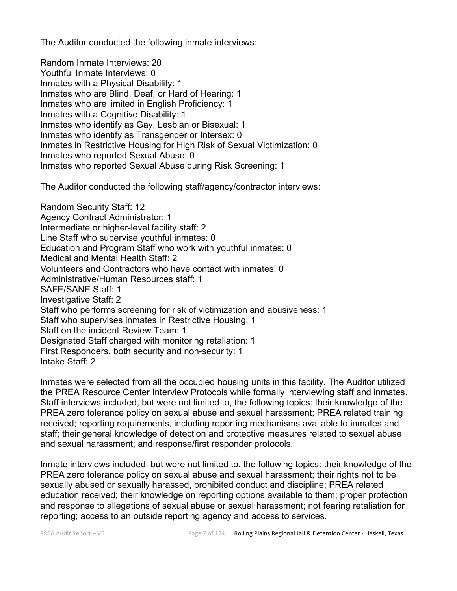The Auditor conducted the following inmate interviews:

Random Inmate Interviews: 20 Youthful Inmate Interviews: 0 Inmates with a Physical Disability: 1 Inmates who are Blind, Deaf, or Hard of Hearing: 1 Inmates who are limited in English Proficiency: 1 Inmates with a Cognitive Disability: 1 Inmates who identify as Gay, Lesbian or Bisexual: 1 Inmates who identify as Transgender or Intersex: 0 Inmates in Restrictive Housing for High Risk of Sexual Victimization: 0 Inmates who reported Sexual Abuse: 0 Inmates who reported Sexual Abuse during Risk Screening: 1

The Auditor conducted the following staff/agency/contractor interviews:

Random Security Staff: 12 Agency Contract Administrator: 1 Intermediate or higher-level facility staff: 2 Line Staff who supervise youthful inmates: 0 Education and Program Staff who work with youthful inmates: 0 Medical and Mental Health Staff: 2 Volunteers and Contractors who have contact with inmates: 0 Administrative/Human Resources staff: 1 SAFE/SANE Staff: 1 Investigative Staff: 2 Staff who performs screening for risk of victimization and abusiveness: 1 Staff who supervises inmates in Restrictive Housing: 1 Staff on the incident Review Team: 1 Designated Staff charged with monitoring retaliation: 1 First Responders, both security and non-security: 1 Intake Staff: 2

Inmates were selected from all the occupied housing units in this facility. The Auditor utilized the PREA Resource Center Interview Protocols while formally interviewing staff and inmates. Staff interviews included, but were not limited to, the following topics: their knowledge of the PREA zero tolerance policy on sexual abuse and sexual harassment; PREA related training received; reporting requirements, including reporting mechanisms available to inmates and staff; their general knowledge of detection and protective measures related to sexual abuse and sexual harassment; and response/first responder protocols.

Inmate interviews included, but were not limited to, the following topics: their knowledge of the PREA zero tolerance policy on sexual abuse and sexual harassment; their rights not to be sexually abused or sexually harassed, prohibited conduct and discipline; PREA related education received; their knowledge on reporting options available to them; proper protection and response to allegations of sexual abuse or sexual harassment; not fearing retaliation for reporting; access to an outside reporting agency and access to services.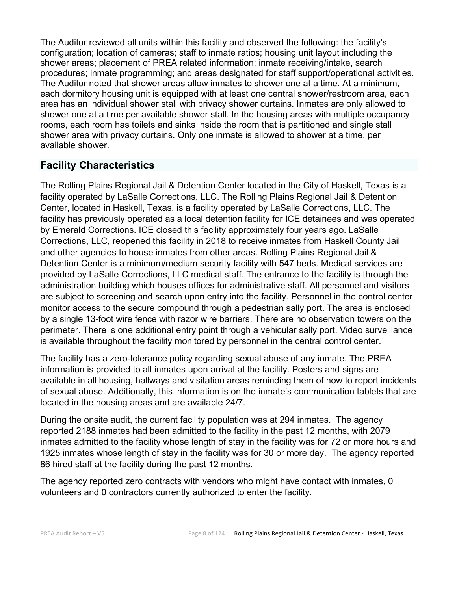The Auditor reviewed all units within this facility and observed the following: the facility's configuration; location of cameras; staff to inmate ratios; housing unit layout including the shower areas; placement of PREA related information; inmate receiving/intake, search procedures; inmate programming; and areas designated for staff support/operational activities. The Auditor noted that shower areas allow inmates to shower one at a time. At a minimum, each dormitory housing unit is equipped with at least one central shower/restroom area, each area has an individual shower stall with privacy shower curtains. Inmates are only allowed to shower one at a time per available shower stall. In the housing areas with multiple occupancy rooms, each room has toilets and sinks inside the room that is partitioned and single stall shower area with privacy curtains. Only one inmate is allowed to shower at a time, per available shower.

# **Facility Characteristics**

The Rolling Plains Regional Jail & Detention Center located in the City of Haskell, Texas is a facility operated by LaSalle Corrections, LLC. The Rolling Plains Regional Jail & Detention Center, located in Haskell, Texas, is a facility operated by LaSalle Corrections, LLC. The facility has previously operated as a local detention facility for ICE detainees and was operated by Emerald Corrections. ICE closed this facility approximately four years ago. LaSalle Corrections, LLC, reopened this facility in 2018 to receive inmates from Haskell County Jail and other agencies to house inmates from other areas. Rolling Plains Regional Jail & Detention Center is a minimum/medium security facility with 547 beds. Medical services are provided by LaSalle Corrections, LLC medical staff. The entrance to the facility is through the administration building which houses offices for administrative staff. All personnel and visitors are subject to screening and search upon entry into the facility. Personnel in the control center monitor access to the secure compound through a pedestrian sally port. The area is enclosed by a single 13-foot wire fence with razor wire barriers. There are no observation towers on the perimeter. There is one additional entry point through a vehicular sally port. Video surveillance is available throughout the facility monitored by personnel in the central control center.

The facility has a zero-tolerance policy regarding sexual abuse of any inmate. The PREA information is provided to all inmates upon arrival at the facility. Posters and signs are available in all housing, hallways and visitation areas reminding them of how to report incidents of sexual abuse. Additionally, this information is on the inmate's communication tablets that are located in the housing areas and are available 24/7.

During the onsite audit, the current facility population was at 294 inmates. The agency reported 2188 inmates had been admitted to the facility in the past 12 months, with 2079 inmates admitted to the facility whose length of stay in the facility was for 72 or more hours and 1925 inmates whose length of stay in the facility was for 30 or more day. The agency reported 86 hired staff at the facility during the past 12 months.

The agency reported zero contracts with vendors who might have contact with inmates, 0 volunteers and 0 contractors currently authorized to enter the facility.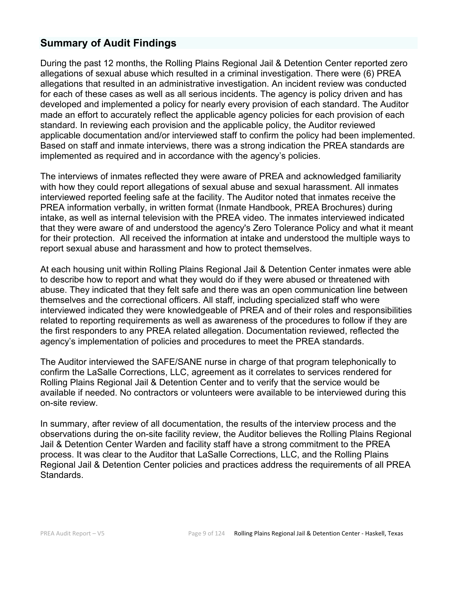# **Summary of Audit Findings**

During the past 12 months, the Rolling Plains Regional Jail & Detention Center reported zero allegations of sexual abuse which resulted in a criminal investigation. There were (6) PREA allegations that resulted in an administrative investigation. An incident review was conducted for each of these cases as well as all serious incidents. The agency is policy driven and has developed and implemented a policy for nearly every provision of each standard. The Auditor made an effort to accurately reflect the applicable agency policies for each provision of each standard. In reviewing each provision and the applicable policy, the Auditor reviewed applicable documentation and/or interviewed staff to confirm the policy had been implemented. Based on staff and inmate interviews, there was a strong indication the PREA standards are implemented as required and in accordance with the agency's policies.

The interviews of inmates reflected they were aware of PREA and acknowledged familiarity with how they could report allegations of sexual abuse and sexual harassment. All inmates interviewed reported feeling safe at the facility. The Auditor noted that inmates receive the PREA information verbally, in written format (Inmate Handbook, PREA Brochures) during intake, as well as internal television with the PREA video. The inmates interviewed indicated that they were aware of and understood the agency's Zero Tolerance Policy and what it meant for their protection. All received the information at intake and understood the multiple ways to report sexual abuse and harassment and how to protect themselves.

At each housing unit within Rolling Plains Regional Jail & Detention Center inmates were able to describe how to report and what they would do if they were abused or threatened with abuse. They indicated that they felt safe and there was an open communication line between themselves and the correctional officers. All staff, including specialized staff who were interviewed indicated they were knowledgeable of PREA and of their roles and responsibilities related to reporting requirements as well as awareness of the procedures to follow if they are the first responders to any PREA related allegation. Documentation reviewed, reflected the agency's implementation of policies and procedures to meet the PREA standards.

The Auditor interviewed the SAFE/SANE nurse in charge of that program telephonically to confirm the LaSalle Corrections, LLC, agreement as it correlates to services rendered for Rolling Plains Regional Jail & Detention Center and to verify that the service would be available if needed. No contractors or volunteers were available to be interviewed during this on-site review.

In summary, after review of all documentation, the results of the interview process and the observations during the on-site facility review, the Auditor believes the Rolling Plains Regional Jail & Detention Center Warden and facility staff have a strong commitment to the PREA process. It was clear to the Auditor that LaSalle Corrections, LLC, and the Rolling Plains Regional Jail & Detention Center policies and practices address the requirements of all PREA Standards.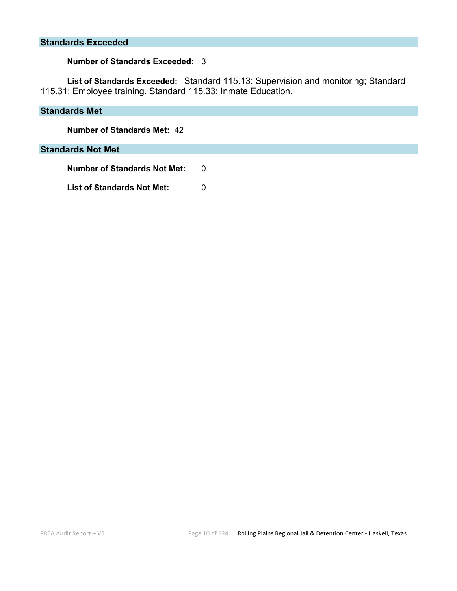#### **Standards Exceeded**

#### **Number of Standards Exceeded:** 3

**List of Standards Exceeded:** Standard 115.13: Supervision and monitoring; Standard 115.31: Employee training. Standard 115.33: Inmate Education.

#### **Standards Met**

**Number of Standards Met:** 42

#### **Standards Not Met**

**Number of Standards Not Met: 0 List of Standards Not Met:** 0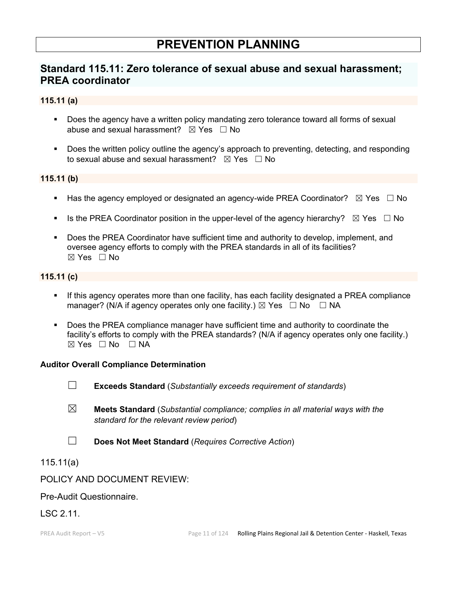# **PREVENTION PLANNING**

# **Standard 115.11: Zero tolerance of sexual abuse and sexual harassment; PREA coordinator**

#### **115.11 (a)**

- Does the agency have a written policy mandating zero tolerance toward all forms of sexual abuse and sexual harassment?  $\boxtimes$  Yes  $\Box$  No
- **Does the written policy outline the agency's approach to preventing, detecting, and responding** to sexual abuse and sexual harassment?  $\boxtimes$  Yes  $\Box$  No

#### **115.11 (b)**

- Has the agency employed or designated an agency-wide PREA Coordinator?  $\boxtimes$  Yes  $\Box$  No
- Is the PREA Coordinator position in the upper-level of the agency hierarchy?  $\boxtimes$  Yes  $\Box$  No
- Does the PREA Coordinator have sufficient time and authority to develop, implement, and oversee agency efforts to comply with the PREA standards in all of its facilities? ☒ Yes ☐ No

#### **115.11 (c)**

- If this agency operates more than one facility, has each facility designated a PREA compliance manager? (N/A if agency operates only one facility.)  $\boxtimes$  Yes  $\Box$  No  $\Box$  NA
- Does the PREA compliance manager have sufficient time and authority to coordinate the facility's efforts to comply with the PREA standards? (N/A if agency operates only one facility.)  $\boxtimes$  Yes  $\Box$  No  $\Box$  NA

#### **Auditor Overall Compliance Determination**

- ☐ **Exceeds Standard** (*Substantially exceeds requirement of standards*)
- ☒ **Meets Standard** (*Substantial compliance; complies in all material ways with the standard for the relevant review period*)
- ☐ **Does Not Meet Standard** (*Requires Corrective Action*)

### 115.11(a)

### POLICY AND DOCUMENT REVIEW:

### Pre-Audit Questionnaire.

### LSC 2.11.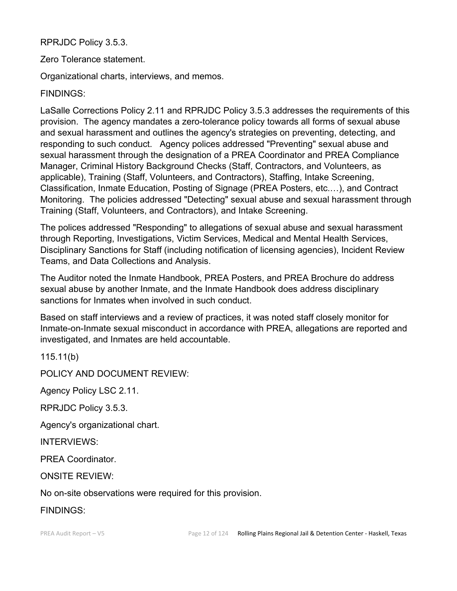RPRJDC Policy 3.5.3.

Zero Tolerance statement.

Organizational charts, interviews, and memos.

FINDINGS:

LaSalle Corrections Policy 2.11 and RPRJDC Policy 3.5.3 addresses the requirements of this provision. The agency mandates a zero-tolerance policy towards all forms of sexual abuse and sexual harassment and outlines the agency's strategies on preventing, detecting, and responding to such conduct. Agency polices addressed "Preventing" sexual abuse and sexual harassment through the designation of a PREA Coordinator and PREA Compliance Manager, Criminal History Background Checks (Staff, Contractors, and Volunteers, as applicable), Training (Staff, Volunteers, and Contractors), Staffing, Intake Screening, Classification, Inmate Education, Posting of Signage (PREA Posters, etc.…), and Contract Monitoring. The policies addressed "Detecting" sexual abuse and sexual harassment through Training (Staff, Volunteers, and Contractors), and Intake Screening.

The polices addressed "Responding" to allegations of sexual abuse and sexual harassment through Reporting, Investigations, Victim Services, Medical and Mental Health Services, Disciplinary Sanctions for Staff (including notification of licensing agencies), Incident Review Teams, and Data Collections and Analysis.

The Auditor noted the Inmate Handbook, PREA Posters, and PREA Brochure do address sexual abuse by another Inmate, and the Inmate Handbook does address disciplinary sanctions for Inmates when involved in such conduct.

Based on staff interviews and a review of practices, it was noted staff closely monitor for Inmate-on-Inmate sexual misconduct in accordance with PREA, allegations are reported and investigated, and Inmates are held accountable.

115.11(b)

POLICY AND DOCUMENT REVIEW:

Agency Policy LSC 2.11.

RPRJDC Policy 3.5.3.

Agency's organizational chart.

INTERVIEWS:

PREA Coordinator.

ONSITE REVIEW:

No on-site observations were required for this provision.

FINDINGS: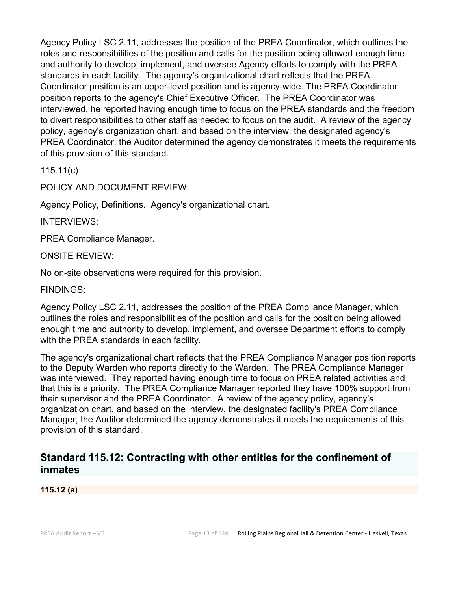Agency Policy LSC 2.11, addresses the position of the PREA Coordinator, which outlines the roles and responsibilities of the position and calls for the position being allowed enough time and authority to develop, implement, and oversee Agency efforts to comply with the PREA standards in each facility. The agency's organizational chart reflects that the PREA Coordinator position is an upper-level position and is agency-wide. The PREA Coordinator position reports to the agency's Chief Executive Officer. The PREA Coordinator was interviewed, he reported having enough time to focus on the PREA standards and the freedom to divert responsibilities to other staff as needed to focus on the audit. A review of the agency policy, agency's organization chart, and based on the interview, the designated agency's PREA Coordinator, the Auditor determined the agency demonstrates it meets the requirements of this provision of this standard.

115.11(c)

POLICY AND DOCUMENT REVIEW:

Agency Policy, Definitions. Agency's organizational chart.

INTERVIEWS:

PREA Compliance Manager.

ONSITE REVIEW:

No on-site observations were required for this provision.

FINDINGS:

Agency Policy LSC 2.11, addresses the position of the PREA Compliance Manager, which outlines the roles and responsibilities of the position and calls for the position being allowed enough time and authority to develop, implement, and oversee Department efforts to comply with the PREA standards in each facility.

The agency's organizational chart reflects that the PREA Compliance Manager position reports to the Deputy Warden who reports directly to the Warden. The PREA Compliance Manager was interviewed. They reported having enough time to focus on PREA related activities and that this is a priority. The PREA Compliance Manager reported they have 100% support from their supervisor and the PREA Coordinator. A review of the agency policy, agency's organization chart, and based on the interview, the designated facility's PREA Compliance Manager, the Auditor determined the agency demonstrates it meets the requirements of this provision of this standard.

# **Standard 115.12: Contracting with other entities for the confinement of inmates**

**115.12 (a)**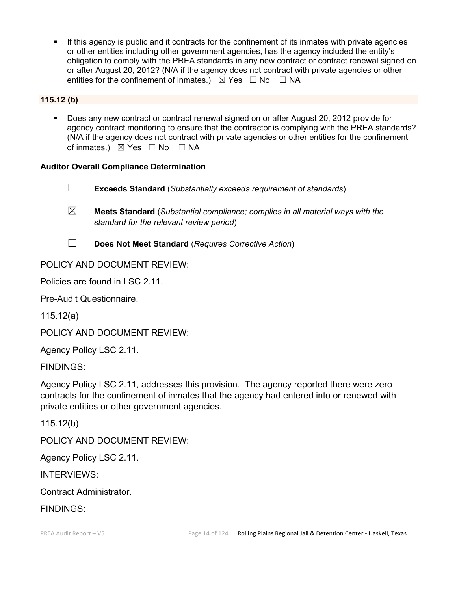If this agency is public and it contracts for the confinement of its inmates with private agencies or other entities including other government agencies, has the agency included the entity's obligation to comply with the PREA standards in any new contract or contract renewal signed on or after August 20, 2012? (N/A if the agency does not contract with private agencies or other entities for the confinement of inmates.)  $\boxtimes$  Yes  $\Box$  No  $\Box$  NA

#### **115.12 (b)**

 Does any new contract or contract renewal signed on or after August 20, 2012 provide for agency contract monitoring to ensure that the contractor is complying with the PREA standards? (N/A if the agency does not contract with private agencies or other entities for the confinement of inmates.) ⊠ Yes □ No □ NA

#### **Auditor Overall Compliance Determination**

- ☐ **Exceeds Standard** (*Substantially exceeds requirement of standards*)
- ☒ **Meets Standard** (*Substantial compliance; complies in all material ways with the standard for the relevant review period*)
- ☐ **Does Not Meet Standard** (*Requires Corrective Action*)

# POLICY AND DOCUMENT REVIEW:

Policies are found in LSC 2.11.

Pre-Audit Questionnaire.

115.12(a)

POLICY AND DOCUMENT REVIEW:

Agency Policy LSC 2.11.

FINDINGS:

Agency Policy LSC 2.11, addresses this provision. The agency reported there were zero contracts for the confinement of inmates that the agency had entered into or renewed with private entities or other government agencies.

115.12(b)

POLICY AND DOCUMENT REVIEW:

Agency Policy LSC 2.11.

INTERVIEWS:

Contract Administrator.

FINDINGS: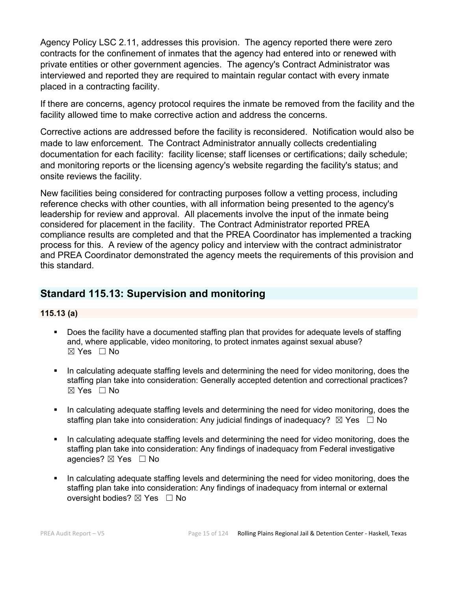Agency Policy LSC 2.11, addresses this provision. The agency reported there were zero contracts for the confinement of inmates that the agency had entered into or renewed with private entities or other government agencies. The agency's Contract Administrator was interviewed and reported they are required to maintain regular contact with every inmate placed in a contracting facility.

If there are concerns, agency protocol requires the inmate be removed from the facility and the facility allowed time to make corrective action and address the concerns.

Corrective actions are addressed before the facility is reconsidered. Notification would also be made to law enforcement. The Contract Administrator annually collects credentialing documentation for each facility: facility license; staff licenses or certifications; daily schedule; and monitoring reports or the licensing agency's website regarding the facility's status; and onsite reviews the facility.

New facilities being considered for contracting purposes follow a vetting process, including reference checks with other counties, with all information being presented to the agency's leadership for review and approval. All placements involve the input of the inmate being considered for placement in the facility. The Contract Administrator reported PREA compliance results are completed and that the PREA Coordinator has implemented a tracking process for this. A review of the agency policy and interview with the contract administrator and PREA Coordinator demonstrated the agency meets the requirements of this provision and this standard.

# **Standard 115.13: Supervision and monitoring**

#### **115.13 (a)**

- Does the facility have a documented staffing plan that provides for adequate levels of staffing and, where applicable, video monitoring, to protect inmates against sexual abuse?  $\boxtimes$  Yes  $\Box$  No
- In calculating adequate staffing levels and determining the need for video monitoring, does the staffing plan take into consideration: Generally accepted detention and correctional practices?  $\boxtimes$  Yes  $\Box$  No
- In calculating adequate staffing levels and determining the need for video monitoring, does the staffing plan take into consideration: Any judicial findings of inadequacy?  $\boxtimes$  Yes  $\Box$  No
- In calculating adequate staffing levels and determining the need for video monitoring, does the staffing plan take into consideration: Any findings of inadequacy from Federal investigative agencies? ⊠ Yes □ No
- In calculating adequate staffing levels and determining the need for video monitoring, does the staffing plan take into consideration: Any findings of inadequacy from internal or external oversight bodies? ⊠ Yes □ No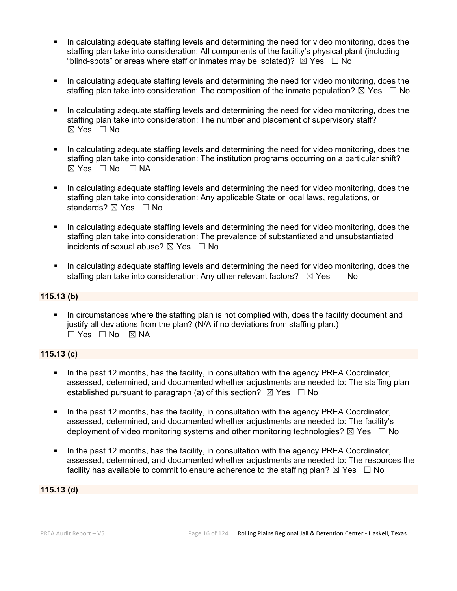- In calculating adequate staffing levels and determining the need for video monitoring, does the staffing plan take into consideration: All components of the facility's physical plant (including "blind-spots" or areas where staff or inmates may be isolated)?  $\boxtimes$  Yes  $\Box$  No
- In calculating adequate staffing levels and determining the need for video monitoring, does the staffing plan take into consideration: The composition of the inmate population?  $\boxtimes$  Yes  $\Box$  No
- In calculating adequate staffing levels and determining the need for video monitoring, does the staffing plan take into consideration: The number and placement of supervisory staff? ☒ Yes ☐ No
- In calculating adequate staffing levels and determining the need for video monitoring, does the staffing plan take into consideration: The institution programs occurring on a particular shift? ☒ Yes ☐ No ☐ NA
- In calculating adequate staffing levels and determining the need for video monitoring, does the staffing plan take into consideration: Any applicable State or local laws, regulations, or standards? ⊠ Yes □ No
- In calculating adequate staffing levels and determining the need for video monitoring, does the staffing plan take into consideration: The prevalence of substantiated and unsubstantiated incidents of sexual abuse?  $\boxtimes$  Yes  $\Box$  No
- In calculating adequate staffing levels and determining the need for video monitoring, does the staffing plan take into consideration: Any other relevant factors?  $\boxtimes$  Yes  $\Box$  No

#### **115.13 (b)**

 In circumstances where the staffing plan is not complied with, does the facility document and justify all deviations from the plan? (N/A if no deviations from staffing plan.) ☐ Yes ☐ No ☒ NA

#### **115.13 (c)**

- In the past 12 months, has the facility, in consultation with the agency PREA Coordinator, assessed, determined, and documented whether adjustments are needed to: The staffing plan established pursuant to paragraph (a) of this section?  $\boxtimes$  Yes  $\Box$  No
- In the past 12 months, has the facility, in consultation with the agency PREA Coordinator, assessed, determined, and documented whether adjustments are needed to: The facility's deployment of video monitoring systems and other monitoring technologies?  $\boxtimes$  Yes  $\Box$  No
- In the past 12 months, has the facility, in consultation with the agency PREA Coordinator, assessed, determined, and documented whether adjustments are needed to: The resources the facility has available to commit to ensure adherence to the staffing plan?  $\boxtimes$  Yes  $\Box$  No

#### **115.13 (d)**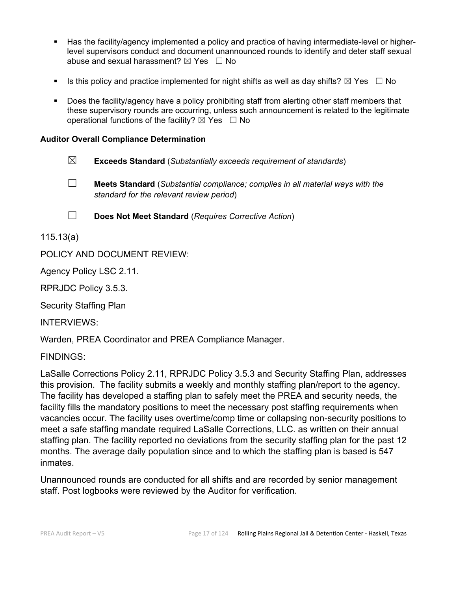- Has the facility/agency implemented a policy and practice of having intermediate-level or higherlevel supervisors conduct and document unannounced rounds to identify and deter staff sexual abuse and sexual harassment?  $\boxtimes$  Yes  $\Box$  No
- Is this policy and practice implemented for night shifts as well as day shifts?  $\boxtimes$  Yes  $\Box$  No
- Does the facility/agency have a policy prohibiting staff from alerting other staff members that these supervisory rounds are occurring, unless such announcement is related to the legitimate operational functions of the facility?  $\boxtimes$  Yes  $\Box$  No

#### **Auditor Overall Compliance Determination**

- ☒ **Exceeds Standard** (*Substantially exceeds requirement of standards*)
- ☐ **Meets Standard** (*Substantial compliance; complies in all material ways with the standard for the relevant review period*)
- ☐ **Does Not Meet Standard** (*Requires Corrective Action*)

115.13(a)

POLICY AND DOCUMENT REVIEW:

Agency Policy LSC 2.11.

RPRJDC Policy 3.5.3.

Security Staffing Plan

INTERVIEWS:

Warden, PREA Coordinator and PREA Compliance Manager.

FINDINGS:

LaSalle Corrections Policy 2.11, RPRJDC Policy 3.5.3 and Security Staffing Plan, addresses this provision. The facility submits a weekly and monthly staffing plan/report to the agency. The facility has developed a staffing plan to safely meet the PREA and security needs, the facility fills the mandatory positions to meet the necessary post staffing requirements when vacancies occur. The facility uses overtime/comp time or collapsing non-security positions to meet a safe staffing mandate required LaSalle Corrections, LLC. as written on their annual staffing plan. The facility reported no deviations from the security staffing plan for the past 12 months. The average daily population since and to which the staffing plan is based is 547 inmates.

Unannounced rounds are conducted for all shifts and are recorded by senior management staff. Post logbooks were reviewed by the Auditor for verification.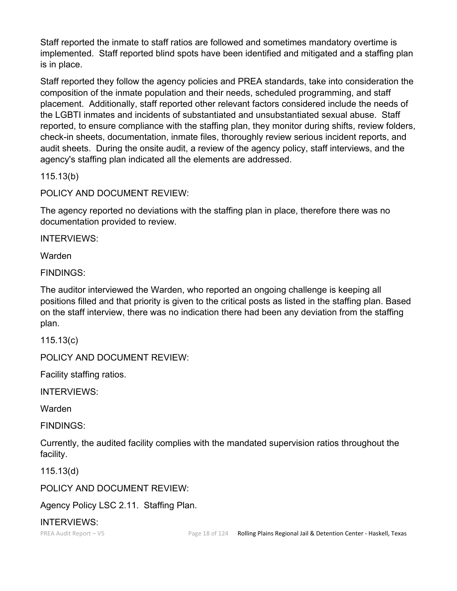Staff reported the inmate to staff ratios are followed and sometimes mandatory overtime is implemented. Staff reported blind spots have been identified and mitigated and a staffing plan is in place.

Staff reported they follow the agency policies and PREA standards, take into consideration the composition of the inmate population and their needs, scheduled programming, and staff placement. Additionally, staff reported other relevant factors considered include the needs of the LGBTI inmates and incidents of substantiated and unsubstantiated sexual abuse. Staff reported, to ensure compliance with the staffing plan, they monitor during shifts, review folders, check-in sheets, documentation, inmate files, thoroughly review serious incident reports, and audit sheets. During the onsite audit, a review of the agency policy, staff interviews, and the agency's staffing plan indicated all the elements are addressed.

115.13(b)

POLICY AND DOCUMENT REVIEW:

The agency reported no deviations with the staffing plan in place, therefore there was no documentation provided to review.

INTERVIEWS:

Warden

FINDINGS:

The auditor interviewed the Warden, who reported an ongoing challenge is keeping all positions filled and that priority is given to the critical posts as listed in the staffing plan. Based on the staff interview, there was no indication there had been any deviation from the staffing plan.

115.13(c)

POLICY AND DOCUMENT REVIEW:

Facility staffing ratios.

INTERVIEWS:

Warden

FINDINGS:

Currently, the audited facility complies with the mandated supervision ratios throughout the facility.

115.13(d)

POLICY AND DOCUMENT REVIEW:

Agency Policy LSC 2.11. Staffing Plan.

INTERVIEWS: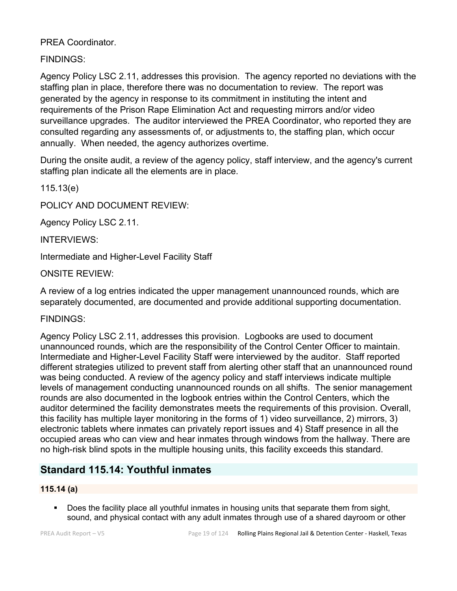PREA Coordinator.

FINDINGS:

Agency Policy LSC 2.11, addresses this provision. The agency reported no deviations with the staffing plan in place, therefore there was no documentation to review. The report was generated by the agency in response to its commitment in instituting the intent and requirements of the Prison Rape Elimination Act and requesting mirrors and/or video surveillance upgrades. The auditor interviewed the PREA Coordinator, who reported they are consulted regarding any assessments of, or adjustments to, the staffing plan, which occur annually. When needed, the agency authorizes overtime.

During the onsite audit, a review of the agency policy, staff interview, and the agency's current staffing plan indicate all the elements are in place.

115.13(e)

POLICY AND DOCUMENT REVIEW:

Agency Policy LSC 2.11.

INTERVIEWS:

Intermediate and Higher-Level Facility Staff

ONSITE REVIEW:

A review of a log entries indicated the upper management unannounced rounds, which are separately documented, are documented and provide additional supporting documentation.

FINDINGS:

Agency Policy LSC 2.11, addresses this provision. Logbooks are used to document unannounced rounds, which are the responsibility of the Control Center Officer to maintain. Intermediate and Higher-Level Facility Staff were interviewed by the auditor. Staff reported different strategies utilized to prevent staff from alerting other staff that an unannounced round was being conducted. A review of the agency policy and staff interviews indicate multiple levels of management conducting unannounced rounds on all shifts. The senior management rounds are also documented in the logbook entries within the Control Centers, which the auditor determined the facility demonstrates meets the requirements of this provision. Overall, this facility has multiple layer monitoring in the forms of 1) video surveillance, 2) mirrors, 3) electronic tablets where inmates can privately report issues and 4) Staff presence in all the occupied areas who can view and hear inmates through windows from the hallway. There are no high-risk blind spots in the multiple housing units, this facility exceeds this standard.

# **Standard 115.14: Youthful inmates**

### **115.14 (a)**

 Does the facility place all youthful inmates in housing units that separate them from sight, sound, and physical contact with any adult inmates through use of a shared dayroom or other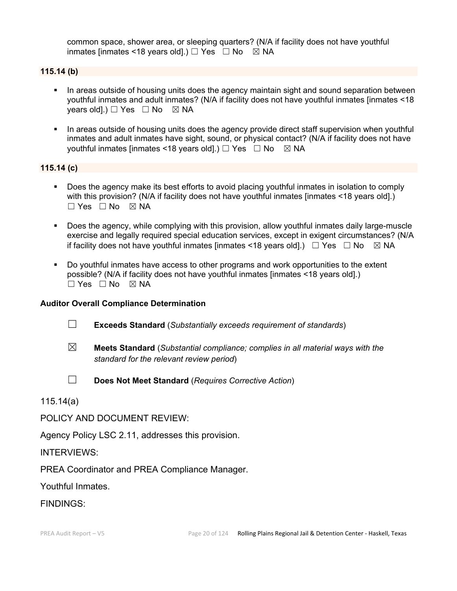common space, shower area, or sleeping quarters? (N/A if facility does not have youthful inmates [inmates <18 years old].)  $\Box$  Yes  $\Box$  No  $\boxtimes$  NA

#### **115.14 (b)**

- In areas outside of housing units does the agency maintain sight and sound separation between youthful inmates and adult inmates? (N/A if facility does not have youthful inmates [inmates <18 years old].)  $\Box$  Yes  $\Box$  No  $\boxtimes$  NA
- In areas outside of housing units does the agency provide direct staff supervision when youthful inmates and adult inmates have sight, sound, or physical contact? (N/A if facility does not have youthful inmates [inmates <18 years old].)  $\Box$  Yes  $\Box$  No  $\boxtimes$  NA

#### **115.14 (c)**

- Does the agency make its best efforts to avoid placing youthful inmates in isolation to comply with this provision? (N/A if facility does not have youthful inmates [inmates <18 years old].) ☐ Yes ☐ No ☒ NA
- Does the agency, while complying with this provision, allow youthful inmates daily large-muscle exercise and legally required special education services, except in exigent circumstances? (N/A if facility does not have youthful inmates [inmates <18 years old].)  $\Box$  Yes  $\Box$  No  $\boxtimes$  NA
- Do youthful inmates have access to other programs and work opportunities to the extent possible? (N/A if facility does not have youthful inmates [inmates <18 years old].)  $\square$  Yes  $\square$  No  $\square$  NA

#### **Auditor Overall Compliance Determination**

- ☐ **Exceeds Standard** (*Substantially exceeds requirement of standards*)
- ☒ **Meets Standard** (*Substantial compliance; complies in all material ways with the standard for the relevant review period*)
- 
- ☐ **Does Not Meet Standard** (*Requires Corrective Action*)

115.14(a)

POLICY AND DOCUMENT REVIEW:

Agency Policy LSC 2.11, addresses this provision.

#### INTERVIEWS:

PREA Coordinator and PREA Compliance Manager.

Youthful Inmates.

#### FINDINGS: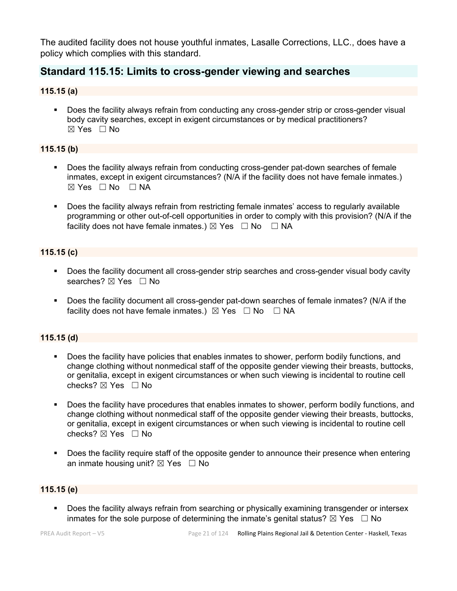The audited facility does not house youthful inmates, Lasalle Corrections, LLC., does have a policy which complies with this standard.

# **Standard 115.15: Limits to cross-gender viewing and searches**

#### **115.15 (a)**

 Does the facility always refrain from conducting any cross-gender strip or cross-gender visual body cavity searches, except in exigent circumstances or by medical practitioners?  $\boxtimes$  Yes  $\Box$  No

#### **115.15 (b)**

- **Does the facility always refrain from conducting cross-gender pat-down searches of female** inmates, except in exigent circumstances? (N/A if the facility does not have female inmates.)  $\boxtimes$  Yes  $\Box$  No  $\Box$  NA
- Does the facility always refrain from restricting female inmates' access to regularly available programming or other out-of-cell opportunities in order to comply with this provision? (N/A if the facility does not have female inmates.)  $\boxtimes$  Yes  $\Box$  No  $\Box$  NA

#### **115.15 (c)**

- Does the facility document all cross-gender strip searches and cross-gender visual body cavity searches? ⊠ Yes □ No
- Does the facility document all cross-gender pat-down searches of female inmates? (N/A if the facility does not have female inmates.)  $\boxtimes$  Yes  $\Box$  No  $\Box$  NA

### **115.15 (d)**

- Does the facility have policies that enables inmates to shower, perform bodily functions, and change clothing without nonmedical staff of the opposite gender viewing their breasts, buttocks, or genitalia, except in exigent circumstances or when such viewing is incidental to routine cell checks? ☒ Yes ☐ No
- Does the facility have procedures that enables inmates to shower, perform bodily functions, and change clothing without nonmedical staff of the opposite gender viewing their breasts, buttocks, or genitalia, except in exigent circumstances or when such viewing is incidental to routine cell checks?  $\boxtimes$  Yes  $\Box$  No
- Does the facility require staff of the opposite gender to announce their presence when entering an inmate housing unit?  $\boxtimes$  Yes  $\Box$  No

#### **115.15 (e)**

**Does the facility always refrain from searching or physically examining transgender or intersex** inmates for the sole purpose of determining the inmate's genital status?  $\boxtimes$  Yes  $\Box$  No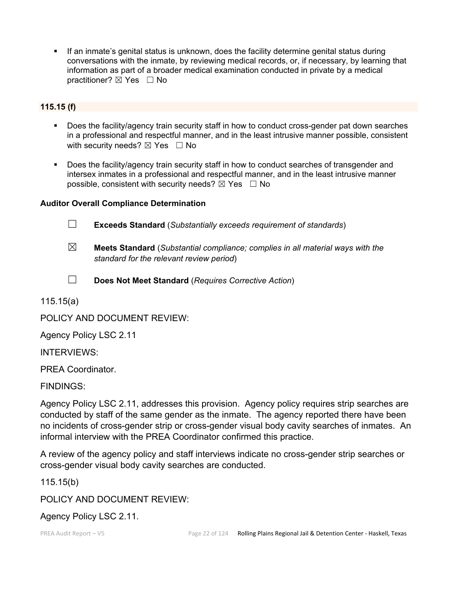If an inmate's genital status is unknown, does the facility determine genital status during conversations with the inmate, by reviewing medical records, or, if necessary, by learning that information as part of a broader medical examination conducted in private by a medical practitioner? ⊠ Yes □ No

#### **115.15 (f)**

- Does the facility/agency train security staff in how to conduct cross-gender pat down searches in a professional and respectful manner, and in the least intrusive manner possible, consistent with security needs?  $\boxtimes$  Yes  $\Box$  No
- Does the facility/agency train security staff in how to conduct searches of transgender and intersex inmates in a professional and respectful manner, and in the least intrusive manner possible, consistent with security needs?  $\boxtimes$  Yes  $\Box$  No

#### **Auditor Overall Compliance Determination**

- ☐ **Exceeds Standard** (*Substantially exceeds requirement of standards*)
- ☒ **Meets Standard** (*Substantial compliance; complies in all material ways with the standard for the relevant review period*)
- ☐ **Does Not Meet Standard** (*Requires Corrective Action*)

115.15(a)

POLICY AND DOCUMENT REVIEW:

Agency Policy LSC 2.11

INTERVIEWS:

PREA Coordinator.

FINDINGS:

Agency Policy LSC 2.11, addresses this provision. Agency policy requires strip searches are conducted by staff of the same gender as the inmate. The agency reported there have been no incidents of cross-gender strip or cross-gender visual body cavity searches of inmates. An informal interview with the PREA Coordinator confirmed this practice.

A review of the agency policy and staff interviews indicate no cross-gender strip searches or cross-gender visual body cavity searches are conducted.

115.15(b)

POLICY AND DOCUMENT REVIEW:

Agency Policy LSC 2.11.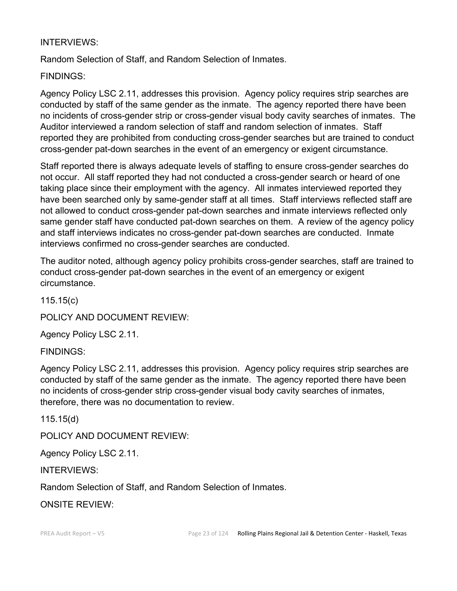## INTERVIEWS:

Random Selection of Staff, and Random Selection of Inmates.

## FINDINGS:

Agency Policy LSC 2.11, addresses this provision. Agency policy requires strip searches are conducted by staff of the same gender as the inmate. The agency reported there have been no incidents of cross-gender strip or cross-gender visual body cavity searches of inmates. The Auditor interviewed a random selection of staff and random selection of inmates. Staff reported they are prohibited from conducting cross-gender searches but are trained to conduct cross-gender pat-down searches in the event of an emergency or exigent circumstance.

Staff reported there is always adequate levels of staffing to ensure cross-gender searches do not occur. All staff reported they had not conducted a cross-gender search or heard of one taking place since their employment with the agency. All inmates interviewed reported they have been searched only by same-gender staff at all times. Staff interviews reflected staff are not allowed to conduct cross-gender pat-down searches and inmate interviews reflected only same gender staff have conducted pat-down searches on them. A review of the agency policy and staff interviews indicates no cross-gender pat-down searches are conducted. Inmate interviews confirmed no cross-gender searches are conducted.

The auditor noted, although agency policy prohibits cross-gender searches, staff are trained to conduct cross-gender pat-down searches in the event of an emergency or exigent circumstance.

115.15(c)

POLICY AND DOCUMENT REVIEW:

Agency Policy LSC 2.11.

FINDINGS:

Agency Policy LSC 2.11, addresses this provision. Agency policy requires strip searches are conducted by staff of the same gender as the inmate. The agency reported there have been no incidents of cross-gender strip cross-gender visual body cavity searches of inmates, therefore, there was no documentation to review.

115.15(d)

POLICY AND DOCUMENT REVIEW:

Agency Policy LSC 2.11.

INTERVIEWS:

Random Selection of Staff, and Random Selection of Inmates.

ONSITE REVIEW: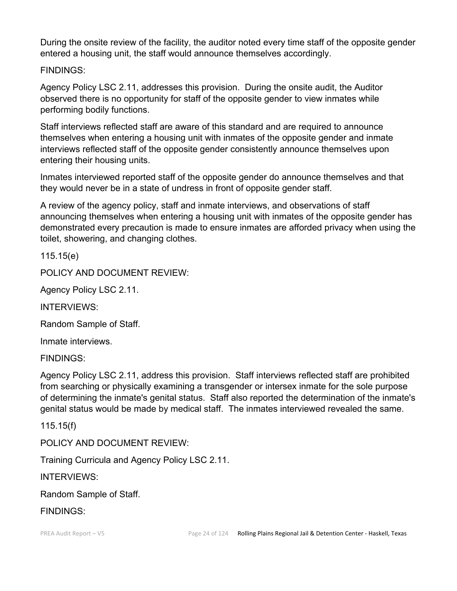During the onsite review of the facility, the auditor noted every time staff of the opposite gender entered a housing unit, the staff would announce themselves accordingly.

# FINDINGS:

Agency Policy LSC 2.11, addresses this provision. During the onsite audit, the Auditor observed there is no opportunity for staff of the opposite gender to view inmates while performing bodily functions.

Staff interviews reflected staff are aware of this standard and are required to announce themselves when entering a housing unit with inmates of the opposite gender and inmate interviews reflected staff of the opposite gender consistently announce themselves upon entering their housing units.

Inmates interviewed reported staff of the opposite gender do announce themselves and that they would never be in a state of undress in front of opposite gender staff.

A review of the agency policy, staff and inmate interviews, and observations of staff announcing themselves when entering a housing unit with inmates of the opposite gender has demonstrated every precaution is made to ensure inmates are afforded privacy when using the toilet, showering, and changing clothes.

115.15(e)

POLICY AND DOCUMENT REVIEW:

Agency Policy LSC 2.11.

INTERVIEWS:

Random Sample of Staff.

Inmate interviews.

FINDINGS:

Agency Policy LSC 2.11, address this provision. Staff interviews reflected staff are prohibited from searching or physically examining a transgender or intersex inmate for the sole purpose of determining the inmate's genital status. Staff also reported the determination of the inmate's genital status would be made by medical staff. The inmates interviewed revealed the same.

115.15(f)

POLICY AND DOCUMENT REVIEW:

Training Curricula and Agency Policy LSC 2.11.

INTERVIEWS:

Random Sample of Staff.

FINDINGS: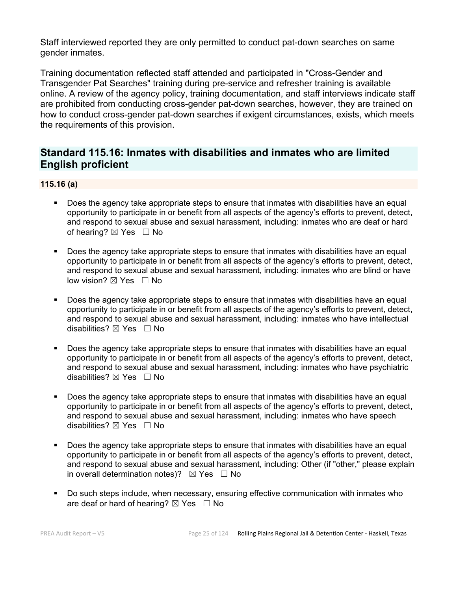Staff interviewed reported they are only permitted to conduct pat-down searches on same gender inmates.

Training documentation reflected staff attended and participated in "Cross-Gender and Transgender Pat Searches" training during pre-service and refresher training is available online. A review of the agency policy, training documentation, and staff interviews indicate staff are prohibited from conducting cross-gender pat-down searches, however, they are trained on how to conduct cross-gender pat-down searches if exigent circumstances, exists, which meets the requirements of this provision.

# **Standard 115.16: Inmates with disabilities and inmates who are limited English proficient**

#### **115.16 (a)**

- Does the agency take appropriate steps to ensure that inmates with disabilities have an equal opportunity to participate in or benefit from all aspects of the agency's efforts to prevent, detect, and respond to sexual abuse and sexual harassment, including: inmates who are deaf or hard of hearing?  $\boxtimes$  Yes  $\Box$  No
- Does the agency take appropriate steps to ensure that inmates with disabilities have an equal opportunity to participate in or benefit from all aspects of the agency's efforts to prevent, detect, and respond to sexual abuse and sexual harassment, including: inmates who are blind or have low vision?  $\boxtimes$  Yes  $\Box$  No
- Does the agency take appropriate steps to ensure that inmates with disabilities have an equal opportunity to participate in or benefit from all aspects of the agency's efforts to prevent, detect, and respond to sexual abuse and sexual harassment, including: inmates who have intellectual disabilities?  $\boxtimes$  Yes  $\Box$  No
- Does the agency take appropriate steps to ensure that inmates with disabilities have an equal opportunity to participate in or benefit from all aspects of the agency's efforts to prevent, detect, and respond to sexual abuse and sexual harassment, including: inmates who have psychiatric disabilities?  $\boxtimes$  Yes  $\Box$  No
- Does the agency take appropriate steps to ensure that inmates with disabilities have an equal opportunity to participate in or benefit from all aspects of the agency's efforts to prevent, detect, and respond to sexual abuse and sexual harassment, including: inmates who have speech disabilities?  $\boxtimes$  Yes  $\Box$  No
- Does the agency take appropriate steps to ensure that inmates with disabilities have an equal opportunity to participate in or benefit from all aspects of the agency's efforts to prevent, detect, and respond to sexual abuse and sexual harassment, including: Other (if "other," please explain in overall determination notes)?  $\boxtimes$  Yes  $\Box$  No
- Do such steps include, when necessary, ensuring effective communication with inmates who are deaf or hard of hearing?  $\boxtimes$  Yes  $\Box$  No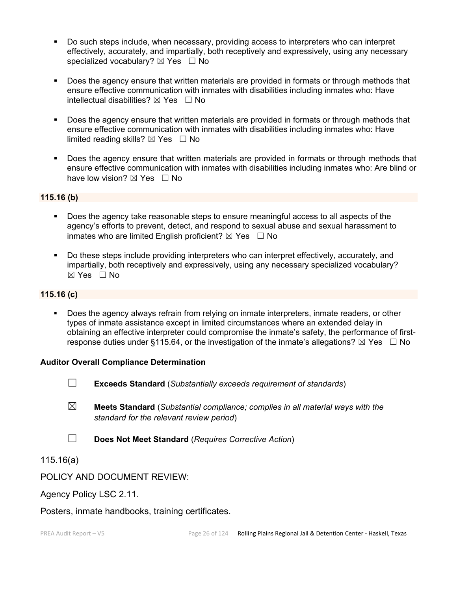- Do such steps include, when necessary, providing access to interpreters who can interpret effectively, accurately, and impartially, both receptively and expressively, using any necessary specialized vocabulary?  $\boxtimes$  Yes  $\Box$  No
- Does the agency ensure that written materials are provided in formats or through methods that ensure effective communication with inmates with disabilities including inmates who: Have intellectual disabilities?  $\boxtimes$  Yes  $\Box$  No
- Does the agency ensure that written materials are provided in formats or through methods that ensure effective communication with inmates with disabilities including inmates who: Have limited reading skills?  $\boxtimes$  Yes  $\Box$  No
- **Does the agency ensure that written materials are provided in formats or through methods that** ensure effective communication with inmates with disabilities including inmates who: Are blind or have low vision?  $\boxtimes$  Yes  $\Box$  No

#### **115.16 (b)**

- Does the agency take reasonable steps to ensure meaningful access to all aspects of the agency's efforts to prevent, detect, and respond to sexual abuse and sexual harassment to inmates who are limited English proficient?  $\boxtimes$  Yes  $\Box$  No
- Do these steps include providing interpreters who can interpret effectively, accurately, and impartially, both receptively and expressively, using any necessary specialized vocabulary? ☒ Yes ☐ No

#### **115.16 (c)**

 Does the agency always refrain from relying on inmate interpreters, inmate readers, or other types of inmate assistance except in limited circumstances where an extended delay in obtaining an effective interpreter could compromise the inmate's safety, the performance of firstresponse duties under §115.64, or the investigation of the inmate's allegations?  $\boxtimes$  Yes  $\Box$  No

#### **Auditor Overall Compliance Determination**

- ☐ **Exceeds Standard** (*Substantially exceeds requirement of standards*)
- ☒ **Meets Standard** (*Substantial compliance; complies in all material ways with the standard for the relevant review period*)
- ☐ **Does Not Meet Standard** (*Requires Corrective Action*)

115.16(a)

#### POLICY AND DOCUMENT REVIEW:

Agency Policy LSC 2.11.

Posters, inmate handbooks, training certificates.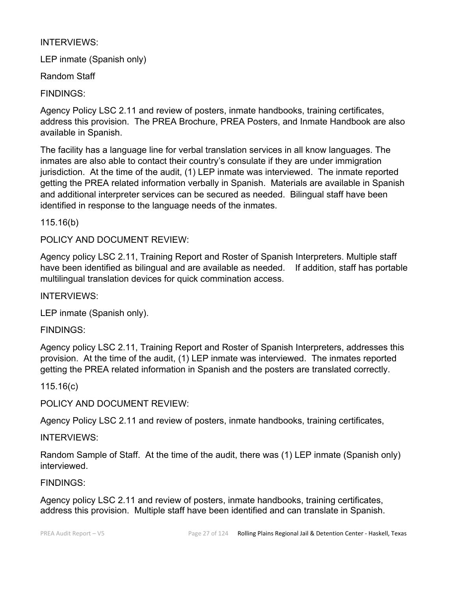# INTERVIEWS:

LEP inmate (Spanish only)

Random Staff

FINDINGS:

Agency Policy LSC 2.11 and review of posters, inmate handbooks, training certificates, address this provision. The PREA Brochure, PREA Posters, and Inmate Handbook are also available in Spanish.

The facility has a language line for verbal translation services in all know languages. The inmates are also able to contact their country's consulate if they are under immigration jurisdiction. At the time of the audit, (1) LEP inmate was interviewed. The inmate reported getting the PREA related information verbally in Spanish. Materials are available in Spanish and additional interpreter services can be secured as needed. Bilingual staff have been identified in response to the language needs of the inmates.

115.16(b)

POLICY AND DOCUMENT REVIEW:

Agency policy LSC 2.11, Training Report and Roster of Spanish Interpreters. Multiple staff have been identified as bilingual and are available as needed. If addition, staff has portable multilingual translation devices for quick commination access.

INTERVIEWS:

LEP inmate (Spanish only).

FINDINGS:

Agency policy LSC 2.11, Training Report and Roster of Spanish Interpreters, addresses this provision. At the time of the audit, (1) LEP inmate was interviewed. The inmates reported getting the PREA related information in Spanish and the posters are translated correctly.

115.16(c)

POLICY AND DOCUMENT REVIEW:

Agency Policy LSC 2.11 and review of posters, inmate handbooks, training certificates,

INTERVIEWS:

Random Sample of Staff. At the time of the audit, there was (1) LEP inmate (Spanish only) interviewed.

# FINDINGS:

Agency policy LSC 2.11 and review of posters, inmate handbooks, training certificates, address this provision. Multiple staff have been identified and can translate in Spanish.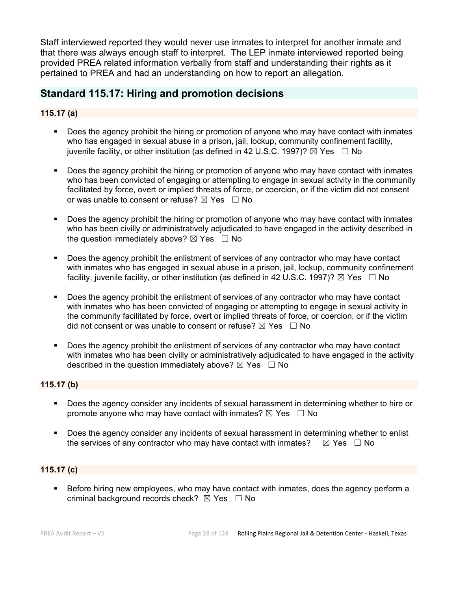Staff interviewed reported they would never use inmates to interpret for another inmate and that there was always enough staff to interpret. The LEP inmate interviewed reported being provided PREA related information verbally from staff and understanding their rights as it pertained to PREA and had an understanding on how to report an allegation.

# **Standard 115.17: Hiring and promotion decisions**

#### **115.17 (a)**

- Does the agency prohibit the hiring or promotion of anyone who may have contact with inmates who has engaged in sexual abuse in a prison, jail, lockup, community confinement facility, juvenile facility, or other institution (as defined in 42 U.S.C. 1997)?  $\boxtimes$  Yes  $\Box$  No
- Does the agency prohibit the hiring or promotion of anyone who may have contact with inmates who has been convicted of engaging or attempting to engage in sexual activity in the community facilitated by force, overt or implied threats of force, or coercion, or if the victim did not consent or was unable to consent or refuse?  $\boxtimes$  Yes  $\Box$  No
- Does the agency prohibit the hiring or promotion of anyone who may have contact with inmates who has been civilly or administratively adjudicated to have engaged in the activity described in the question immediately above?  $\boxtimes$  Yes  $\Box$  No
- Does the agency prohibit the enlistment of services of any contractor who may have contact with inmates who has engaged in sexual abuse in a prison, jail, lockup, community confinement facility, juvenile facility, or other institution (as defined in 42 U.S.C. 1997)?  $\boxtimes$  Yes  $\Box$  No
- Does the agency prohibit the enlistment of services of any contractor who may have contact with inmates who has been convicted of engaging or attempting to engage in sexual activity in the community facilitated by force, overt or implied threats of force, or coercion, or if the victim did not consent or was unable to consent or refuse?  $\boxtimes$  Yes  $\Box$  No
- Does the agency prohibit the enlistment of services of any contractor who may have contact with inmates who has been civilly or administratively adjudicated to have engaged in the activity described in the question immediately above?  $\boxtimes$  Yes  $\Box$  No

#### **115.17 (b)**

- Does the agency consider any incidents of sexual harassment in determining whether to hire or promote anyone who may have contact with inmates?  $\boxtimes$  Yes  $\Box$  No
- **Does the agency consider any incidents of sexual harassment in determining whether to enlist** the services of any contractor who may have contact with inmates?  $\boxtimes$  Yes  $\Box$  No

#### **115.17 (c)**

 Before hiring new employees, who may have contact with inmates, does the agency perform a criminal background records check?  $\boxtimes$  Yes  $\Box$  No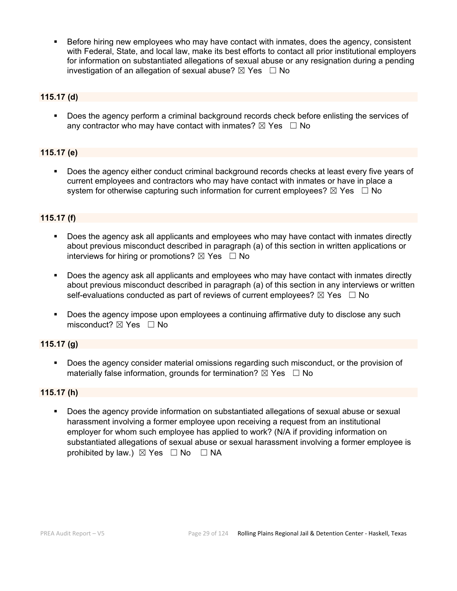Before hiring new employees who may have contact with inmates, does the agency, consistent with Federal, State, and local law, make its best efforts to contact all prior institutional employers for information on substantiated allegations of sexual abuse or any resignation during a pending investigation of an allegation of sexual abuse?  $\boxtimes$  Yes  $\Box$  No

#### **115.17 (d)**

Does the agency perform a criminal background records check before enlisting the services of any contractor who may have contact with inmates?  $\boxtimes$  Yes  $\Box$  No

#### **115.17 (e)**

 Does the agency either conduct criminal background records checks at least every five years of current employees and contractors who may have contact with inmates or have in place a system for otherwise capturing such information for current employees?  $\boxtimes$  Yes  $\Box$  No

#### **115.17 (f)**

- Does the agency ask all applicants and employees who may have contact with inmates directly about previous misconduct described in paragraph (a) of this section in written applications or interviews for hiring or promotions?  $\boxtimes$  Yes  $\Box$  No
- Does the agency ask all applicants and employees who may have contact with inmates directly about previous misconduct described in paragraph (a) of this section in any interviews or written self-evaluations conducted as part of reviews of current employees?  $\boxtimes$  Yes  $\Box$  No
- Does the agency impose upon employees a continuing affirmative duty to disclose any such misconduct?  $\boxtimes$  Yes  $\Box$  No

#### **115.17 (g)**

 Does the agency consider material omissions regarding such misconduct, or the provision of materially false information, grounds for termination?  $\boxtimes$  Yes  $\Box$  No

#### **115.17 (h)**

 Does the agency provide information on substantiated allegations of sexual abuse or sexual harassment involving a former employee upon receiving a request from an institutional employer for whom such employee has applied to work? (N/A if providing information on substantiated allegations of sexual abuse or sexual harassment involving a former employee is prohibited by law.)  $\boxtimes$  Yes  $\Box$  No  $\Box$  NA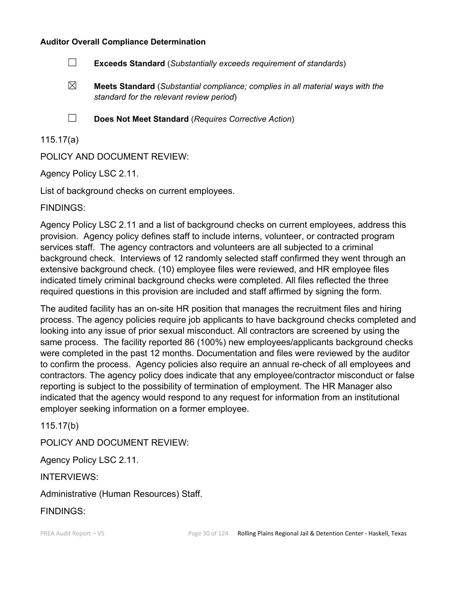#### **Auditor Overall Compliance Determination**

- ☐ **Exceeds Standard** (*Substantially exceeds requirement of standards*)
- ☒ **Meets Standard** (*Substantial compliance; complies in all material ways with the standard for the relevant review period*)
- 
- ☐ **Does Not Meet Standard** (*Requires Corrective Action*)

## 115.17(a)

POLICY AND DOCUMENT REVIEW:

Agency Policy LSC 2.11.

List of background checks on current employees.

FINDINGS:

Agency Policy LSC 2.11 and a list of background checks on current employees, address this provision. Agency policy defines staff to include interns, volunteer, or contracted program services staff. The agency contractors and volunteers are all subjected to a criminal background check. Interviews of 12 randomly selected staff confirmed they went through an extensive background check. (10) employee files were reviewed, and HR employee files indicated timely criminal background checks were completed. All files reflected the three required questions in this provision are included and staff affirmed by signing the form.

The audited facility has an on-site HR position that manages the recruitment files and hiring process. The agency policies require job applicants to have background checks completed and looking into any issue of prior sexual misconduct. All contractors are screened by using the same process. The facility reported 86 (100%) new employees/applicants background checks were completed in the past 12 months. Documentation and files were reviewed by the auditor to confirm the process. Agency policies also require an annual re-check of all employees and contractors. The agency policy does indicate that any employee/contractor misconduct or false reporting is subject to the possibility of termination of employment. The HR Manager also indicated that the agency would respond to any request for information from an institutional employer seeking information on a former employee.

115.17(b)

POLICY AND DOCUMENT REVIEW:

Agency Policy LSC 2.11.

INTERVIEWS:

Administrative (Human Resources) Staff.

FINDINGS: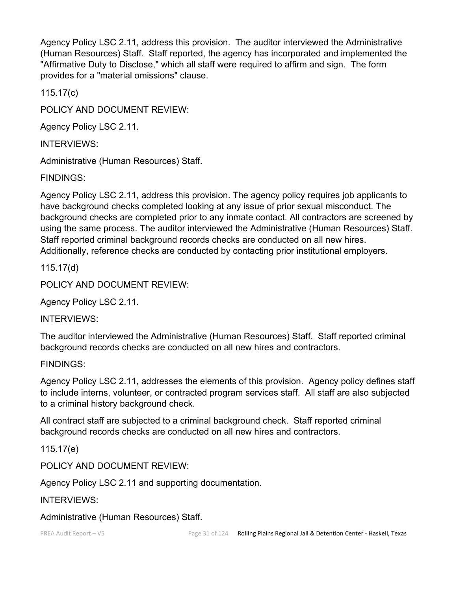Agency Policy LSC 2.11, address this provision. The auditor interviewed the Administrative (Human Resources) Staff. Staff reported, the agency has incorporated and implemented the "Affirmative Duty to Disclose," which all staff were required to affirm and sign. The form provides for a "material omissions" clause.

115.17(c)

POLICY AND DOCUMENT REVIEW:

Agency Policy LSC 2.11.

INTERVIEWS:

Administrative (Human Resources) Staff.

FINDINGS:

Agency Policy LSC 2.11, address this provision. The agency policy requires job applicants to have background checks completed looking at any issue of prior sexual misconduct. The background checks are completed prior to any inmate contact. All contractors are screened by using the same process. The auditor interviewed the Administrative (Human Resources) Staff. Staff reported criminal background records checks are conducted on all new hires. Additionally, reference checks are conducted by contacting prior institutional employers.

115.17(d)

POLICY AND DOCUMENT REVIEW:

Agency Policy LSC 2.11.

INTERVIEWS:

The auditor interviewed the Administrative (Human Resources) Staff. Staff reported criminal background records checks are conducted on all new hires and contractors.

### FINDINGS:

Agency Policy LSC 2.11, addresses the elements of this provision. Agency policy defines staff to include interns, volunteer, or contracted program services staff. All staff are also subjected to a criminal history background check.

All contract staff are subjected to a criminal background check. Staff reported criminal background records checks are conducted on all new hires and contractors.

115.17(e)

POLICY AND DOCUMENT REVIEW:

Agency Policy LSC 2.11 and supporting documentation.

INTERVIEWS:

Administrative (Human Resources) Staff.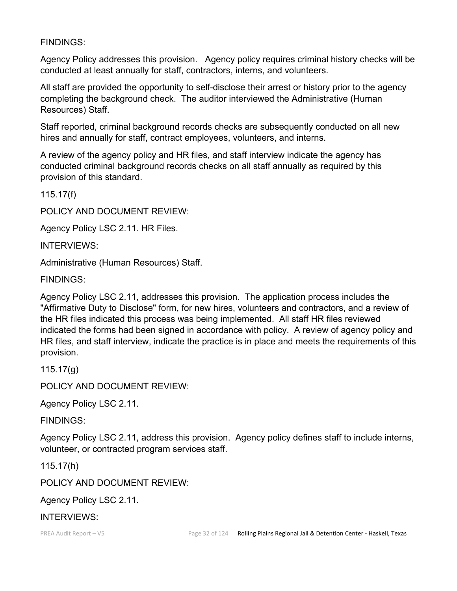## FINDINGS:

Agency Policy addresses this provision. Agency policy requires criminal history checks will be conducted at least annually for staff, contractors, interns, and volunteers.

All staff are provided the opportunity to self-disclose their arrest or history prior to the agency completing the background check. The auditor interviewed the Administrative (Human Resources) Staff.

Staff reported, criminal background records checks are subsequently conducted on all new hires and annually for staff, contract employees, volunteers, and interns.

A review of the agency policy and HR files, and staff interview indicate the agency has conducted criminal background records checks on all staff annually as required by this provision of this standard.

115.17(f)

POLICY AND DOCUMENT REVIEW:

Agency Policy LSC 2.11. HR Files.

INTERVIEWS:

Administrative (Human Resources) Staff.

FINDINGS:

Agency Policy LSC 2.11, addresses this provision. The application process includes the "Affirmative Duty to Disclose" form, for new hires, volunteers and contractors, and a review of the HR files indicated this process was being implemented. All staff HR files reviewed indicated the forms had been signed in accordance with policy. A review of agency policy and HR files, and staff interview, indicate the practice is in place and meets the requirements of this provision.

115.17(g)

POLICY AND DOCUMENT REVIEW:

Agency Policy LSC 2.11.

FINDINGS:

Agency Policy LSC 2.11, address this provision. Agency policy defines staff to include interns, volunteer, or contracted program services staff.

115.17(h)

POLICY AND DOCUMENT REVIEW:

Agency Policy LSC 2.11.

### INTERVIEWS: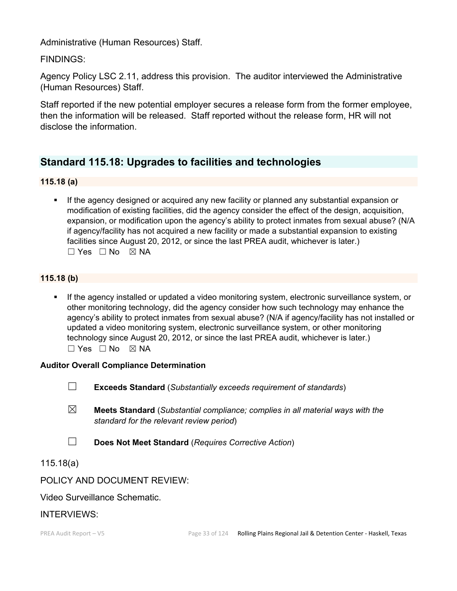Administrative (Human Resources) Staff.

FINDINGS:

Agency Policy LSC 2.11, address this provision. The auditor interviewed the Administrative (Human Resources) Staff.

Staff reported if the new potential employer secures a release form from the former employee, then the information will be released. Staff reported without the release form, HR will not disclose the information.

# **Standard 115.18: Upgrades to facilities and technologies**

#### **115.18 (a)**

 If the agency designed or acquired any new facility or planned any substantial expansion or modification of existing facilities, did the agency consider the effect of the design, acquisition, expansion, or modification upon the agency's ability to protect inmates from sexual abuse? (N/A if agency/facility has not acquired a new facility or made a substantial expansion to existing facilities since August 20, 2012, or since the last PREA audit, whichever is later.)  $\Box$  Yes  $\Box$  No  $\boxtimes$  NA

### **115.18 (b)**

 If the agency installed or updated a video monitoring system, electronic surveillance system, or other monitoring technology, did the agency consider how such technology may enhance the agency's ability to protect inmates from sexual abuse? (N/A if agency/facility has not installed or updated a video monitoring system, electronic surveillance system, or other monitoring technology since August 20, 2012, or since the last PREA audit, whichever is later.)  $\square$  Yes  $\square$  No  $\square$  NA

#### **Auditor Overall Compliance Determination**

- ☐ **Exceeds Standard** (*Substantially exceeds requirement of standards*)
- ☒ **Meets Standard** (*Substantial compliance; complies in all material ways with the standard for the relevant review period*)
- ☐ **Does Not Meet Standard** (*Requires Corrective Action*)

### 115.18(a)

POLICY AND DOCUMENT REVIEW:

Video Surveillance Schematic.

### INTERVIEWS: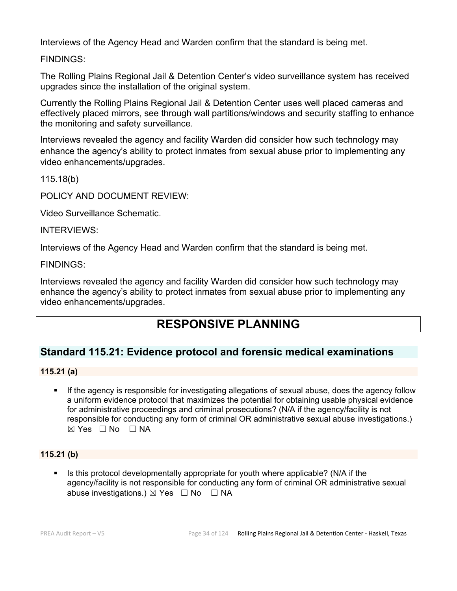Interviews of the Agency Head and Warden confirm that the standard is being met.

FINDINGS:

The Rolling Plains Regional Jail & Detention Center's video surveillance system has received upgrades since the installation of the original system.

Currently the Rolling Plains Regional Jail & Detention Center uses well placed cameras and effectively placed mirrors, see through wall partitions/windows and security staffing to enhance the monitoring and safety surveillance.

Interviews revealed the agency and facility Warden did consider how such technology may enhance the agency's ability to protect inmates from sexual abuse prior to implementing any video enhancements/upgrades.

115.18(b)

POLICY AND DOCUMENT REVIEW:

Video Surveillance Schematic.

#### INTERVIEWS:

Interviews of the Agency Head and Warden confirm that the standard is being met.

FINDINGS:

Interviews revealed the agency and facility Warden did consider how such technology may enhance the agency's ability to protect inmates from sexual abuse prior to implementing any video enhancements/upgrades.

# **RESPONSIVE PLANNING**

# **Standard 115.21: Evidence protocol and forensic medical examinations**

#### **115.21 (a)**

If the agency is responsible for investigating allegations of sexual abuse, does the agency follow a uniform evidence protocol that maximizes the potential for obtaining usable physical evidence for administrative proceedings and criminal prosecutions? (N/A if the agency/facility is not responsible for conducting any form of criminal OR administrative sexual abuse investigations.) ☒ Yes ☐ No ☐ NA

### **115.21 (b)**

 $\blacksquare$  Is this protocol developmentally appropriate for youth where applicable? (N/A if the agency/facility is not responsible for conducting any form of criminal OR administrative sexual abuse investigations.)  $\boxtimes$  Yes  $\Box$  No  $\Box$  NA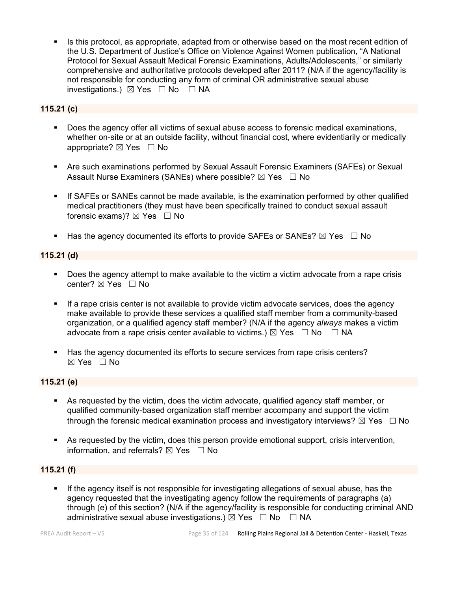Is this protocol, as appropriate, adapted from or otherwise based on the most recent edition of the U.S. Department of Justice's Office on Violence Against Women publication, "A National Protocol for Sexual Assault Medical Forensic Examinations, Adults/Adolescents," or similarly comprehensive and authoritative protocols developed after 2011? (N/A if the agency/facility is not responsible for conducting any form of criminal OR administrative sexual abuse investigations.)  $\boxtimes$  Yes  $\Box$  No  $\Box$  NA

### **115.21 (c)**

- Does the agency offer all victims of sexual abuse access to forensic medical examinations, whether on-site or at an outside facility, without financial cost, where evidentiarily or medically appropriate? ⊠ Yes □ No
- Are such examinations performed by Sexual Assault Forensic Examiners (SAFEs) or Sexual Assault Nurse Examiners (SANEs) where possible?  $\boxtimes$  Yes  $\Box$  No
- If SAFEs or SANEs cannot be made available, is the examination performed by other qualified medical practitioners (they must have been specifically trained to conduct sexual assault forensic exams)?  $\boxtimes$  Yes  $\Box$  No
- Has the agency documented its efforts to provide SAFEs or SANEs?  $\boxtimes$  Yes  $\Box$  No

#### **115.21 (d)**

- Does the agency attempt to make available to the victim a victim advocate from a rape crisis center? ⊠ Yes □ No
- If a rape crisis center is not available to provide victim advocate services, does the agency make available to provide these services a qualified staff member from a community-based organization, or a qualified agency staff member? (N/A if the agency *always* makes a victim advocate from a rape crisis center available to victims.)  $\boxtimes$  Yes  $\Box$  No  $\Box$  NA
- Has the agency documented its efforts to secure services from rape crisis centers? ☒ Yes ☐ No

### **115.21 (e)**

- As requested by the victim, does the victim advocate, qualified agency staff member, or qualified community-based organization staff member accompany and support the victim through the forensic medical examination process and investigatory interviews?  $\boxtimes$  Yes  $\Box$  No
- As requested by the victim, does this person provide emotional support, crisis intervention, information, and referrals?  $\boxtimes$  Yes  $\Box$  No

#### **115.21 (f)**

 If the agency itself is not responsible for investigating allegations of sexual abuse, has the agency requested that the investigating agency follow the requirements of paragraphs (a) through (e) of this section? (N/A if the agency/facility is responsible for conducting criminal AND administrative sexual abuse investigations.)  $\boxtimes$  Yes  $\Box$  No  $\Box$  NA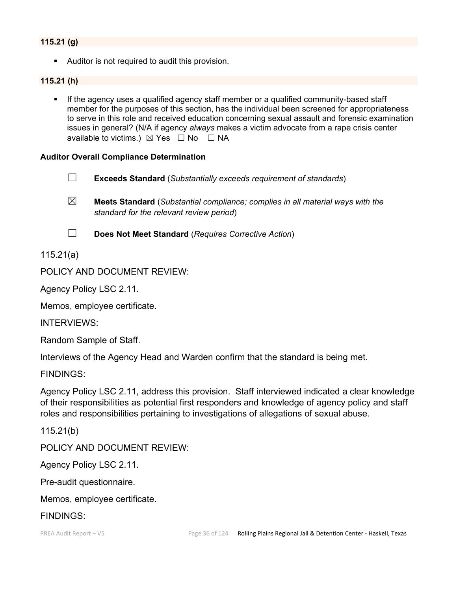#### **115.21 (g)**

Auditor is not required to audit this provision.

#### **115.21 (h)**

 If the agency uses a qualified agency staff member or a qualified community-based staff member for the purposes of this section, has the individual been screened for appropriateness to serve in this role and received education concerning sexual assault and forensic examination issues in general? (N/A if agency *always* makes a victim advocate from a rape crisis center available to victims.)  $\boxtimes$  Yes  $\Box$  No  $\Box$  NA

#### **Auditor Overall Compliance Determination**

- ☐ **Exceeds Standard** (*Substantially exceeds requirement of standards*)
- ☒ **Meets Standard** (*Substantial compliance; complies in all material ways with the standard for the relevant review period*)
- 
- ☐ **Does Not Meet Standard** (*Requires Corrective Action*)

115.21(a)

POLICY AND DOCUMENT REVIEW:

Agency Policy LSC 2.11.

Memos, employee certificate.

INTERVIEWS:

Random Sample of Staff.

Interviews of the Agency Head and Warden confirm that the standard is being met.

FINDINGS:

Agency Policy LSC 2.11, address this provision. Staff interviewed indicated a clear knowledge of their responsibilities as potential first responders and knowledge of agency policy and staff roles and responsibilities pertaining to investigations of allegations of sexual abuse.

115.21(b)

POLICY AND DOCUMENT REVIEW:

Agency Policy LSC 2.11.

Pre-audit questionnaire.

Memos, employee certificate.

#### FINDINGS: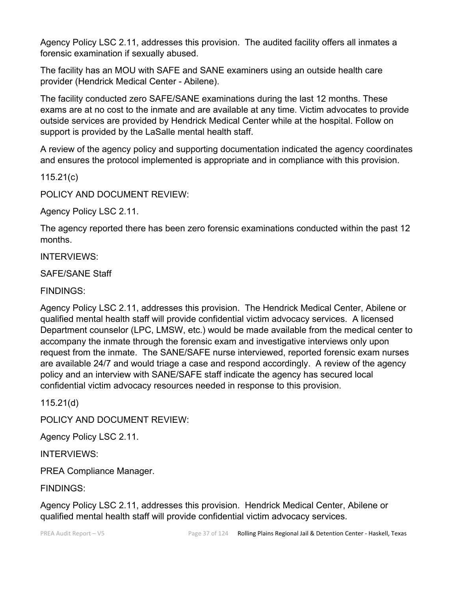Agency Policy LSC 2.11, addresses this provision. The audited facility offers all inmates a forensic examination if sexually abused.

The facility has an MOU with SAFE and SANE examiners using an outside health care provider (Hendrick Medical Center - Abilene).

The facility conducted zero SAFE/SANE examinations during the last 12 months. These exams are at no cost to the inmate and are available at any time. Victim advocates to provide outside services are provided by Hendrick Medical Center while at the hospital. Follow on support is provided by the LaSalle mental health staff.

A review of the agency policy and supporting documentation indicated the agency coordinates and ensures the protocol implemented is appropriate and in compliance with this provision.

115.21(c)

POLICY AND DOCUMENT REVIEW:

Agency Policy LSC 2.11.

The agency reported there has been zero forensic examinations conducted within the past 12 months.

INTERVIEWS:

SAFE/SANE Staff

FINDINGS:

Agency Policy LSC 2.11, addresses this provision. The Hendrick Medical Center, Abilene or qualified mental health staff will provide confidential victim advocacy services. A licensed Department counselor (LPC, LMSW, etc.) would be made available from the medical center to accompany the inmate through the forensic exam and investigative interviews only upon request from the inmate. The SANE/SAFE nurse interviewed, reported forensic exam nurses are available 24/7 and would triage a case and respond accordingly. A review of the agency policy and an interview with SANE/SAFE staff indicate the agency has secured local confidential victim advocacy resources needed in response to this provision.

115.21(d)

POLICY AND DOCUMENT REVIEW:

Agency Policy LSC 2.11.

INTERVIEWS:

PREA Compliance Manager.

FINDINGS:

Agency Policy LSC 2.11, addresses this provision. Hendrick Medical Center, Abilene or qualified mental health staff will provide confidential victim advocacy services.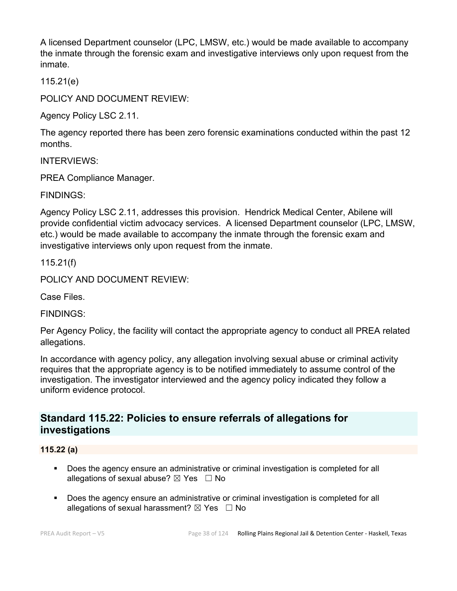A licensed Department counselor (LPC, LMSW, etc.) would be made available to accompany the inmate through the forensic exam and investigative interviews only upon request from the inmate.

115.21(e)

POLICY AND DOCUMENT REVIEW:

Agency Policy LSC 2.11.

The agency reported there has been zero forensic examinations conducted within the past 12 months.

INTERVIEWS:

PREA Compliance Manager.

FINDINGS:

Agency Policy LSC 2.11, addresses this provision. Hendrick Medical Center, Abilene will provide confidential victim advocacy services. A licensed Department counselor (LPC, LMSW, etc.) would be made available to accompany the inmate through the forensic exam and investigative interviews only upon request from the inmate.

115.21(f)

POLICY AND DOCUMENT REVIEW:

Case Files.

FINDINGS:

Per Agency Policy, the facility will contact the appropriate agency to conduct all PREA related allegations.

In accordance with agency policy, any allegation involving sexual abuse or criminal activity requires that the appropriate agency is to be notified immediately to assume control of the investigation. The investigator interviewed and the agency policy indicated they follow a uniform evidence protocol.

# **Standard 115.22: Policies to ensure referrals of allegations for investigations**

#### **115.22 (a)**

- **Does the agency ensure an administrative or criminal investigation is completed for all** allegations of sexual abuse?  $\boxtimes$  Yes  $\Box$  No
- Does the agency ensure an administrative or criminal investigation is completed for all allegations of sexual harassment?  $\boxtimes$  Yes  $\Box$  No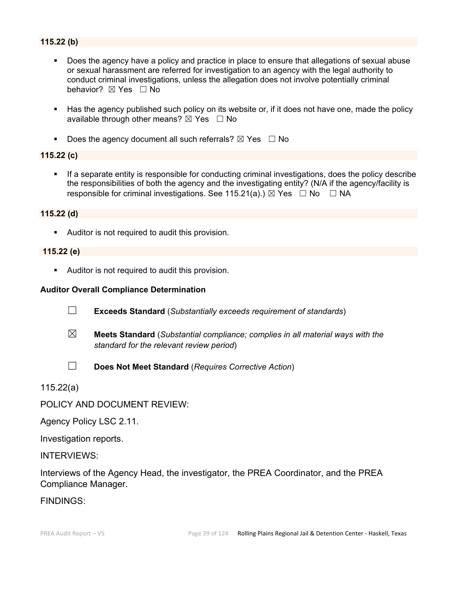### **115.22 (b)**

- Does the agency have a policy and practice in place to ensure that allegations of sexual abuse or sexual harassment are referred for investigation to an agency with the legal authority to conduct criminal investigations, unless the allegation does not involve potentially criminal behavior? **⊠** Yes □ No
- Has the agency published such policy on its website or, if it does not have one, made the policy available through other means?  $\boxtimes$  Yes  $\Box$  No
- Does the agency document all such referrals?  $\boxtimes$  Yes  $\Box$  No

#### **115.22 (c)**

 If a separate entity is responsible for conducting criminal investigations, does the policy describe the responsibilities of both the agency and the investigating entity? (N/A if the agency/facility is responsible for criminal investigations. See 115.21(a).)  $\boxtimes$  Yes  $\Box$  No  $\Box$  NA

#### **115.22 (d)**

Auditor is not required to audit this provision.

#### **115.22 (e)**

Auditor is not required to audit this provision.

#### **Auditor Overall Compliance Determination**

- ☐ **Exceeds Standard** (*Substantially exceeds requirement of standards*)
- ☒ **Meets Standard** (*Substantial compliance; complies in all material ways with the standard for the relevant review period*)
- 
- ☐ **Does Not Meet Standard** (*Requires Corrective Action*)

115.22(a)

POLICY AND DOCUMENT REVIEW:

Agency Policy LSC 2.11.

Investigation reports.

INTERVIEWS:

Interviews of the Agency Head, the investigator, the PREA Coordinator, and the PREA Compliance Manager.

FINDINGS: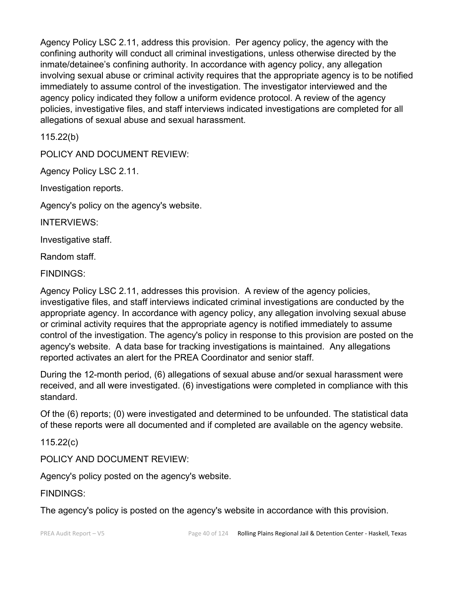Agency Policy LSC 2.11, address this provision. Per agency policy, the agency with the confining authority will conduct all criminal investigations, unless otherwise directed by the inmate/detainee's confining authority. In accordance with agency policy, any allegation involving sexual abuse or criminal activity requires that the appropriate agency is to be notified immediately to assume control of the investigation. The investigator interviewed and the agency policy indicated they follow a uniform evidence protocol. A review of the agency policies, investigative files, and staff interviews indicated investigations are completed for all allegations of sexual abuse and sexual harassment.

115.22(b)

POLICY AND DOCUMENT REVIEW:

Agency Policy LSC 2.11.

Investigation reports.

Agency's policy on the agency's website.

INTERVIEWS:

Investigative staff.

Random staff.

FINDINGS:

Agency Policy LSC 2.11, addresses this provision. A review of the agency policies, investigative files, and staff interviews indicated criminal investigations are conducted by the appropriate agency. In accordance with agency policy, any allegation involving sexual abuse or criminal activity requires that the appropriate agency is notified immediately to assume control of the investigation. The agency's policy in response to this provision are posted on the agency's website. A data base for tracking investigations is maintained. Any allegations reported activates an alert for the PREA Coordinator and senior staff.

During the 12-month period, (6) allegations of sexual abuse and/or sexual harassment were received, and all were investigated. (6) investigations were completed in compliance with this standard.

Of the (6) reports; (0) were investigated and determined to be unfounded. The statistical data of these reports were all documented and if completed are available on the agency website.

115.22(c)

POLICY AND DOCUMENT REVIEW:

Agency's policy posted on the agency's website.

FINDINGS:

The agency's policy is posted on the agency's website in accordance with this provision.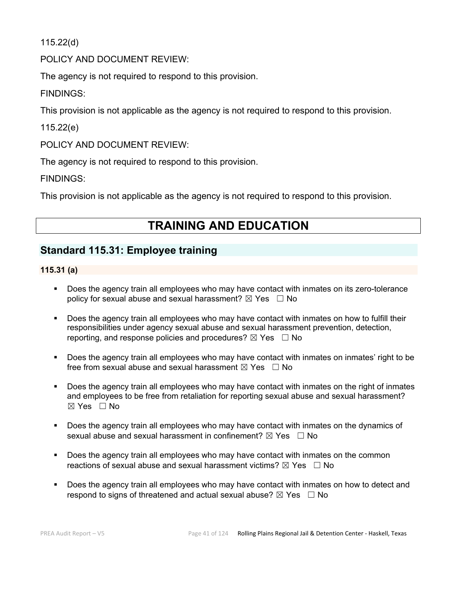115.22(d)

POLICY AND DOCUMENT REVIEW:

The agency is not required to respond to this provision.

FINDINGS:

This provision is not applicable as the agency is not required to respond to this provision.

115.22(e)

POLICY AND DOCUMENT REVIEW:

The agency is not required to respond to this provision.

FINDINGS:

This provision is not applicable as the agency is not required to respond to this provision.

# **TRAINING AND EDUCATION**

# **Standard 115.31: Employee training**

#### **115.31 (a)**

- Does the agency train all employees who may have contact with inmates on its zero-tolerance policy for sexual abuse and sexual harassment?  $\boxtimes$  Yes  $\Box$  No
- Does the agency train all employees who may have contact with inmates on how to fulfill their responsibilities under agency sexual abuse and sexual harassment prevention, detection, reporting, and response policies and procedures?  $\boxtimes$  Yes  $\Box$  No
- Does the agency train all employees who may have contact with inmates on inmates' right to be free from sexual abuse and sexual harassment  $\boxtimes$  Yes  $\Box$  No
- Does the agency train all employees who may have contact with inmates on the right of inmates and employees to be free from retaliation for reporting sexual abuse and sexual harassment?  $\boxtimes$  Yes  $\Box$  No
- Does the agency train all employees who may have contact with inmates on the dynamics of sexual abuse and sexual harassment in confinement?  $\boxtimes$  Yes  $\Box$  No
- **Does the agency train all employees who may have contact with inmates on the common** reactions of sexual abuse and sexual harassment victims?  $\boxtimes$  Yes  $\Box$  No
- Does the agency train all employees who may have contact with inmates on how to detect and respond to signs of threatened and actual sexual abuse?  $\boxtimes$  Yes  $\Box$  No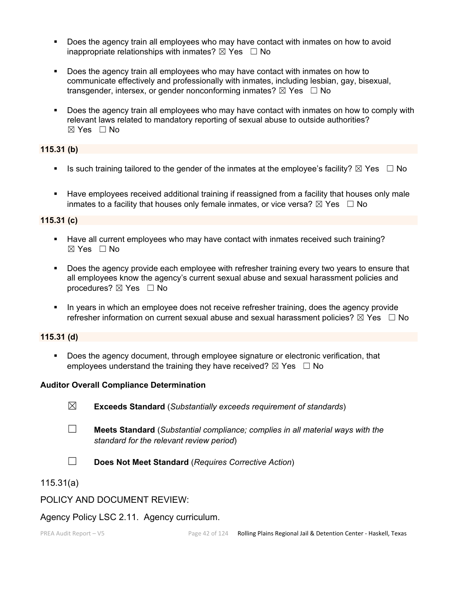- Does the agency train all employees who may have contact with inmates on how to avoid inappropriate relationships with inmates?  $\boxtimes$  Yes  $\Box$  No
- Does the agency train all employees who may have contact with inmates on how to communicate effectively and professionally with inmates, including lesbian, gay, bisexual, transgender, intersex, or gender nonconforming inmates?  $\boxtimes$  Yes  $\Box$  No
- Does the agency train all employees who may have contact with inmates on how to comply with relevant laws related to mandatory reporting of sexual abuse to outside authorities?  $\boxtimes$  Yes  $\Box$  No

# **115.31 (b)**

- Is such training tailored to the gender of the inmates at the employee's facility?  $\boxtimes$  Yes  $\Box$  No
- Have employees received additional training if reassigned from a facility that houses only male inmates to a facility that houses only female inmates, or vice versa?  $\boxtimes$  Yes  $\Box$  No

#### **115.31 (c)**

- Have all current employees who may have contact with inmates received such training?  $\boxtimes$  Yes  $\Box$  No
- Does the agency provide each employee with refresher training every two years to ensure that all employees know the agency's current sexual abuse and sexual harassment policies and procedures?  $\boxtimes$  Yes  $\Box$  No
- **IF** In years in which an employee does not receive refresher training, does the agency provide refresher information on current sexual abuse and sexual harassment policies?  $\boxtimes$  Yes  $\Box$  No

### **115.31 (d)**

 Does the agency document, through employee signature or electronic verification, that employees understand the training they have received?  $\boxtimes$  Yes  $\Box$  No

#### **Auditor Overall Compliance Determination**

- ☒ **Exceeds Standard** (*Substantially exceeds requirement of standards*)
- ☐ **Meets Standard** (*Substantial compliance; complies in all material ways with the standard for the relevant review period*)
- ☐ **Does Not Meet Standard** (*Requires Corrective Action*)
- 115.31(a)

#### POLICY AND DOCUMENT REVIEW:

#### Agency Policy LSC 2.11. Agency curriculum.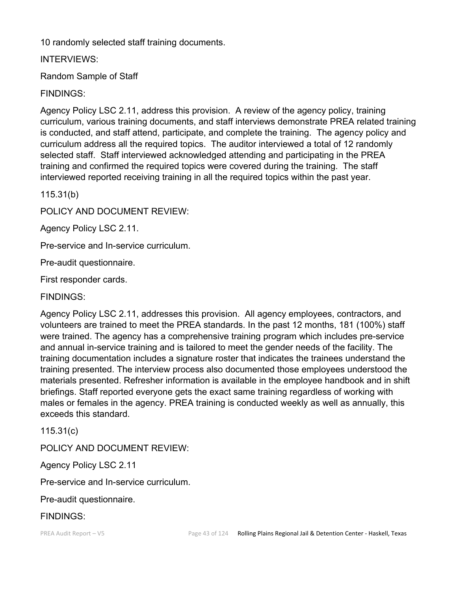10 randomly selected staff training documents.

INTERVIEWS:

Random Sample of Staff

FINDINGS:

Agency Policy LSC 2.11, address this provision. A review of the agency policy, training curriculum, various training documents, and staff interviews demonstrate PREA related training is conducted, and staff attend, participate, and complete the training. The agency policy and curriculum address all the required topics. The auditor interviewed a total of 12 randomly selected staff. Staff interviewed acknowledged attending and participating in the PREA training and confirmed the required topics were covered during the training. The staff interviewed reported receiving training in all the required topics within the past year.

115.31(b)

POLICY AND DOCUMENT REVIEW:

Agency Policy LSC 2.11.

Pre-service and In-service curriculum.

Pre-audit questionnaire.

First responder cards.

FINDINGS:

Agency Policy LSC 2.11, addresses this provision. All agency employees, contractors, and volunteers are trained to meet the PREA standards. In the past 12 months, 181 (100%) staff were trained. The agency has a comprehensive training program which includes pre-service and annual in-service training and is tailored to meet the gender needs of the facility. The training documentation includes a signature roster that indicates the trainees understand the training presented. The interview process also documented those employees understood the materials presented. Refresher information is available in the employee handbook and in shift briefings. Staff reported everyone gets the exact same training regardless of working with males or females in the agency. PREA training is conducted weekly as well as annually, this exceeds this standard.

115.31(c)

POLICY AND DOCUMENT REVIEW:

Agency Policy LSC 2.11

Pre-service and In-service curriculum.

Pre-audit questionnaire.

FINDINGS: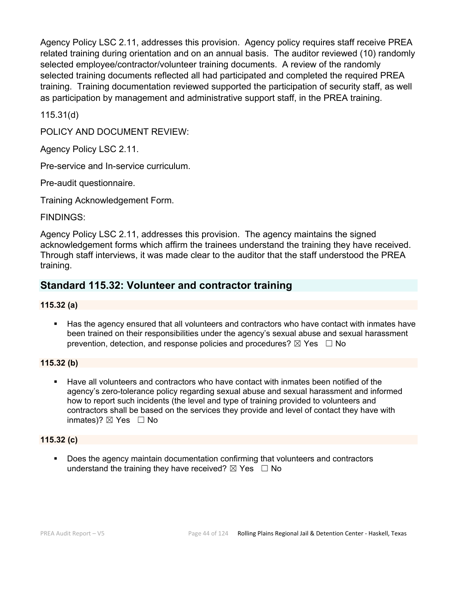Agency Policy LSC 2.11, addresses this provision. Agency policy requires staff receive PREA related training during orientation and on an annual basis. The auditor reviewed (10) randomly selected employee/contractor/volunteer training documents. A review of the randomly selected training documents reflected all had participated and completed the required PREA training. Training documentation reviewed supported the participation of security staff, as well as participation by management and administrative support staff, in the PREA training.

115.31(d)

POLICY AND DOCUMENT REVIEW:

Agency Policy LSC 2.11.

Pre-service and In-service curriculum.

Pre-audit questionnaire.

Training Acknowledgement Form.

#### FINDINGS:

Agency Policy LSC 2.11, addresses this provision. The agency maintains the signed acknowledgement forms which affirm the trainees understand the training they have received. Through staff interviews, it was made clear to the auditor that the staff understood the PREA training.

# **Standard 115.32: Volunteer and contractor training**

#### **115.32 (a)**

 Has the agency ensured that all volunteers and contractors who have contact with inmates have been trained on their responsibilities under the agency's sexual abuse and sexual harassment prevention, detection, and response policies and procedures?  $\boxtimes$  Yes  $\Box$  No

#### **115.32 (b)**

 Have all volunteers and contractors who have contact with inmates been notified of the agency's zero-tolerance policy regarding sexual abuse and sexual harassment and informed how to report such incidents (the level and type of training provided to volunteers and contractors shall be based on the services they provide and level of contact they have with inmates)?  $\boxtimes$  Yes  $\Box$  No

#### **115.32 (c)**

 Does the agency maintain documentation confirming that volunteers and contractors understand the training they have received?  $\boxtimes$  Yes  $\Box$  No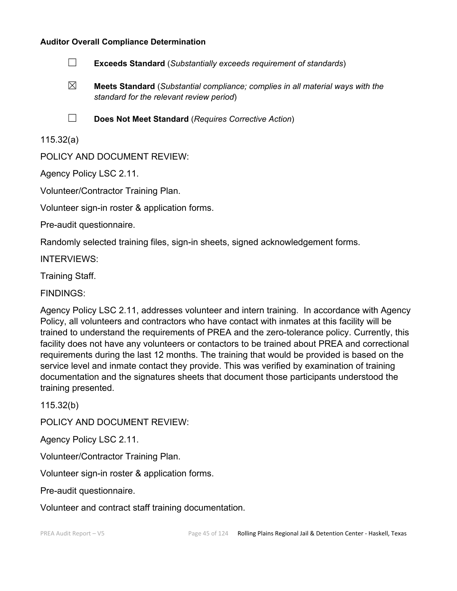#### **Auditor Overall Compliance Determination**

- ☐ **Exceeds Standard** (*Substantially exceeds requirement of standards*)
- ☒ **Meets Standard** (*Substantial compliance; complies in all material ways with the standard for the relevant review period*)
- 
- ☐ **Does Not Meet Standard** (*Requires Corrective Action*)

115.32(a)

POLICY AND DOCUMENT REVIEW:

Agency Policy LSC 2.11.

Volunteer/Contractor Training Plan.

Volunteer sign-in roster & application forms.

Pre-audit questionnaire.

Randomly selected training files, sign-in sheets, signed acknowledgement forms.

INTERVIEWS:

Training Staff.

FINDINGS:

Agency Policy LSC 2.11, addresses volunteer and intern training. In accordance with Agency Policy, all volunteers and contractors who have contact with inmates at this facility will be trained to understand the requirements of PREA and the zero-tolerance policy. Currently, this facility does not have any volunteers or contactors to be trained about PREA and correctional requirements during the last 12 months. The training that would be provided is based on the service level and inmate contact they provide. This was verified by examination of training documentation and the signatures sheets that document those participants understood the training presented.

115.32(b)

POLICY AND DOCUMENT REVIEW:

Agency Policy LSC 2.11.

Volunteer/Contractor Training Plan.

Volunteer sign-in roster & application forms.

Pre-audit questionnaire.

Volunteer and contract staff training documentation.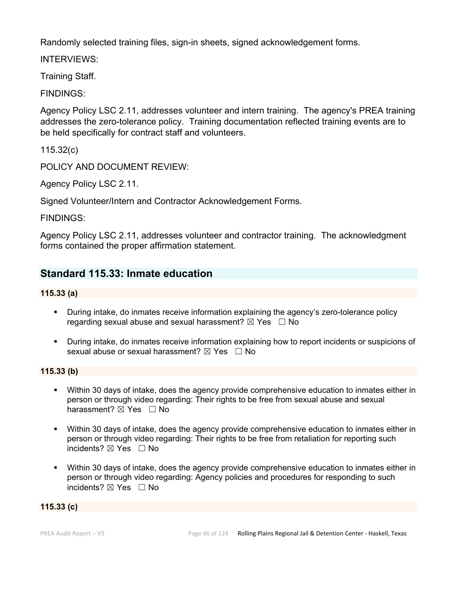Randomly selected training files, sign-in sheets, signed acknowledgement forms.

INTERVIEWS:

Training Staff.

FINDINGS:

Agency Policy LSC 2.11, addresses volunteer and intern training. The agency's PREA training addresses the zero-tolerance policy. Training documentation reflected training events are to be held specifically for contract staff and volunteers.

115.32(c)

POLICY AND DOCUMENT REVIEW:

Agency Policy LSC 2.11.

Signed Volunteer/Intern and Contractor Acknowledgement Forms.

FINDINGS:

Agency Policy LSC 2.11, addresses volunteer and contractor training. The acknowledgment forms contained the proper affirmation statement.

# **Standard 115.33: Inmate education**

#### **115.33 (a)**

- During intake, do inmates receive information explaining the agency's zero-tolerance policy regarding sexual abuse and sexual harassment?  $\boxtimes$  Yes  $\Box$  No
- During intake, do inmates receive information explaining how to report incidents or suspicions of sexual abuse or sexual harassment?  $\boxtimes$  Yes  $\Box$  No

#### **115.33 (b)**

- Within 30 days of intake, does the agency provide comprehensive education to inmates either in person or through video regarding: Their rights to be free from sexual abuse and sexual harassment? ⊠ Yes □ No
- Within 30 days of intake, does the agency provide comprehensive education to inmates either in person or through video regarding: Their rights to be free from retaliation for reporting such incidents? ⊠ Yes □ No
- Within 30 days of intake, does the agency provide comprehensive education to inmates either in person or through video regarding: Agency policies and procedures for responding to such incidents?  $\boxtimes$  Yes  $\Box$  No

#### **115.33 (c)**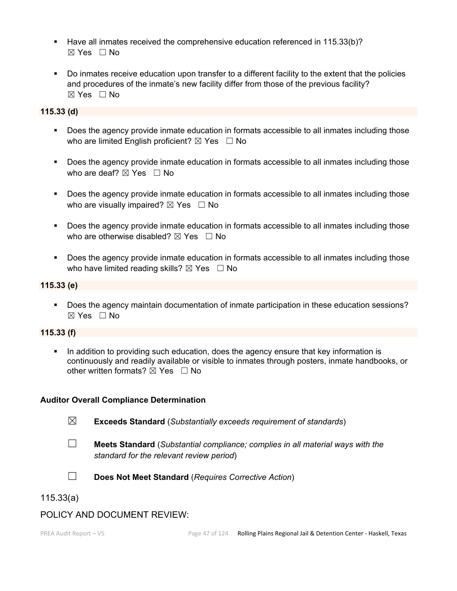- Have all inmates received the comprehensive education referenced in 115.33(b)? ☒ Yes ☐ No
- Do inmates receive education upon transfer to a different facility to the extent that the policies and procedures of the inmate's new facility differ from those of the previous facility? ☒ Yes ☐ No

#### **115.33 (d)**

- **Does the agency provide inmate education in formats accessible to all inmates including those** who are limited English proficient?  $\boxtimes$  Yes  $\Box$  No
- Does the agency provide inmate education in formats accessible to all inmates including those who are deaf?  $\boxtimes$  Yes  $\Box$  No
- Does the agency provide inmate education in formats accessible to all inmates including those who are visually impaired?  $\boxtimes$  Yes  $\Box$  No
- Does the agency provide inmate education in formats accessible to all inmates including those who are otherwise disabled?  $\boxtimes$  Yes  $\Box$  No
- **Does the agency provide inmate education in formats accessible to all inmates including those** who have limited reading skills?  $\boxtimes$  Yes  $\Box$  No

#### **115.33 (e)**

 Does the agency maintain documentation of inmate participation in these education sessions? ☒ Yes ☐ No

#### **115.33 (f)**

 In addition to providing such education, does the agency ensure that key information is continuously and readily available or visible to inmates through posters, inmate handbooks, or other written formats?  $\boxtimes$  Yes  $\Box$  No

#### **Auditor Overall Compliance Determination**

- ☒ **Exceeds Standard** (*Substantially exceeds requirement of standards*)
- ☐ **Meets Standard** (*Substantial compliance; complies in all material ways with the standard for the relevant review period*)



☐ **Does Not Meet Standard** (*Requires Corrective Action*)

115.33(a)

#### POLICY AND DOCUMENT REVIEW: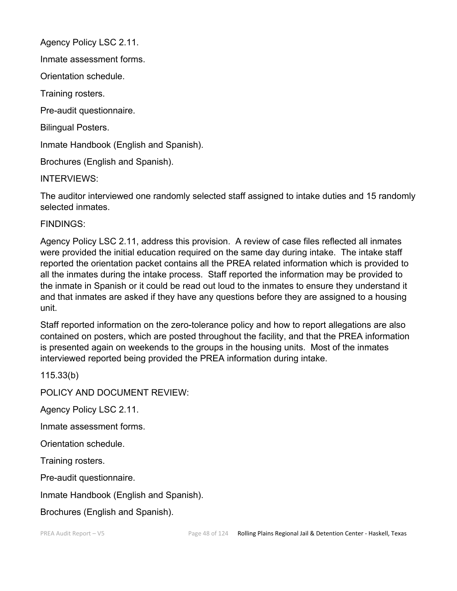Agency Policy LSC 2.11.

Inmate assessment forms.

Orientation schedule.

Training rosters.

Pre-audit questionnaire.

Bilingual Posters.

Inmate Handbook (English and Spanish).

Brochures (English and Spanish).

INTERVIEWS:

The auditor interviewed one randomly selected staff assigned to intake duties and 15 randomly selected inmates.

FINDINGS:

Agency Policy LSC 2.11, address this provision. A review of case files reflected all inmates were provided the initial education required on the same day during intake. The intake staff reported the orientation packet contains all the PREA related information which is provided to all the inmates during the intake process. Staff reported the information may be provided to the inmate in Spanish or it could be read out loud to the inmates to ensure they understand it and that inmates are asked if they have any questions before they are assigned to a housing unit.

Staff reported information on the zero-tolerance policy and how to report allegations are also contained on posters, which are posted throughout the facility, and that the PREA information is presented again on weekends to the groups in the housing units. Most of the inmates interviewed reported being provided the PREA information during intake.

115.33(b)

POLICY AND DOCUMENT REVIEW:

Agency Policy LSC 2.11.

Inmate assessment forms.

Orientation schedule.

Training rosters.

Pre-audit questionnaire.

Inmate Handbook (English and Spanish).

Brochures (English and Spanish).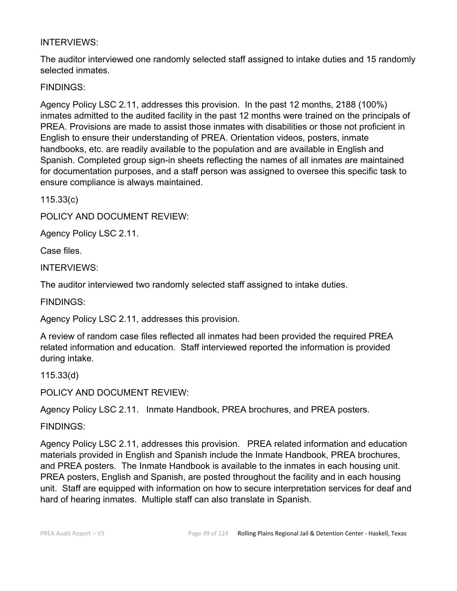# INTERVIEWS:

The auditor interviewed one randomly selected staff assigned to intake duties and 15 randomly selected inmates.

# FINDINGS:

Agency Policy LSC 2.11, addresses this provision. In the past 12 months, 2188 (100%) inmates admitted to the audited facility in the past 12 months were trained on the principals of PREA. Provisions are made to assist those inmates with disabilities or those not proficient in English to ensure their understanding of PREA. Orientation videos, posters, inmate handbooks, etc. are readily available to the population and are available in English and Spanish. Completed group sign-in sheets reflecting the names of all inmates are maintained for documentation purposes, and a staff person was assigned to oversee this specific task to ensure compliance is always maintained.

115.33(c)

POLICY AND DOCUMENT REVIEW:

Agency Policy LSC 2.11.

Case files.

INTERVIEWS:

The auditor interviewed two randomly selected staff assigned to intake duties.

FINDINGS:

Agency Policy LSC 2.11, addresses this provision.

A review of random case files reflected all inmates had been provided the required PREA related information and education. Staff interviewed reported the information is provided during intake.

115.33(d)

POLICY AND DOCUMENT REVIEW:

Agency Policy LSC 2.11. Inmate Handbook, PREA brochures, and PREA posters.

FINDINGS:

Agency Policy LSC 2.11, addresses this provision. PREA related information and education materials provided in English and Spanish include the Inmate Handbook, PREA brochures, and PREA posters. The Inmate Handbook is available to the inmates in each housing unit. PREA posters, English and Spanish, are posted throughout the facility and in each housing unit. Staff are equipped with information on how to secure interpretation services for deaf and hard of hearing inmates. Multiple staff can also translate in Spanish.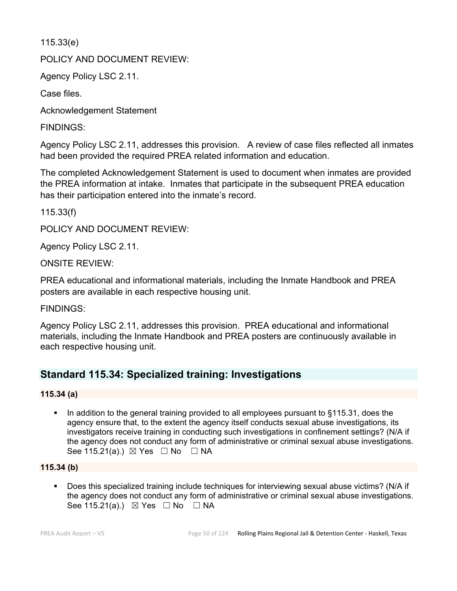115.33(e)

POLICY AND DOCUMENT REVIEW:

Agency Policy LSC 2.11.

Case files.

Acknowledgement Statement

FINDINGS:

Agency Policy LSC 2.11, addresses this provision. A review of case files reflected all inmates had been provided the required PREA related information and education.

The completed Acknowledgement Statement is used to document when inmates are provided the PREA information at intake. Inmates that participate in the subsequent PREA education has their participation entered into the inmate's record.

115.33(f)

POLICY AND DOCUMENT REVIEW:

Agency Policy LSC 2.11.

ONSITE REVIEW:

PREA educational and informational materials, including the Inmate Handbook and PREA posters are available in each respective housing unit.

FINDINGS:

Agency Policy LSC 2.11, addresses this provision. PREA educational and informational materials, including the Inmate Handbook and PREA posters are continuously available in each respective housing unit.

# **Standard 115.34: Specialized training: Investigations**

# **115.34 (a)**

 In addition to the general training provided to all employees pursuant to §115.31, does the agency ensure that, to the extent the agency itself conducts sexual abuse investigations, its investigators receive training in conducting such investigations in confinement settings? (N/A if the agency does not conduct any form of administrative or criminal sexual abuse investigations. See 115.21(a).)  $\boxtimes$  Yes  $\Box$  No  $\Box$  NA

#### **115.34 (b)**

 Does this specialized training include techniques for interviewing sexual abuse victims? (N/A if the agency does not conduct any form of administrative or criminal sexual abuse investigations. See 115.21(a).)  $\boxtimes$  Yes  $\Box$  No  $\Box$  NA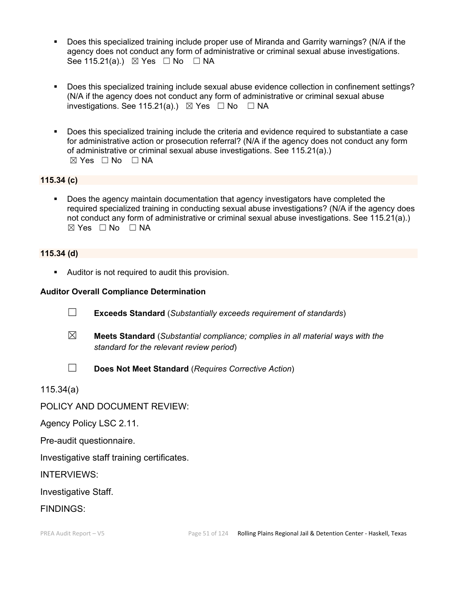- Does this specialized training include proper use of Miranda and Garrity warnings? (N/A if the agency does not conduct any form of administrative or criminal sexual abuse investigations. See 115.21(a).)  $\boxtimes$  Yes  $\Box$  No  $\Box$  NA
- Does this specialized training include sexual abuse evidence collection in confinement settings? (N/A if the agency does not conduct any form of administrative or criminal sexual abuse investigations. See 115.21(a).)  $\boxtimes$  Yes  $\Box$  No  $\Box$  NA
- Does this specialized training include the criteria and evidence required to substantiate a case for administrative action or prosecution referral? (N/A if the agency does not conduct any form of administrative or criminal sexual abuse investigations. See 115.21(a).)  $\boxtimes$  Yes  $\Box$  No  $\Box$  NA

#### **115.34 (c)**

 Does the agency maintain documentation that agency investigators have completed the required specialized training in conducting sexual abuse investigations? (N/A if the agency does not conduct any form of administrative or criminal sexual abuse investigations. See 115.21(a).)  $\boxtimes$  Yes  $\Box$  No  $\Box$  NA

#### **115.34 (d)**

**Auditor is not required to audit this provision.** 

#### **Auditor Overall Compliance Determination**

- ☐ **Exceeds Standard** (*Substantially exceeds requirement of standards*)
- ☒ **Meets Standard** (*Substantial compliance; complies in all material ways with the standard for the relevant review period*)
- 
- ☐ **Does Not Meet Standard** (*Requires Corrective Action*)

115.34(a)

POLICY AND DOCUMENT REVIEW:

Agency Policy LSC 2.11.

Pre-audit questionnaire.

Investigative staff training certificates.

INTERVIEWS:

Investigative Staff.

FINDINGS: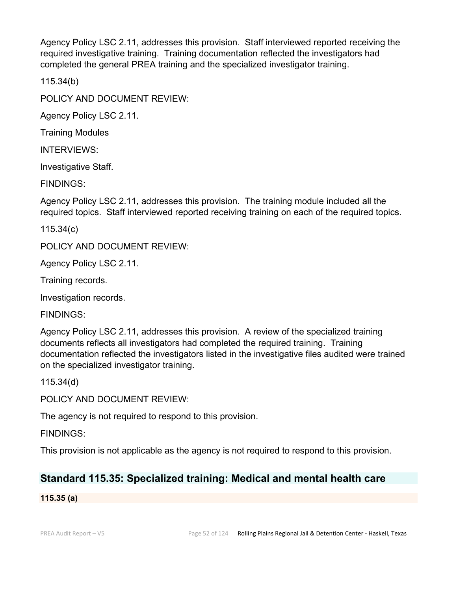Agency Policy LSC 2.11, addresses this provision. Staff interviewed reported receiving the required investigative training. Training documentation reflected the investigators had completed the general PREA training and the specialized investigator training.

115.34(b)

POLICY AND DOCUMENT REVIEW:

Agency Policy LSC 2.11.

Training Modules

INTERVIEWS:

Investigative Staff.

FINDINGS:

Agency Policy LSC 2.11, addresses this provision. The training module included all the required topics. Staff interviewed reported receiving training on each of the required topics.

115.34(c)

POLICY AND DOCUMENT REVIEW:

Agency Policy LSC 2.11.

Training records.

Investigation records.

FINDINGS:

Agency Policy LSC 2.11, addresses this provision. A review of the specialized training documents reflects all investigators had completed the required training. Training documentation reflected the investigators listed in the investigative files audited were trained on the specialized investigator training.

115.34(d)

POLICY AND DOCUMENT REVIEW:

The agency is not required to respond to this provision.

FINDINGS:

This provision is not applicable as the agency is not required to respond to this provision.

# **Standard 115.35: Specialized training: Medical and mental health care**

**115.35 (a)**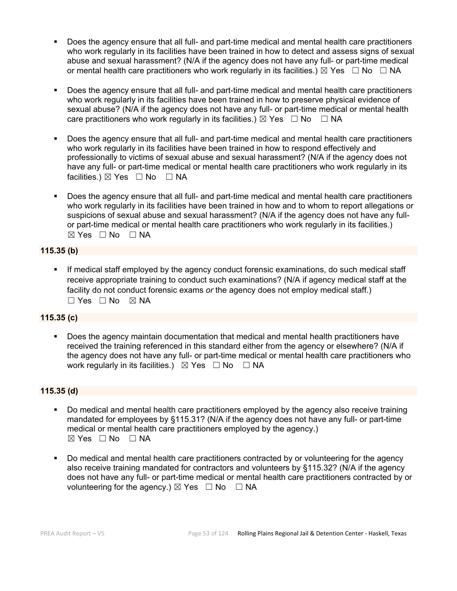- Does the agency ensure that all full- and part-time medical and mental health care practitioners who work regularly in its facilities have been trained in how to detect and assess signs of sexual abuse and sexual harassment? (N/A if the agency does not have any full- or part-time medical or mental health care practitioners who work regularly in its facilities.)  $\boxtimes$  Yes  $\Box$  No  $\Box$  NA
- Does the agency ensure that all full- and part-time medical and mental health care practitioners who work regularly in its facilities have been trained in how to preserve physical evidence of sexual abuse? (N/A if the agency does not have any full- or part-time medical or mental health care practitioners who work regularly in its facilities.)  $\boxtimes$  Yes  $\Box$  No  $\Box$  NA
- Does the agency ensure that all full- and part-time medical and mental health care practitioners who work regularly in its facilities have been trained in how to respond effectively and professionally to victims of sexual abuse and sexual harassment? (N/A if the agency does not have any full- or part-time medical or mental health care practitioners who work regularly in its facilities.) ⊠ Yes □ No □ NA
- Does the agency ensure that all full- and part-time medical and mental health care practitioners who work regularly in its facilities have been trained in how and to whom to report allegations or suspicions of sexual abuse and sexual harassment? (N/A if the agency does not have any fullor part-time medical or mental health care practitioners who work regularly in its facilities.)  $⊠ Yes ⊡ No ⊡ NA$

#### **115.35 (b)**

 If medical staff employed by the agency conduct forensic examinations, do such medical staff receive appropriate training to conduct such examinations? (N/A if agency medical staff at the facility do not conduct forensic exams *or* the agency does not employ medical staff.)  $\square$  Yes  $\square$  No  $\square$  NA

#### **115.35 (c)**

 Does the agency maintain documentation that medical and mental health practitioners have received the training referenced in this standard either from the agency or elsewhere? (N/A if the agency does not have any full- or part-time medical or mental health care practitioners who work regularly in its facilities.)  $\boxtimes$  Yes  $\Box$  No  $\Box$  NA

#### **115.35 (d)**

- Do medical and mental health care practitioners employed by the agency also receive training mandated for employees by §115.31? (N/A if the agency does not have any full- or part-time medical or mental health care practitioners employed by the agency.)  $⊠ Yes □ No □ NA$
- Do medical and mental health care practitioners contracted by or volunteering for the agency also receive training mandated for contractors and volunteers by §115.32? (N/A if the agency does not have any full- or part-time medical or mental health care practitioners contracted by or volunteering for the agency.)  $\boxtimes$  Yes  $\Box$  No  $\Box$  NA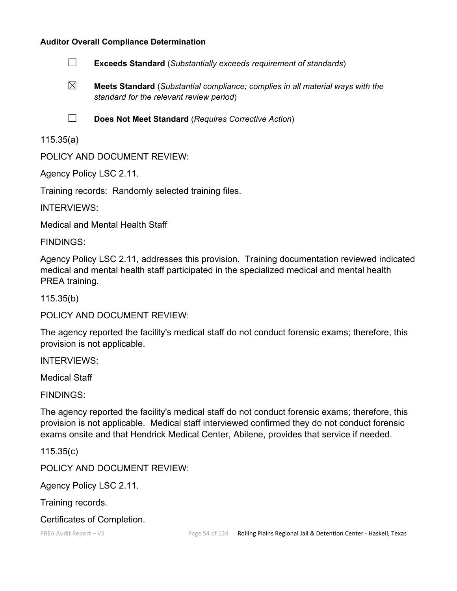#### **Auditor Overall Compliance Determination**

- ☐ **Exceeds Standard** (*Substantially exceeds requirement of standards*)
- ☒ **Meets Standard** (*Substantial compliance; complies in all material ways with the standard for the relevant review period*)
- 
- ☐ **Does Not Meet Standard** (*Requires Corrective Action*)

# 115.35(a)

POLICY AND DOCUMENT REVIEW:

Agency Policy LSC 2.11.

Training records: Randomly selected training files.

INTERVIEWS:

Medical and Mental Health Staff

FINDINGS:

Agency Policy LSC 2.11, addresses this provision. Training documentation reviewed indicated medical and mental health staff participated in the specialized medical and mental health PREA training.

115.35(b)

POLICY AND DOCUMENT REVIEW:

The agency reported the facility's medical staff do not conduct forensic exams; therefore, this provision is not applicable.

INTERVIEWS:

Medical Staff

FINDINGS:

The agency reported the facility's medical staff do not conduct forensic exams; therefore, this provision is not applicable. Medical staff interviewed confirmed they do not conduct forensic exams onsite and that Hendrick Medical Center, Abilene, provides that service if needed.

115.35(c)

POLICY AND DOCUMENT REVIEW:

Agency Policy LSC 2.11.

Training records.

Certificates of Completion.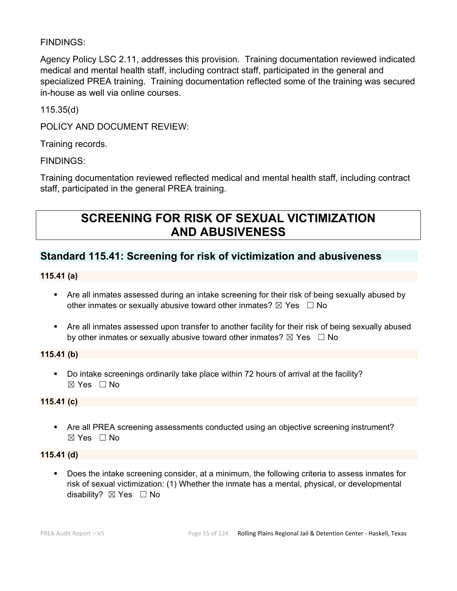# FINDINGS:

Agency Policy LSC 2.11, addresses this provision. Training documentation reviewed indicated medical and mental health staff, including contract staff, participated in the general and specialized PREA training. Training documentation reflected some of the training was secured in-house as well via online courses.

115.35(d)

POLICY AND DOCUMENT REVIEW:

Training records.

FINDINGS:

Training documentation reviewed reflected medical and mental health staff, including contract staff, participated in the general PREA training.

# **SCREENING FOR RISK OF SEXUAL VICTIMIZATION AND ABUSIVENESS**

# **Standard 115.41: Screening for risk of victimization and abusiveness**

**115.41 (a)**

- Are all inmates assessed during an intake screening for their risk of being sexually abused by other inmates or sexually abusive toward other inmates?  $\boxtimes$  Yes  $\Box$  No
- Are all inmates assessed upon transfer to another facility for their risk of being sexually abused by other inmates or sexually abusive toward other inmates?  $\boxtimes$  Yes  $\Box$  No

#### **115.41 (b)**

 Do intake screenings ordinarily take place within 72 hours of arrival at the facility? ☒ Yes ☐ No

#### **115.41 (c)**

 Are all PREA screening assessments conducted using an objective screening instrument?  $\boxtimes$  Yes  $\Box$  No

#### **115.41 (d)**

 Does the intake screening consider, at a minimum, the following criteria to assess inmates for risk of sexual victimization: (1) Whether the inmate has a mental, physical, or developmental disability? ⊠ Yes □ No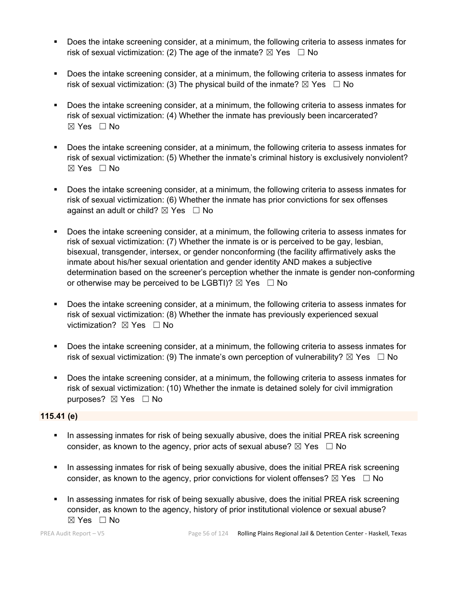- Does the intake screening consider, at a minimum, the following criteria to assess inmates for risk of sexual victimization: (2) The age of the inmate?  $\boxtimes$  Yes  $\Box$  No
- **Does the intake screening consider, at a minimum, the following criteria to assess inmates for** risk of sexual victimization: (3) The physical build of the inmate?  $\boxtimes$  Yes  $\Box$  No
- Does the intake screening consider, at a minimum, the following criteria to assess inmates for risk of sexual victimization: (4) Whether the inmate has previously been incarcerated?  $\boxtimes$  Yes  $\Box$  No
- Does the intake screening consider, at a minimum, the following criteria to assess inmates for risk of sexual victimization: (5) Whether the inmate's criminal history is exclusively nonviolent? ☒ Yes ☐ No
- Does the intake screening consider, at a minimum, the following criteria to assess inmates for risk of sexual victimization: (6) Whether the inmate has prior convictions for sex offenses against an adult or child?  $\boxtimes$  Yes  $\Box$  No
- Does the intake screening consider, at a minimum, the following criteria to assess inmates for risk of sexual victimization: (7) Whether the inmate is or is perceived to be gay, lesbian, bisexual, transgender, intersex, or gender nonconforming (the facility affirmatively asks the inmate about his/her sexual orientation and gender identity AND makes a subjective determination based on the screener's perception whether the inmate is gender non-conforming or otherwise may be perceived to be LGBTI)?  $\boxtimes$  Yes  $\Box$  No
- Does the intake screening consider, at a minimum, the following criteria to assess inmates for risk of sexual victimization: (8) Whether the inmate has previously experienced sexual victimization? **⊠** Yes □ No
- Does the intake screening consider, at a minimum, the following criteria to assess inmates for risk of sexual victimization: (9) The inmate's own perception of vulnerability?  $\boxtimes$  Yes  $\Box$  No
- Does the intake screening consider, at a minimum, the following criteria to assess inmates for risk of sexual victimization: (10) Whether the inmate is detained solely for civil immigration purposes? ⊠ Yes □ No

#### **115.41 (e)**

- In assessing inmates for risk of being sexually abusive, does the initial PREA risk screening consider, as known to the agency, prior acts of sexual abuse?  $\boxtimes$  Yes  $\Box$  No
- In assessing inmates for risk of being sexually abusive, does the initial PREA risk screening consider, as known to the agency, prior convictions for violent offenses?  $\boxtimes$  Yes  $\Box$  No
- In assessing inmates for risk of being sexually abusive, does the initial PREA risk screening consider, as known to the agency, history of prior institutional violence or sexual abuse?  $\boxtimes$  Yes  $\Box$  No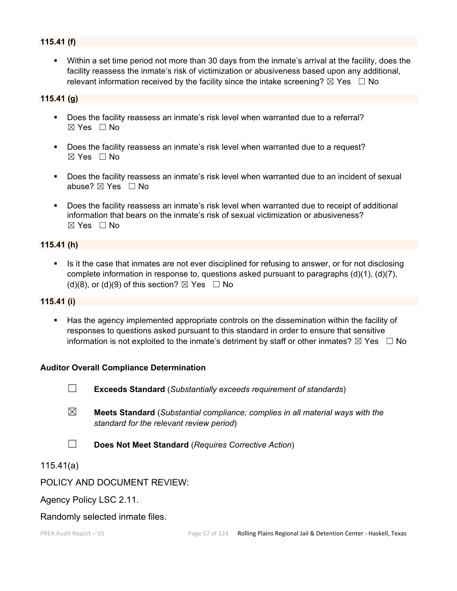### **115.41 (f)**

 Within a set time period not more than 30 days from the inmate's arrival at the facility, does the facility reassess the inmate's risk of victimization or abusiveness based upon any additional, relevant information received by the facility since the intake screening?  $\boxtimes$  Yes  $\Box$  No

### **115.41 (g)**

- Does the facility reassess an inmate's risk level when warranted due to a referral? ☒ Yes ☐ No
- Does the facility reassess an inmate's risk level when warranted due to a request?  $\boxtimes$  Yes  $\Box$  No
- **Does the facility reassess an inmate's risk level when warranted due to an incident of sexual** abuse?  $\boxtimes$  Yes  $\Box$  No
- Does the facility reassess an inmate's risk level when warranted due to receipt of additional information that bears on the inmate's risk of sexual victimization or abusiveness?  $\boxtimes$  Yes  $\Box$  No

#### **115.41 (h)**

 Is it the case that inmates are not ever disciplined for refusing to answer, or for not disclosing complete information in response to, questions asked pursuant to paragraphs (d)(1), (d)(7), (d)(8), or (d)(9) of this section?  $\boxtimes$  Yes  $\Box$  No

#### **115.41 (i)**

 Has the agency implemented appropriate controls on the dissemination within the facility of responses to questions asked pursuant to this standard in order to ensure that sensitive information is not exploited to the inmate's detriment by staff or other inmates?  $\boxtimes$  Yes  $\Box$  No

#### **Auditor Overall Compliance Determination**

- ☐ **Exceeds Standard** (*Substantially exceeds requirement of standards*)
- ☒ **Meets Standard** (*Substantial compliance; complies in all material ways with the standard for the relevant review period*)
- ☐ **Does Not Meet Standard** (*Requires Corrective Action*)

#### 115.41(a)

#### POLICY AND DOCUMENT REVIEW:

Agency Policy LSC 2.11.

#### Randomly selected inmate files.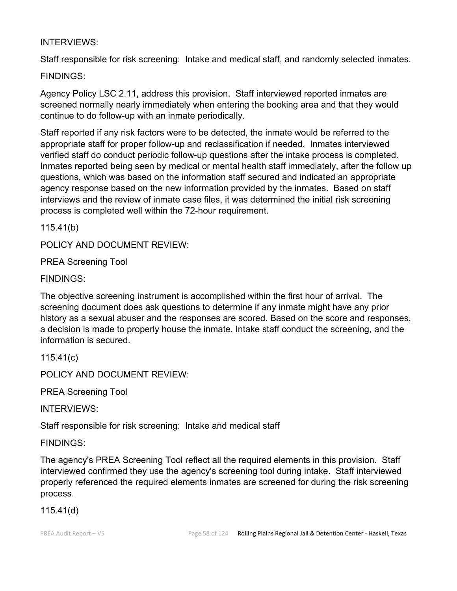# INTERVIEWS:

Staff responsible for risk screening: Intake and medical staff, and randomly selected inmates.

FINDINGS:

Agency Policy LSC 2.11, address this provision. Staff interviewed reported inmates are screened normally nearly immediately when entering the booking area and that they would continue to do follow-up with an inmate periodically.

Staff reported if any risk factors were to be detected, the inmate would be referred to the appropriate staff for proper follow-up and reclassification if needed. Inmates interviewed verified staff do conduct periodic follow-up questions after the intake process is completed. Inmates reported being seen by medical or mental health staff immediately, after the follow up questions, which was based on the information staff secured and indicated an appropriate agency response based on the new information provided by the inmates. Based on staff interviews and the review of inmate case files, it was determined the initial risk screening process is completed well within the 72-hour requirement.

115.41(b)

POLICY AND DOCUMENT REVIEW:

PREA Screening Tool

FINDINGS:

The objective screening instrument is accomplished within the first hour of arrival. The screening document does ask questions to determine if any inmate might have any prior history as a sexual abuser and the responses are scored. Based on the score and responses, a decision is made to properly house the inmate. Intake staff conduct the screening, and the information is secured.

115.41(c)

POLICY AND DOCUMENT REVIEW:

PREA Screening Tool

INTERVIEWS:

Staff responsible for risk screening: Intake and medical staff

FINDINGS:

The agency's PREA Screening Tool reflect all the required elements in this provision. Staff interviewed confirmed they use the agency's screening tool during intake. Staff interviewed properly referenced the required elements inmates are screened for during the risk screening process.

115.41(d)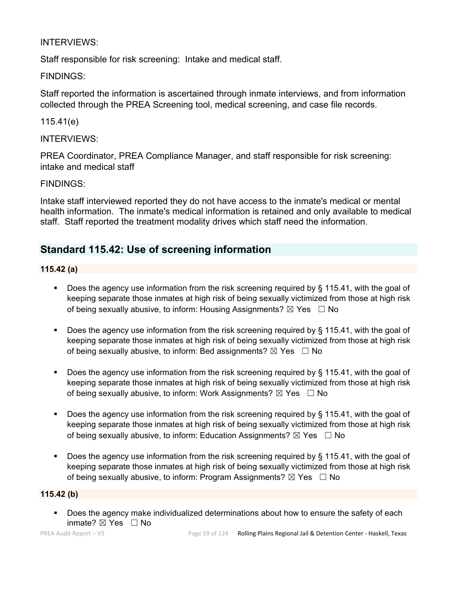# INTERVIEWS:

Staff responsible for risk screening: Intake and medical staff.

### FINDINGS:

Staff reported the information is ascertained through inmate interviews, and from information collected through the PREA Screening tool, medical screening, and case file records.

# 115.41(e)

### INTERVIEWS:

PREA Coordinator, PREA Compliance Manager, and staff responsible for risk screening: intake and medical staff

#### FINDINGS:

Intake staff interviewed reported they do not have access to the inmate's medical or mental health information. The inmate's medical information is retained and only available to medical staff. Staff reported the treatment modality drives which staff need the information.

# **Standard 115.42: Use of screening information**

#### **115.42 (a)**

- Does the agency use information from the risk screening required by § 115.41, with the goal of keeping separate those inmates at high risk of being sexually victimized from those at high risk of being sexually abusive, to inform: Housing Assignments?  $\boxtimes$  Yes  $\Box$  No
- Does the agency use information from the risk screening required by § 115.41, with the goal of keeping separate those inmates at high risk of being sexually victimized from those at high risk of being sexually abusive, to inform: Bed assignments?  $\boxtimes$  Yes  $\Box$  No
- Does the agency use information from the risk screening required by § 115.41, with the goal of keeping separate those inmates at high risk of being sexually victimized from those at high risk of being sexually abusive, to inform: Work Assignments?  $\boxtimes$  Yes  $\Box$  No
- Does the agency use information from the risk screening required by § 115.41, with the goal of keeping separate those inmates at high risk of being sexually victimized from those at high risk of being sexually abusive, to inform: Education Assignments?  $\boxtimes$  Yes  $\Box$  No
- Does the agency use information from the risk screening required by § 115.41, with the goal of keeping separate those inmates at high risk of being sexually victimized from those at high risk of being sexually abusive, to inform: Program Assignments?  $\boxtimes$  Yes  $\Box$  No

# **115.42 (b)**

**Does the agency make individualized determinations about how to ensure the safety of each** inmate? ☒ Yes ☐ No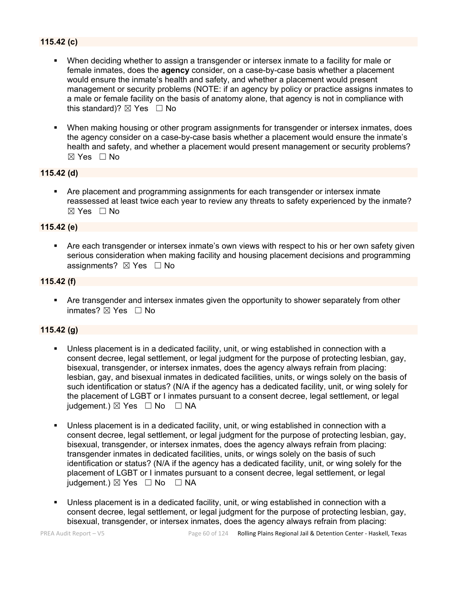# **115.42 (c)**

- When deciding whether to assign a transgender or intersex inmate to a facility for male or female inmates, does the **agency** consider, on a case-by-case basis whether a placement would ensure the inmate's health and safety, and whether a placement would present management or security problems (NOTE: if an agency by policy or practice assigns inmates to a male or female facility on the basis of anatomy alone, that agency is not in compliance with this standard)?  $\boxtimes$  Yes  $\Box$  No
- When making housing or other program assignments for transgender or intersex inmates, does the agency consider on a case-by-case basis whether a placement would ensure the inmate's health and safety, and whether a placement would present management or security problems?  $\boxtimes$  Yes  $\Box$  No

#### **115.42 (d)**

 Are placement and programming assignments for each transgender or intersex inmate reassessed at least twice each year to review any threats to safety experienced by the inmate?  $\boxtimes$  Yes  $\Box$  No

#### **115.42 (e)**

 Are each transgender or intersex inmate's own views with respect to his or her own safety given serious consideration when making facility and housing placement decisions and programming assignments?  $\boxtimes$  Yes  $\Box$  No

#### **115.42 (f)**

 Are transgender and intersex inmates given the opportunity to shower separately from other inmates?  $\boxtimes$  Yes  $\Box$  No

#### **115.42 (g)**

- Unless placement is in a dedicated facility, unit, or wing established in connection with a consent decree, legal settlement, or legal judgment for the purpose of protecting lesbian, gay, bisexual, transgender, or intersex inmates, does the agency always refrain from placing: lesbian, gay, and bisexual inmates in dedicated facilities, units, or wings solely on the basis of such identification or status? (N/A if the agency has a dedicated facility, unit, or wing solely for the placement of LGBT or I inmates pursuant to a consent decree, legal settlement, or legal judgement.)  $\boxtimes$  Yes  $\Box$  No  $\Box$  NA
- Unless placement is in a dedicated facility, unit, or wing established in connection with a consent decree, legal settlement, or legal judgment for the purpose of protecting lesbian, gay, bisexual, transgender, or intersex inmates, does the agency always refrain from placing: transgender inmates in dedicated facilities, units, or wings solely on the basis of such identification or status? (N/A if the agency has a dedicated facility, unit, or wing solely for the placement of LGBT or I inmates pursuant to a consent decree, legal settlement, or legal judgement.)  $\boxtimes$  Yes  $\Box$  No  $\Box$  NA
- Unless placement is in a dedicated facility, unit, or wing established in connection with a consent decree, legal settlement, or legal judgment for the purpose of protecting lesbian, gay, bisexual, transgender, or intersex inmates, does the agency always refrain from placing: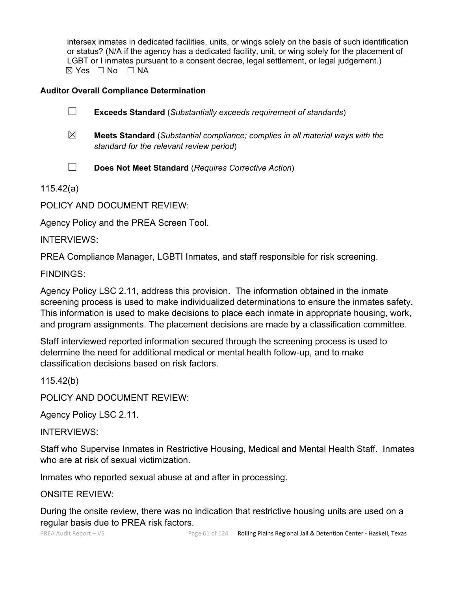intersex inmates in dedicated facilities, units, or wings solely on the basis of such identification or status? (N/A if the agency has a dedicated facility, unit, or wing solely for the placement of LGBT or I inmates pursuant to a consent decree, legal settlement, or legal judgement.)  $\boxtimes$  Yes  $\Box$  No  $\Box$  NA

# **Auditor Overall Compliance Determination**

| $\Box$<br><b>Exceeds Standard (Substantially exceeds requirement of standards)</b> |  |
|------------------------------------------------------------------------------------|--|
|------------------------------------------------------------------------------------|--|

- ☒ **Meets Standard** (*Substantial compliance; complies in all material ways with the standard for the relevant review period*)
- ☐ **Does Not Meet Standard** (*Requires Corrective Action*)

115.42(a)

POLICY AND DOCUMENT REVIEW:

Agency Policy and the PREA Screen Tool.

INTERVIEWS:

PREA Compliance Manager, LGBTI Inmates, and staff responsible for risk screening.

FINDINGS:

Agency Policy LSC 2.11, address this provision. The information obtained in the inmate screening process is used to make individualized determinations to ensure the inmates safety. This information is used to make decisions to place each inmate in appropriate housing, work, and program assignments. The placement decisions are made by a classification committee.

Staff interviewed reported information secured through the screening process is used to determine the need for additional medical or mental health follow-up, and to make classification decisions based on risk factors.

115.42(b)

POLICY AND DOCUMENT REVIEW:

Agency Policy LSC 2.11.

INTERVIEWS:

Staff who Supervise Inmates in Restrictive Housing, Medical and Mental Health Staff. Inmates who are at risk of sexual victimization.

Inmates who reported sexual abuse at and after in processing.

ONSITE REVIEW:

During the onsite review, there was no indication that restrictive housing units are used on a regular basis due to PREA risk factors.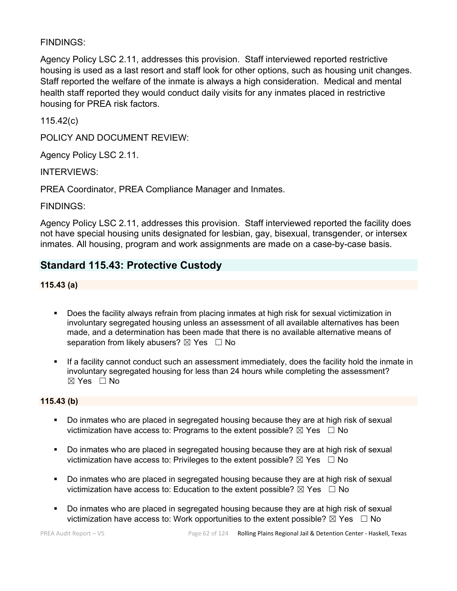# FINDINGS:

Agency Policy LSC 2.11, addresses this provision. Staff interviewed reported restrictive housing is used as a last resort and staff look for other options, such as housing unit changes. Staff reported the welfare of the inmate is always a high consideration. Medical and mental health staff reported they would conduct daily visits for any inmates placed in restrictive housing for PREA risk factors.

115.42(c)

POLICY AND DOCUMENT REVIEW:

Agency Policy LSC 2.11.

INTERVIEWS:

PREA Coordinator, PREA Compliance Manager and Inmates.

FINDINGS:

Agency Policy LSC 2.11, addresses this provision. Staff interviewed reported the facility does not have special housing units designated for lesbian, gay, bisexual, transgender, or intersex inmates. All housing, program and work assignments are made on a case-by-case basis.

# **Standard 115.43: Protective Custody**

**115.43 (a)**

- Does the facility always refrain from placing inmates at high risk for sexual victimization in involuntary segregated housing unless an assessment of all available alternatives has been made, and a determination has been made that there is no available alternative means of separation from likely abusers?  $\boxtimes$  Yes  $\Box$  No
- If a facility cannot conduct such an assessment immediately, does the facility hold the inmate in involuntary segregated housing for less than 24 hours while completing the assessment?  $\boxtimes$  Yes  $\Box$  No

#### **115.43 (b)**

- **Do inmates who are placed in segregated housing because they are at high risk of sexual** victimization have access to: Programs to the extent possible?  $\boxtimes$  Yes  $\Box$  No
- **Do inmates who are placed in segregated housing because they are at high risk of sexual** victimization have access to: Privileges to the extent possible?  $\boxtimes$  Yes  $\Box$  No
- Do inmates who are placed in segregated housing because they are at high risk of sexual victimization have access to: Education to the extent possible?  $\boxtimes$  Yes  $\Box$  No
- Do inmates who are placed in segregated housing because they are at high risk of sexual victimization have access to: Work opportunities to the extent possible?  $\boxtimes$  Yes  $\Box$  No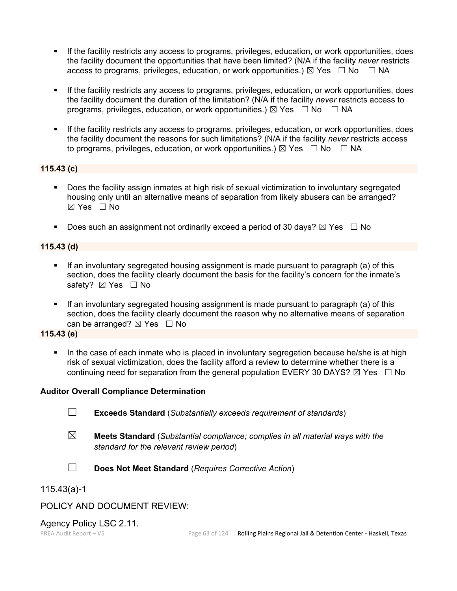- If the facility restricts any access to programs, privileges, education, or work opportunities, does the facility document the opportunities that have been limited? (N/A if the facility *never* restricts access to programs, privileges, education, or work opportunities.)  $\boxtimes$  Yes  $\Box$  No  $\Box$  NA
- If the facility restricts any access to programs, privileges, education, or work opportunities, does the facility document the duration of the limitation? (N/A if the facility *never* restricts access to programs, privileges, education, or work opportunities.)  $\boxtimes$  Yes  $\Box$  No  $\Box$  NA
- If the facility restricts any access to programs, privileges, education, or work opportunities, does the facility document the reasons for such limitations? (N/A if the facility *never* restricts access to programs, privileges, education, or work opportunities.)  $\boxtimes$  Yes  $\Box$  No  $\Box$  NA

#### **115.43 (c)**

- Does the facility assign inmates at high risk of sexual victimization to involuntary segregated housing only until an alternative means of separation from likely abusers can be arranged?  $\boxtimes$  Yes  $\Box$  No
- Does such an assignment not ordinarily exceed a period of 30 days?  $\boxtimes$  Yes  $\Box$  No

#### **115.43 (d)**

- If an involuntary segregated housing assignment is made pursuant to paragraph (a) of this section, does the facility clearly document the basis for the facility's concern for the inmate's safety? ⊠ Yes □ No
- If an involuntary segregated housing assignment is made pursuant to paragraph (a) of this section, does the facility clearly document the reason why no alternative means of separation can be arranged?  $\boxtimes$  Yes  $\Box$  No

### **115.43 (e)**

 In the case of each inmate who is placed in involuntary segregation because he/she is at high risk of sexual victimization, does the facility afford a review to determine whether there is a continuing need for separation from the general population EVERY 30 DAYS?  $\boxtimes$  Yes  $\Box$  No

#### **Auditor Overall Compliance Determination**

- ☐ **Exceeds Standard** (*Substantially exceeds requirement of standards*)
- ☒ **Meets Standard** (*Substantial compliance; complies in all material ways with the standard for the relevant review period*)
- 
- ☐ **Does Not Meet Standard** (*Requires Corrective Action*)

### 115.43(a)-1

# POLICY AND DOCUMENT REVIEW:

Agency Policy LSC 2.11.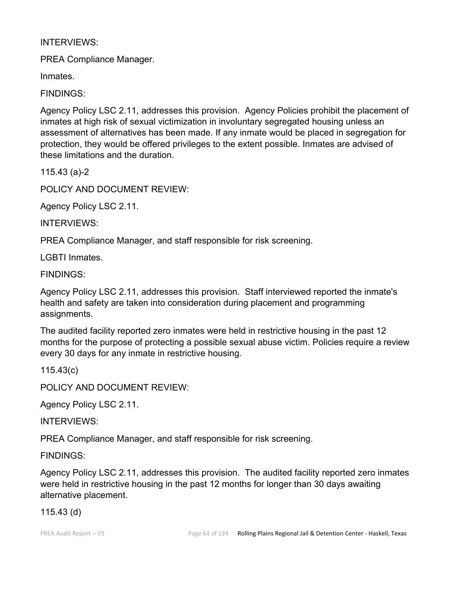# INTERVIEWS:

PREA Compliance Manager.

Inmates.

FINDINGS:

Agency Policy LSC 2.11, addresses this provision. Agency Policies prohibit the placement of inmates at high risk of sexual victimization in involuntary segregated housing unless an assessment of alternatives has been made. If any inmate would be placed in segregation for protection, they would be offered privileges to the extent possible. Inmates are advised of these limitations and the duration.

115.43 (a)-2

POLICY AND DOCUMENT REVIEW:

Agency Policy LSC 2.11.

INTERVIEWS:

PREA Compliance Manager, and staff responsible for risk screening.

LGBTI Inmates.

FINDINGS:

Agency Policy LSC 2.11, addresses this provision. Staff interviewed reported the inmate's health and safety are taken into consideration during placement and programming assignments.

The audited facility reported zero inmates were held in restrictive housing in the past 12 months for the purpose of protecting a possible sexual abuse victim. Policies require a review every 30 days for any inmate in restrictive housing.

115.43(c)

POLICY AND DOCUMENT REVIEW:

Agency Policy LSC 2.11.

INTERVIEWS:

PREA Compliance Manager, and staff responsible for risk screening.

FINDINGS:

Agency Policy LSC 2.11, addresses this provision. The audited facility reported zero inmates were held in restrictive housing in the past 12 months for longer than 30 days awaiting alternative placement.

# 115.43 (d)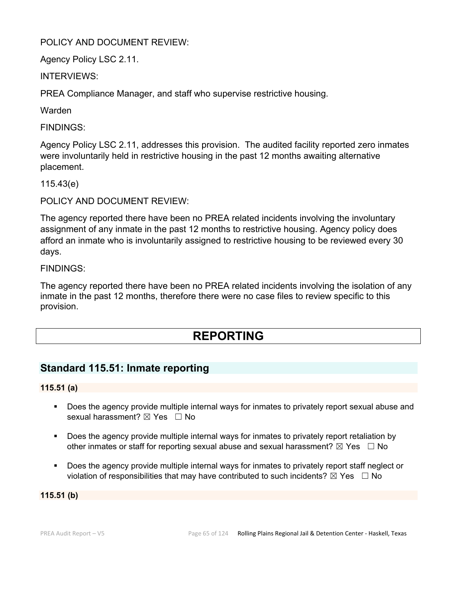# POLICY AND DOCUMENT REVIEW:

Agency Policy LSC 2.11.

INTERVIEWS:

PREA Compliance Manager, and staff who supervise restrictive housing.

Warden

FINDINGS:

Agency Policy LSC 2.11, addresses this provision. The audited facility reported zero inmates were involuntarily held in restrictive housing in the past 12 months awaiting alternative placement.

115.43(e)

POLICY AND DOCUMENT REVIEW:

The agency reported there have been no PREA related incidents involving the involuntary assignment of any inmate in the past 12 months to restrictive housing. Agency policy does afford an inmate who is involuntarily assigned to restrictive housing to be reviewed every 30 days.

### FINDINGS:

The agency reported there have been no PREA related incidents involving the isolation of any inmate in the past 12 months, therefore there were no case files to review specific to this provision.

# **REPORTING**

# **Standard 115.51: Inmate reporting**

#### **115.51 (a)**

- Does the agency provide multiple internal ways for inmates to privately report sexual abuse and sexual harassment?  $\boxtimes$  Yes  $\Box$  No
- **Does the agency provide multiple internal ways for inmates to privately report retaliation by** other inmates or staff for reporting sexual abuse and sexual harassment?  $\boxtimes$  Yes  $\Box$  No
- Does the agency provide multiple internal ways for inmates to privately report staff neglect or violation of responsibilities that may have contributed to such incidents?  $\boxtimes$  Yes  $\Box$  No

#### **115.51 (b)**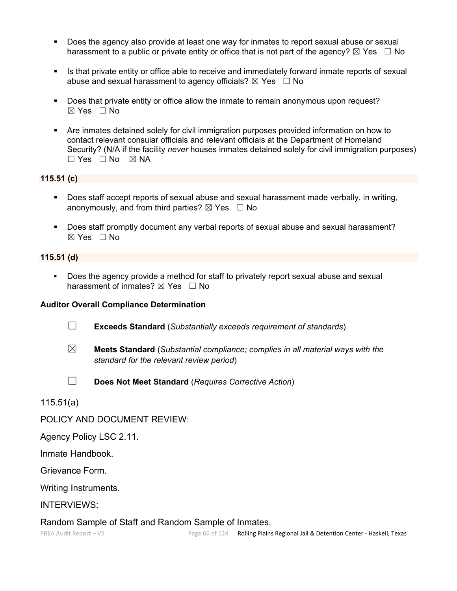- Does the agency also provide at least one way for inmates to report sexual abuse or sexual harassment to a public or private entity or office that is not part of the agency?  $\boxtimes$  Yes  $\Box$  No
- Is that private entity or office able to receive and immediately forward inmate reports of sexual abuse and sexual harassment to agency officials?  $\boxtimes$  Yes  $\Box$  No
- Does that private entity or office allow the inmate to remain anonymous upon request? ☒ Yes ☐ No
- Are inmates detained solely for civil immigration purposes provided information on how to contact relevant consular officials and relevant officials at the Department of Homeland Security? (N/A if the facility *never* houses inmates detained solely for civil immigration purposes)  $\Box$  Yes  $\Box$  No  $\boxtimes$  NA

### **115.51 (c)**

- Does staff accept reports of sexual abuse and sexual harassment made verbally, in writing, anonymously, and from third parties?  $\boxtimes$  Yes  $\Box$  No
- Does staff promptly document any verbal reports of sexual abuse and sexual harassment? ☒ Yes ☐ No

#### **115.51 (d)**

 Does the agency provide a method for staff to privately report sexual abuse and sexual harassment of inmates?  $\boxtimes$  Yes  $\Box$  No

#### **Auditor Overall Compliance Determination**

- ☐ **Exceeds Standard** (*Substantially exceeds requirement of standards*)
- ☒ **Meets Standard** (*Substantial compliance; complies in all material ways with the standard for the relevant review period*)
- 
- ☐ **Does Not Meet Standard** (*Requires Corrective Action*)

115.51(a)

POLICY AND DOCUMENT REVIEW:

Agency Policy LSC 2.11.

Inmate Handbook.

Grievance Form.

Writing Instruments.

INTERVIEWS:

#### Random Sample of Staff and Random Sample of Inmates.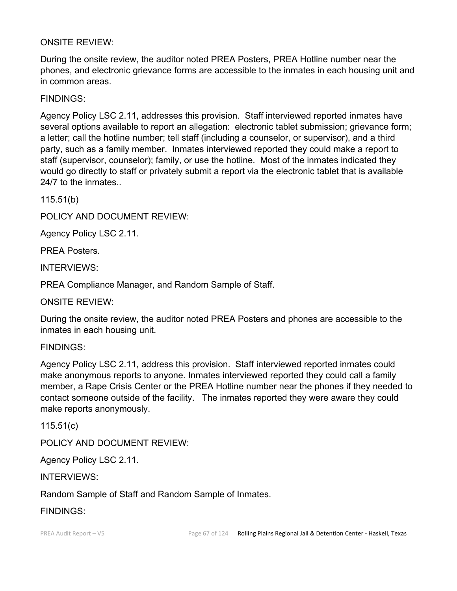# ONSITE REVIEW:

During the onsite review, the auditor noted PREA Posters, PREA Hotline number near the phones, and electronic grievance forms are accessible to the inmates in each housing unit and in common areas.

FINDINGS:

Agency Policy LSC 2.11, addresses this provision. Staff interviewed reported inmates have several options available to report an allegation: electronic tablet submission; grievance form; a letter; call the hotline number; tell staff (including a counselor, or supervisor), and a third party, such as a family member. Inmates interviewed reported they could make a report to staff (supervisor, counselor); family, or use the hotline. Most of the inmates indicated they would go directly to staff or privately submit a report via the electronic tablet that is available 24/7 to the inmates

115.51(b)

POLICY AND DOCUMENT REVIEW:

Agency Policy LSC 2.11.

PREA Posters.

INTERVIEWS:

PREA Compliance Manager, and Random Sample of Staff.

ONSITE REVIEW:

During the onsite review, the auditor noted PREA Posters and phones are accessible to the inmates in each housing unit.

FINDINGS:

Agency Policy LSC 2.11, address this provision. Staff interviewed reported inmates could make anonymous reports to anyone. Inmates interviewed reported they could call a family member, a Rape Crisis Center or the PREA Hotline number near the phones if they needed to contact someone outside of the facility. The inmates reported they were aware they could make reports anonymously.

115.51(c)

POLICY AND DOCUMENT REVIEW:

Agency Policy LSC 2.11.

INTERVIEWS:

Random Sample of Staff and Random Sample of Inmates.

FINDINGS: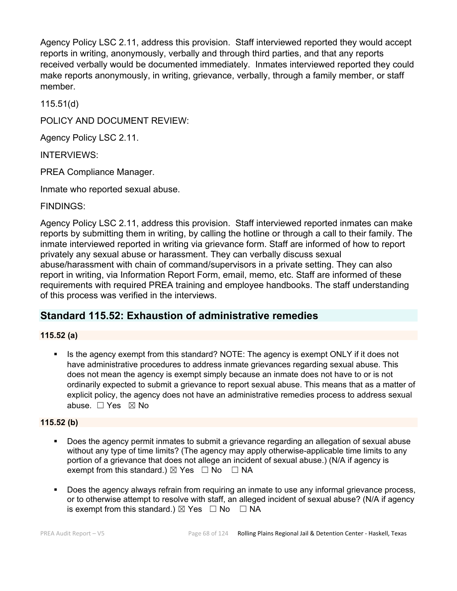Agency Policy LSC 2.11, address this provision. Staff interviewed reported they would accept reports in writing, anonymously, verbally and through third parties, and that any reports received verbally would be documented immediately. Inmates interviewed reported they could make reports anonymously, in writing, grievance, verbally, through a family member, or staff member.

115.51(d)

POLICY AND DOCUMENT REVIEW:

Agency Policy LSC 2.11.

INTERVIEWS:

PREA Compliance Manager.

Inmate who reported sexual abuse.

FINDINGS:

Agency Policy LSC 2.11, address this provision. Staff interviewed reported inmates can make reports by submitting them in writing, by calling the hotline or through a call to their family. The inmate interviewed reported in writing via grievance form. Staff are informed of how to report privately any sexual abuse or harassment. They can verbally discuss sexual abuse/harassment with chain of command/supervisors in a private setting. They can also report in writing, via Information Report Form, email, memo, etc. Staff are informed of these requirements with required PREA training and employee handbooks. The staff understanding of this process was verified in the interviews.

# **Standard 115.52: Exhaustion of administrative remedies**

#### **115.52 (a)**

 Is the agency exempt from this standard? NOTE: The agency is exempt ONLY if it does not have administrative procedures to address inmate grievances regarding sexual abuse. This does not mean the agency is exempt simply because an inmate does not have to or is not ordinarily expected to submit a grievance to report sexual abuse. This means that as a matter of explicit policy, the agency does not have an administrative remedies process to address sexual abuse. ☐ Yes ☒ No

#### **115.52 (b)**

- Does the agency permit inmates to submit a grievance regarding an allegation of sexual abuse without any type of time limits? (The agency may apply otherwise-applicable time limits to any portion of a grievance that does not allege an incident of sexual abuse.) (N/A if agency is exempt from this standard.)  $\boxtimes$  Yes  $\Box$  No  $\Box$  NA
- Does the agency always refrain from requiring an inmate to use any informal grievance process, or to otherwise attempt to resolve with staff, an alleged incident of sexual abuse? (N/A if agency is exempt from this standard.)  $\boxtimes$  Yes  $\Box$  No  $\Box$  NA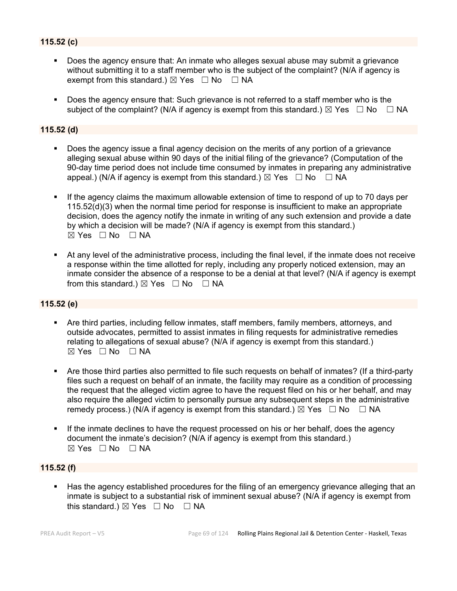# **115.52 (c)**

- Does the agency ensure that: An inmate who alleges sexual abuse may submit a grievance without submitting it to a staff member who is the subject of the complaint? (N/A if agency is exempt from this standard.)  $\boxtimes$  Yes  $\Box$  No  $\Box$  NA
- Does the agency ensure that: Such grievance is not referred to a staff member who is the subject of the complaint? (N/A if agency is exempt from this standard.)  $\boxtimes$  Yes  $\Box$  No  $\Box$  NA

#### **115.52 (d)**

- Does the agency issue a final agency decision on the merits of any portion of a grievance alleging sexual abuse within 90 days of the initial filing of the grievance? (Computation of the 90-day time period does not include time consumed by inmates in preparing any administrative appeal.) (N/A if agency is exempt from this standard.)  $\boxtimes$  Yes  $\Box$  No  $\Box$  NA
- If the agency claims the maximum allowable extension of time to respond of up to 70 days per 115.52(d)(3) when the normal time period for response is insufficient to make an appropriate decision, does the agency notify the inmate in writing of any such extension and provide a date by which a decision will be made? (N/A if agency is exempt from this standard.)  $\boxtimes$  Yes  $\Box$  No  $\Box$  NA
- At any level of the administrative process, including the final level, if the inmate does not receive a response within the time allotted for reply, including any properly noticed extension, may an inmate consider the absence of a response to be a denial at that level? (N/A if agency is exempt from this standard.)  $\boxtimes$  Yes  $\Box$  No  $\Box$  NA

#### **115.52 (e)**

- Are third parties, including fellow inmates, staff members, family members, attorneys, and outside advocates, permitted to assist inmates in filing requests for administrative remedies relating to allegations of sexual abuse? (N/A if agency is exempt from this standard.)  $\boxtimes$  Yes  $\Box$  No  $\Box$  NA
- Are those third parties also permitted to file such requests on behalf of inmates? (If a third-party files such a request on behalf of an inmate, the facility may require as a condition of processing the request that the alleged victim agree to have the request filed on his or her behalf, and may also require the alleged victim to personally pursue any subsequent steps in the administrative remedy process.) (N/A if agency is exempt from this standard.)  $\boxtimes$  Yes  $\Box$  No  $\Box$  NA
- If the inmate declines to have the request processed on his or her behalf, does the agency document the inmate's decision? (N/A if agency is exempt from this standard.)  $\boxtimes$  Yes  $\Box$  No  $\Box$  NA

#### **115.52 (f)**

 Has the agency established procedures for the filing of an emergency grievance alleging that an inmate is subject to a substantial risk of imminent sexual abuse? (N/A if agency is exempt from this standard.)  $\boxtimes$  Yes  $\Box$  No  $\Box$  NA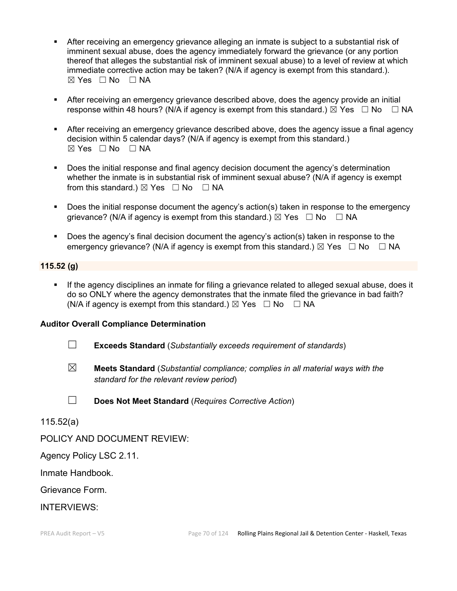- After receiving an emergency grievance alleging an inmate is subject to a substantial risk of imminent sexual abuse, does the agency immediately forward the grievance (or any portion thereof that alleges the substantial risk of imminent sexual abuse) to a level of review at which immediate corrective action may be taken? (N/A if agency is exempt from this standard.).  $\boxtimes$  Yes  $\Box$  No  $\Box$  NA
- After receiving an emergency grievance described above, does the agency provide an initial response within 48 hours? (N/A if agency is exempt from this standard.)  $\boxtimes$  Yes  $\Box$  No  $\Box$  NA
- After receiving an emergency grievance described above, does the agency issue a final agency decision within 5 calendar days? (N/A if agency is exempt from this standard.)  $⊠ Yes ⊡ No ⊡ NA$
- Does the initial response and final agency decision document the agency's determination whether the inmate is in substantial risk of imminent sexual abuse? (N/A if agency is exempt from this standard.)  $\boxtimes$  Yes  $\Box$  No  $\Box$  NA
- **Does the initial response document the agency's action(s) taken in response to the emergency** grievance? (N/A if agency is exempt from this standard.)  $\boxtimes$  Yes  $\Box$  No  $\Box$  NA
- Does the agency's final decision document the agency's action(s) taken in response to the emergency grievance? (N/A if agency is exempt from this standard.)  $\boxtimes$  Yes  $\Box$  No  $\Box$  NA

### **115.52 (g)**

 If the agency disciplines an inmate for filing a grievance related to alleged sexual abuse, does it do so ONLY where the agency demonstrates that the inmate filed the grievance in bad faith? (N/A if agency is exempt from this standard.)  $\boxtimes$  Yes  $\Box$  No  $\Box$  NA

#### **Auditor Overall Compliance Determination**

- ☐ **Exceeds Standard** (*Substantially exceeds requirement of standards*)
- ☒ **Meets Standard** (*Substantial compliance; complies in all material ways with the standard for the relevant review period*)
- ☐ **Does Not Meet Standard** (*Requires Corrective Action*)

115.52(a)

# POLICY AND DOCUMENT REVIEW:

Agency Policy LSC 2.11.

Inmate Handbook.

Grievance Form.

INTERVIEWS: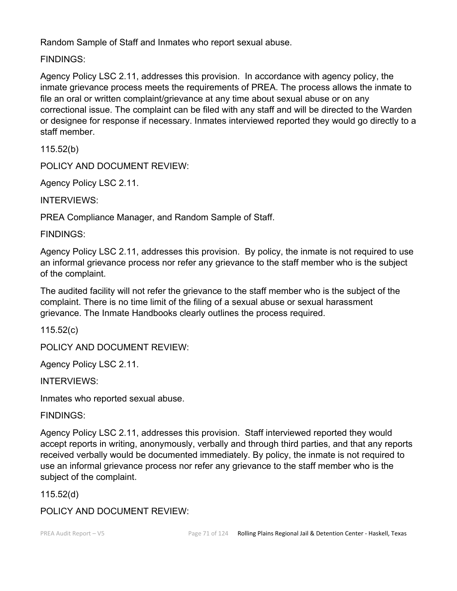Random Sample of Staff and Inmates who report sexual abuse.

FINDINGS:

Agency Policy LSC 2.11, addresses this provision. In accordance with agency policy, the inmate grievance process meets the requirements of PREA. The process allows the inmate to file an oral or written complaint/grievance at any time about sexual abuse or on any correctional issue. The complaint can be filed with any staff and will be directed to the Warden or designee for response if necessary. Inmates interviewed reported they would go directly to a staff member.

115.52(b)

POLICY AND DOCUMENT REVIEW:

Agency Policy LSC 2.11.

INTERVIEWS:

PREA Compliance Manager, and Random Sample of Staff.

FINDINGS:

Agency Policy LSC 2.11, addresses this provision. By policy, the inmate is not required to use an informal grievance process nor refer any grievance to the staff member who is the subject of the complaint.

The audited facility will not refer the grievance to the staff member who is the subject of the complaint. There is no time limit of the filing of a sexual abuse or sexual harassment grievance. The Inmate Handbooks clearly outlines the process required.

115.52(c)

POLICY AND DOCUMENT REVIEW:

Agency Policy LSC 2.11.

INTERVIEWS:

Inmates who reported sexual abuse.

FINDINGS:

Agency Policy LSC 2.11, addresses this provision. Staff interviewed reported they would accept reports in writing, anonymously, verbally and through third parties, and that any reports received verbally would be documented immediately. By policy, the inmate is not required to use an informal grievance process nor refer any grievance to the staff member who is the subject of the complaint.

115.52(d)

POLICY AND DOCUMENT REVIEW: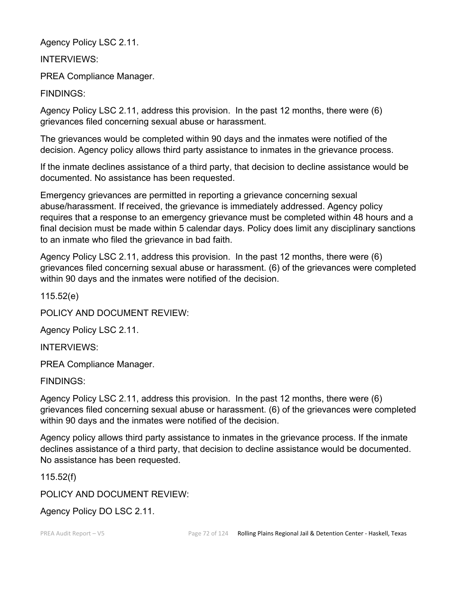Agency Policy LSC 2.11.

INTERVIEWS:

PREA Compliance Manager.

FINDINGS:

Agency Policy LSC 2.11, address this provision. In the past 12 months, there were (6) grievances filed concerning sexual abuse or harassment.

The grievances would be completed within 90 days and the inmates were notified of the decision. Agency policy allows third party assistance to inmates in the grievance process.

If the inmate declines assistance of a third party, that decision to decline assistance would be documented. No assistance has been requested.

Emergency grievances are permitted in reporting a grievance concerning sexual abuse/harassment. If received, the grievance is immediately addressed. Agency policy requires that a response to an emergency grievance must be completed within 48 hours and a final decision must be made within 5 calendar days. Policy does limit any disciplinary sanctions to an inmate who filed the grievance in bad faith.

Agency Policy LSC 2.11, address this provision. In the past 12 months, there were (6) grievances filed concerning sexual abuse or harassment. (6) of the grievances were completed within 90 days and the inmates were notified of the decision.

115.52(e)

POLICY AND DOCUMENT REVIEW:

Agency Policy LSC 2.11.

INTERVIEWS:

PREA Compliance Manager.

FINDINGS:

Agency Policy LSC 2.11, address this provision. In the past 12 months, there were (6) grievances filed concerning sexual abuse or harassment. (6) of the grievances were completed within 90 days and the inmates were notified of the decision.

Agency policy allows third party assistance to inmates in the grievance process. If the inmate declines assistance of a third party, that decision to decline assistance would be documented. No assistance has been requested.

115.52(f)

POLICY AND DOCUMENT REVIEW:

Agency Policy DO LSC 2.11.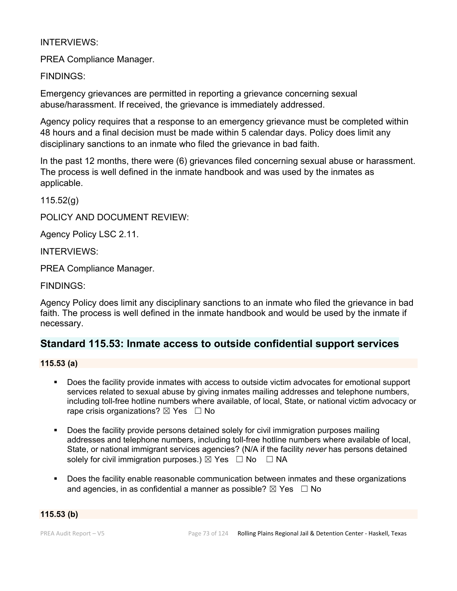## INTERVIEWS:

PREA Compliance Manager.

FINDINGS:

Emergency grievances are permitted in reporting a grievance concerning sexual abuse/harassment. If received, the grievance is immediately addressed.

Agency policy requires that a response to an emergency grievance must be completed within 48 hours and a final decision must be made within 5 calendar days. Policy does limit any disciplinary sanctions to an inmate who filed the grievance in bad faith.

In the past 12 months, there were (6) grievances filed concerning sexual abuse or harassment. The process is well defined in the inmate handbook and was used by the inmates as applicable.

115.52(g)

POLICY AND DOCUMENT REVIEW:

Agency Policy LSC 2.11.

INTERVIEWS:

PREA Compliance Manager.

FINDINGS:

Agency Policy does limit any disciplinary sanctions to an inmate who filed the grievance in bad faith. The process is well defined in the inmate handbook and would be used by the inmate if necessary.

## **Standard 115.53: Inmate access to outside confidential support services**

**115.53 (a)**

- Does the facility provide inmates with access to outside victim advocates for emotional support services related to sexual abuse by giving inmates mailing addresses and telephone numbers, including toll-free hotline numbers where available, of local, State, or national victim advocacy or rape crisis organizations?  $\boxtimes$  Yes  $\Box$  No
- Does the facility provide persons detained solely for civil immigration purposes mailing addresses and telephone numbers, including toll-free hotline numbers where available of local, State, or national immigrant services agencies? (N/A if the facility *never* has persons detained solely for civil immigration purposes.)  $\boxtimes$  Yes  $\Box$  No  $\Box$  NA
- Does the facility enable reasonable communication between inmates and these organizations and agencies, in as confidential a manner as possible?  $\boxtimes$  Yes  $\Box$  No

**115.53 (b)**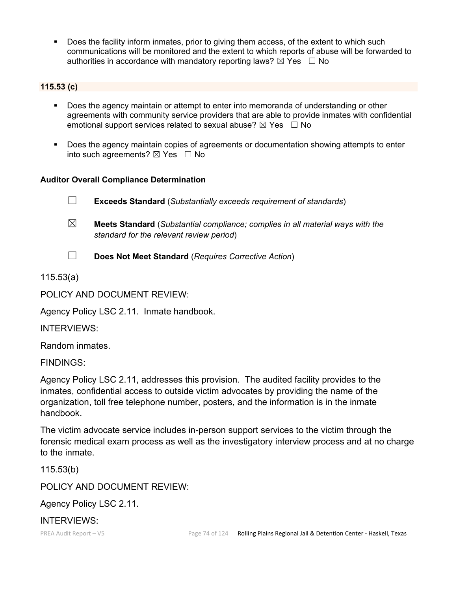Does the facility inform inmates, prior to giving them access, of the extent to which such communications will be monitored and the extent to which reports of abuse will be forwarded to authorities in accordance with mandatory reporting laws?  $\boxtimes$  Yes  $\Box$  No

## **115.53 (c)**

- Does the agency maintain or attempt to enter into memoranda of understanding or other agreements with community service providers that are able to provide inmates with confidential emotional support services related to sexual abuse?  $\boxtimes$  Yes  $\Box$  No
- Does the agency maintain copies of agreements or documentation showing attempts to enter into such agreements?  $\boxtimes$  Yes  $\Box$  No

## **Auditor Overall Compliance Determination**

☐ **Exceeds Standard** (*Substantially exceeds requirement of standards*)

☒ **Meets Standard** (*Substantial compliance; complies in all material ways with the standard for the relevant review period*)

☐ **Does Not Meet Standard** (*Requires Corrective Action*)

115.53(a)

POLICY AND DOCUMENT REVIEW:

Agency Policy LSC 2.11. Inmate handbook.

INTERVIEWS:

Random inmates.

FINDINGS:

Agency Policy LSC 2.11, addresses this provision. The audited facility provides to the inmates, confidential access to outside victim advocates by providing the name of the organization, toll free telephone number, posters, and the information is in the inmate handbook.

The victim advocate service includes in-person support services to the victim through the forensic medical exam process as well as the investigatory interview process and at no charge to the inmate.

115.53(b)

POLICY AND DOCUMENT REVIEW:

Agency Policy LSC 2.11.

INTERVIEWS: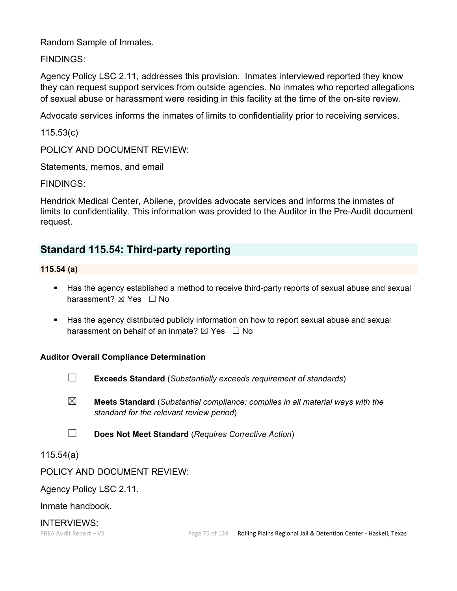Random Sample of Inmates.

FINDINGS:

Agency Policy LSC 2.11, addresses this provision. Inmates interviewed reported they know they can request support services from outside agencies. No inmates who reported allegations of sexual abuse or harassment were residing in this facility at the time of the on-site review.

Advocate services informs the inmates of limits to confidentiality prior to receiving services.

115.53(c)

POLICY AND DOCUMENT REVIEW:

Statements, memos, and email

FINDINGS:

Hendrick Medical Center, Abilene, provides advocate services and informs the inmates of limits to confidentiality. This information was provided to the Auditor in the Pre-Audit document request.

# **Standard 115.54: Third-party reporting**

**115.54 (a)**

- Has the agency established a method to receive third-party reports of sexual abuse and sexual harassment? ⊠ Yes □ No
- **Has the agency distributed publicly information on how to report sexual abuse and sexual** harassment on behalf of an inmate?  $\boxtimes$  Yes  $\Box$  No

## **Auditor Overall Compliance Determination**



☐ **Exceeds Standard** (*Substantially exceeds requirement of standards*)

- ☒ **Meets Standard** (*Substantial compliance; complies in all material ways with the standard for the relevant review period*)
- ☐ **Does Not Meet Standard** (*Requires Corrective Action*)

115.54(a)

POLICY AND DOCUMENT REVIEW:

Agency Policy LSC 2.11.

Inmate handbook.

INTERVIEWS: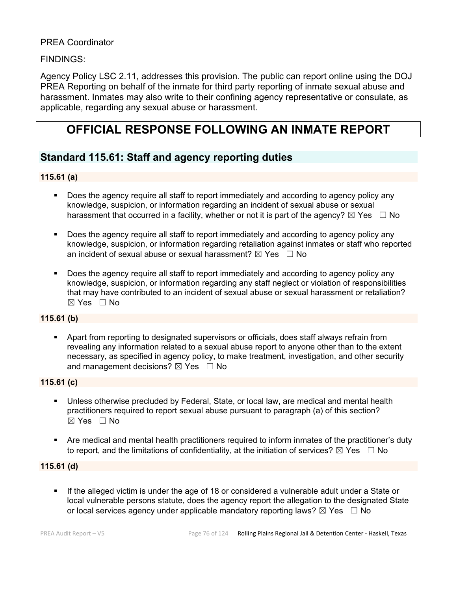## PREA Coordinator

## FINDINGS:

Agency Policy LSC 2.11, addresses this provision. The public can report online using the DOJ PREA Reporting on behalf of the inmate for third party reporting of inmate sexual abuse and harassment. Inmates may also write to their confining agency representative or consulate, as applicable, regarding any sexual abuse or harassment.

# **OFFICIAL RESPONSE FOLLOWING AN INMATE REPORT**

# **Standard 115.61: Staff and agency reporting duties**

## **115.61 (a)**

- Does the agency require all staff to report immediately and according to agency policy any knowledge, suspicion, or information regarding an incident of sexual abuse or sexual harassment that occurred in a facility, whether or not it is part of the agency?  $\boxtimes$  Yes  $\Box$  No
- Does the agency require all staff to report immediately and according to agency policy any knowledge, suspicion, or information regarding retaliation against inmates or staff who reported an incident of sexual abuse or sexual harassment?  $\boxtimes$  Yes  $\Box$  No
- Does the agency require all staff to report immediately and according to agency policy any knowledge, suspicion, or information regarding any staff neglect or violation of responsibilities that may have contributed to an incident of sexual abuse or sexual harassment or retaliation?  $\boxtimes$  Yes  $\Box$  No

#### **115.61 (b)**

 Apart from reporting to designated supervisors or officials, does staff always refrain from revealing any information related to a sexual abuse report to anyone other than to the extent necessary, as specified in agency policy, to make treatment, investigation, and other security and management decisions?  $\boxtimes$  Yes  $\Box$  No

#### **115.61 (c)**

- Unless otherwise precluded by Federal, State, or local law, are medical and mental health practitioners required to report sexual abuse pursuant to paragraph (a) of this section?  $\boxtimes$  Yes  $\Box$  No
- Are medical and mental health practitioners required to inform inmates of the practitioner's duty to report, and the limitations of confidentiality, at the initiation of services?  $\boxtimes$  Yes  $\Box$  No

#### **115.61 (d)**

 If the alleged victim is under the age of 18 or considered a vulnerable adult under a State or local vulnerable persons statute, does the agency report the allegation to the designated State or local services agency under applicable mandatory reporting laws?  $\boxtimes$  Yes  $\Box$  No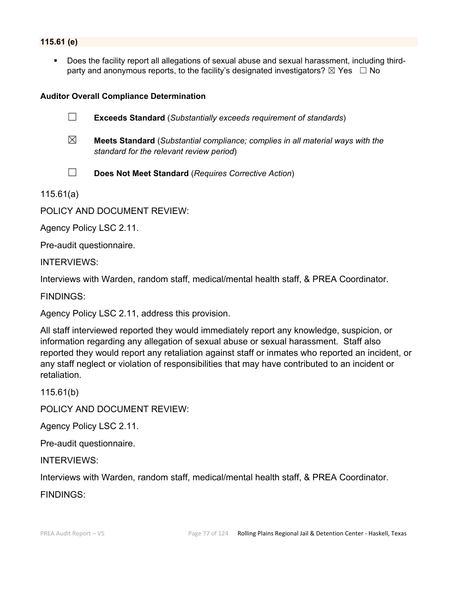## **115.61 (e)**

 Does the facility report all allegations of sexual abuse and sexual harassment, including thirdparty and anonymous reports, to the facility's designated investigators?  $\boxtimes$  Yes  $\Box$  No

#### **Auditor Overall Compliance Determination**

☐ **Exceeds Standard** (*Substantially exceeds requirement of standards*)

- ☒ **Meets Standard** (*Substantial compliance; complies in all material ways with the standard for the relevant review period*)
- 
- ☐ **Does Not Meet Standard** (*Requires Corrective Action*)

115.61(a)

POLICY AND DOCUMENT REVIEW:

Agency Policy LSC 2.11.

Pre-audit questionnaire.

INTERVIEWS:

Interviews with Warden, random staff, medical/mental health staff, & PREA Coordinator.

FINDINGS:

Agency Policy LSC 2.11, address this provision.

All staff interviewed reported they would immediately report any knowledge, suspicion, or information regarding any allegation of sexual abuse or sexual harassment. Staff also reported they would report any retaliation against staff or inmates who reported an incident, or any staff neglect or violation of responsibilities that may have contributed to an incident or retaliation.

115.61(b)

POLICY AND DOCUMENT REVIEW:

Agency Policy LSC 2.11.

Pre-audit questionnaire.

INTERVIEWS:

Interviews with Warden, random staff, medical/mental health staff, & PREA Coordinator.

FINDINGS: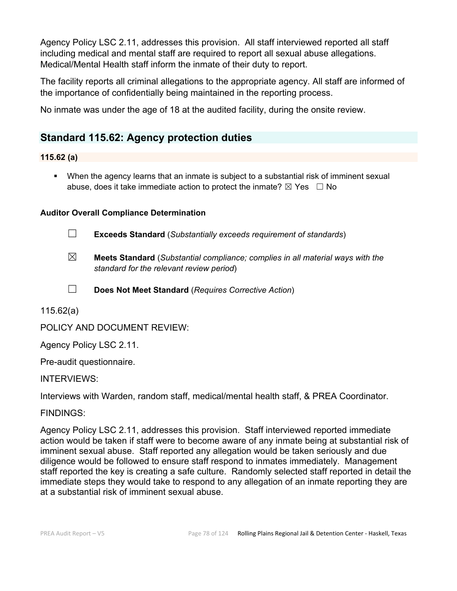Agency Policy LSC 2.11, addresses this provision. All staff interviewed reported all staff including medical and mental staff are required to report all sexual abuse allegations. Medical/Mental Health staff inform the inmate of their duty to report.

The facility reports all criminal allegations to the appropriate agency. All staff are informed of the importance of confidentially being maintained in the reporting process.

No inmate was under the age of 18 at the audited facility, during the onsite review.

# **Standard 115.62: Agency protection duties**

## **115.62 (a)**

 When the agency learns that an inmate is subject to a substantial risk of imminent sexual abuse, does it take immediate action to protect the inmate?  $\boxtimes$  Yes  $\Box$  No

## **Auditor Overall Compliance Determination**

☐ **Exceeds Standard** (*Substantially exceeds requirement of standards*)

☒ **Meets Standard** (*Substantial compliance; complies in all material ways with the standard for the relevant review period*)

☐ **Does Not Meet Standard** (*Requires Corrective Action*)

115.62(a)

POLICY AND DOCUMENT REVIEW:

Agency Policy LSC 2.11.

Pre-audit questionnaire.

## INTERVIEWS:

Interviews with Warden, random staff, medical/mental health staff, & PREA Coordinator.

## FINDINGS:

Agency Policy LSC 2.11, addresses this provision. Staff interviewed reported immediate action would be taken if staff were to become aware of any inmate being at substantial risk of imminent sexual abuse. Staff reported any allegation would be taken seriously and due diligence would be followed to ensure staff respond to inmates immediately. Management staff reported the key is creating a safe culture. Randomly selected staff reported in detail the immediate steps they would take to respond to any allegation of an inmate reporting they are at a substantial risk of imminent sexual abuse.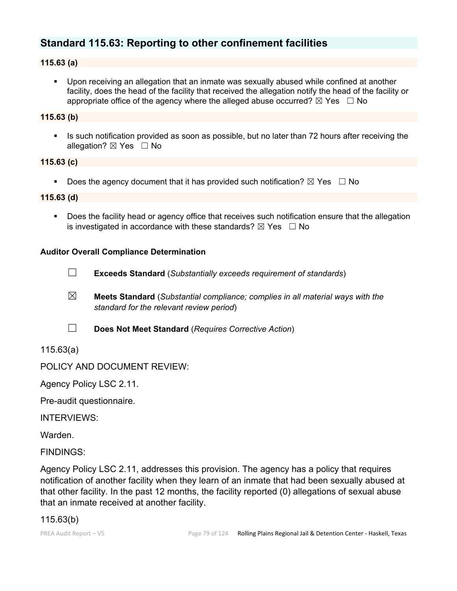# **Standard 115.63: Reporting to other confinement facilities**

## **115.63 (a)**

 Upon receiving an allegation that an inmate was sexually abused while confined at another facility, does the head of the facility that received the allegation notify the head of the facility or appropriate office of the agency where the alleged abuse occurred?  $\boxtimes$  Yes  $\Box$  No

## **115.63 (b)**

Is such notification provided as soon as possible, but no later than 72 hours after receiving the allegation? ⊠ Yes □ No

#### **115.63 (c)**

Does the agency document that it has provided such notification?  $\boxtimes$  Yes  $\Box$  No

## **115.63 (d)**

**Does the facility head or agency office that receives such notification ensure that the allegation** is investigated in accordance with these standards?  $\boxtimes$  Yes  $\Box$  No

## **Auditor Overall Compliance Determination**

- ☐ **Exceeds Standard** (*Substantially exceeds requirement of standards*)
- ☒ **Meets Standard** (*Substantial compliance; complies in all material ways with the standard for the relevant review period*)
- ☐ **Does Not Meet Standard** (*Requires Corrective Action*)

115.63(a)

## POLICY AND DOCUMENT REVIEW:

Agency Policy LSC 2.11.

Pre-audit questionnaire.

INTERVIEWS:

Warden.

FINDINGS:

Agency Policy LSC 2.11, addresses this provision. The agency has a policy that requires notification of another facility when they learn of an inmate that had been sexually abused at that other facility. In the past 12 months, the facility reported (0) allegations of sexual abuse that an inmate received at another facility.

## 115.63(b)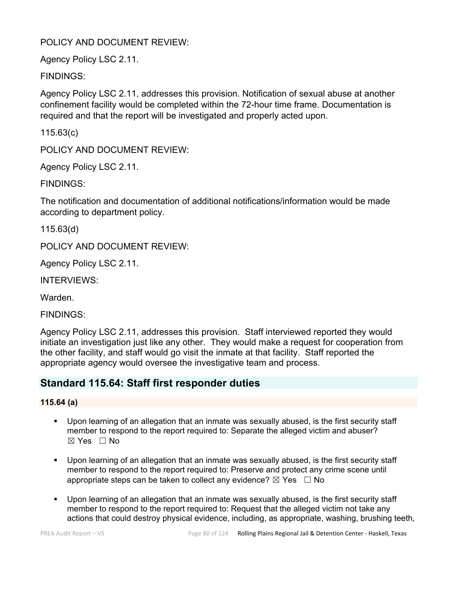## POLICY AND DOCUMENT REVIEW:

Agency Policy LSC 2.11.

FINDINGS:

Agency Policy LSC 2.11, addresses this provision. Notification of sexual abuse at another confinement facility would be completed within the 72-hour time frame. Documentation is required and that the report will be investigated and properly acted upon.

115.63(c)

POLICY AND DOCUMENT REVIEW:

Agency Policy LSC 2.11.

FINDINGS:

The notification and documentation of additional notifications/information would be made according to department policy.

115.63(d)

POLICY AND DOCUMENT REVIEW:

Agency Policy LSC 2.11.

INTERVIEWS:

Warden.

FINDINGS:

Agency Policy LSC 2.11, addresses this provision. Staff interviewed reported they would initiate an investigation just like any other. They would make a request for cooperation from the other facility, and staff would go visit the inmate at that facility. Staff reported the appropriate agency would oversee the investigative team and process.

# **Standard 115.64: Staff first responder duties**

## **115.64 (a)**

- Upon learning of an allegation that an inmate was sexually abused, is the first security staff member to respond to the report required to: Separate the alleged victim and abuser?  $\boxtimes$  Yes  $\Box$  No
- Upon learning of an allegation that an inmate was sexually abused, is the first security staff member to respond to the report required to: Preserve and protect any crime scene until appropriate steps can be taken to collect any evidence?  $\boxtimes$  Yes  $\Box$  No
- Upon learning of an allegation that an inmate was sexually abused, is the first security staff member to respond to the report required to: Request that the alleged victim not take any actions that could destroy physical evidence, including, as appropriate, washing, brushing teeth,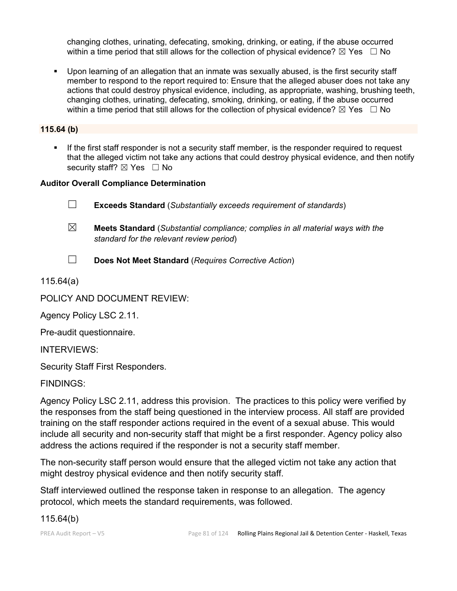changing clothes, urinating, defecating, smoking, drinking, or eating, if the abuse occurred within a time period that still allows for the collection of physical evidence?  $\boxtimes$  Yes  $\Box$  No

 Upon learning of an allegation that an inmate was sexually abused, is the first security staff member to respond to the report required to: Ensure that the alleged abuser does not take any actions that could destroy physical evidence, including, as appropriate, washing, brushing teeth, changing clothes, urinating, defecating, smoking, drinking, or eating, if the abuse occurred within a time period that still allows for the collection of physical evidence?  $\boxtimes$  Yes  $\Box$  No

**115.64 (b)**

 If the first staff responder is not a security staff member, is the responder required to request that the alleged victim not take any actions that could destroy physical evidence, and then notify security staff? ⊠ Yes □ No

## **Auditor Overall Compliance Determination**

☐ **Exceeds Standard** (*Substantially exceeds requirement of standards*)

- ☒ **Meets Standard** (*Substantial compliance; complies in all material ways with the standard for the relevant review period*)
- ☐ **Does Not Meet Standard** (*Requires Corrective Action*)

115.64(a)

POLICY AND DOCUMENT REVIEW:

Agency Policy LSC 2.11.

Pre-audit questionnaire.

INTERVIEWS:

Security Staff First Responders.

FINDINGS:

Agency Policy LSC 2.11, address this provision. The practices to this policy were verified by the responses from the staff being questioned in the interview process. All staff are provided training on the staff responder actions required in the event of a sexual abuse. This would include all security and non-security staff that might be a first responder. Agency policy also address the actions required if the responder is not a security staff member.

The non-security staff person would ensure that the alleged victim not take any action that might destroy physical evidence and then notify security staff.

Staff interviewed outlined the response taken in response to an allegation. The agency protocol, which meets the standard requirements, was followed.

115.64(b)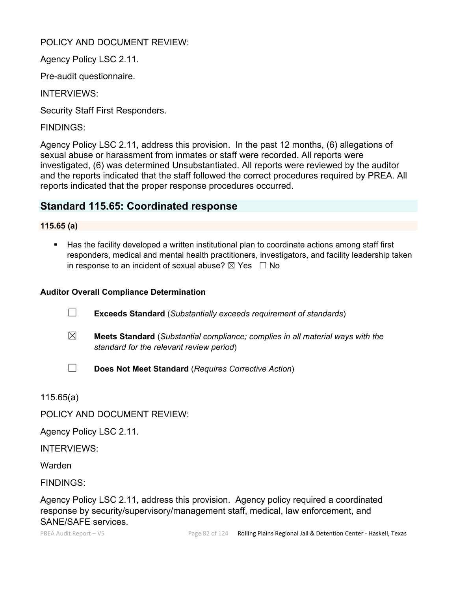## POLICY AND DOCUMENT REVIEW:

Agency Policy LSC 2.11.

Pre-audit questionnaire.

INTERVIEWS:

Security Staff First Responders.

FINDINGS:

Agency Policy LSC 2.11, address this provision. In the past 12 months, (6) allegations of sexual abuse or harassment from inmates or staff were recorded. All reports were investigated, (6) was determined Unsubstantiated. All reports were reviewed by the auditor and the reports indicated that the staff followed the correct procedures required by PREA. All reports indicated that the proper response procedures occurred.

# **Standard 115.65: Coordinated response**

## **115.65 (a)**

 Has the facility developed a written institutional plan to coordinate actions among staff first responders, medical and mental health practitioners, investigators, and facility leadership taken in response to an incident of sexual abuse?  $\boxtimes$  Yes  $\Box$  No

## **Auditor Overall Compliance Determination**

- ☐ **Exceeds Standard** (*Substantially exceeds requirement of standards*)
- ☒ **Meets Standard** (*Substantial compliance; complies in all material ways with the standard for the relevant review period*)
- ☐ **Does Not Meet Standard** (*Requires Corrective Action*)

115.65(a)

POLICY AND DOCUMENT REVIEW:

Agency Policy LSC 2.11.

INTERVIEWS:

Warden

FINDINGS:

Agency Policy LSC 2.11, address this provision. Agency policy required a coordinated response by security/supervisory/management staff, medical, law enforcement, and SANE/SAFE services.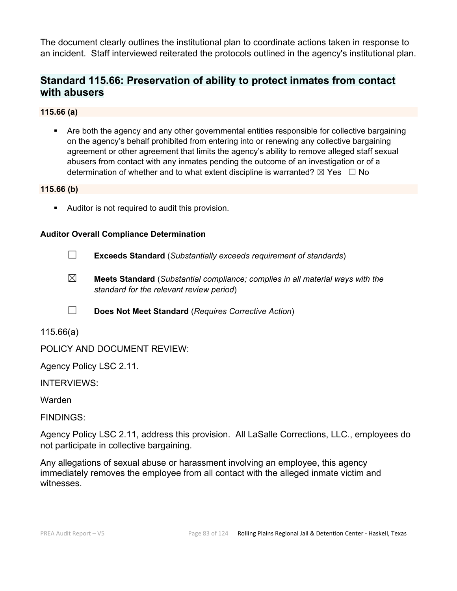The document clearly outlines the institutional plan to coordinate actions taken in response to an incident. Staff interviewed reiterated the protocols outlined in the agency's institutional plan.

# **Standard 115.66: Preservation of ability to protect inmates from contact with abusers**

## **115.66 (a)**

 Are both the agency and any other governmental entities responsible for collective bargaining on the agency's behalf prohibited from entering into or renewing any collective bargaining agreement or other agreement that limits the agency's ability to remove alleged staff sexual abusers from contact with any inmates pending the outcome of an investigation or of a determination of whether and to what extent discipline is warranted?  $\boxtimes$  Yes  $\Box$  No

## **115.66 (b)**

Auditor is not required to audit this provision.

## **Auditor Overall Compliance Determination**

- ☐ **Exceeds Standard** (*Substantially exceeds requirement of standards*)
- ☒ **Meets Standard** (*Substantial compliance; complies in all material ways with the standard for the relevant review period*)
- ☐ **Does Not Meet Standard** (*Requires Corrective Action*)
- 115.66(a)

POLICY AND DOCUMENT REVIEW:

Agency Policy LSC 2.11.

INTERVIEWS:

Warden

FINDINGS:

Agency Policy LSC 2.11, address this provision. All LaSalle Corrections, LLC., employees do not participate in collective bargaining.

Any allegations of sexual abuse or harassment involving an employee, this agency immediately removes the employee from all contact with the alleged inmate victim and witnesses.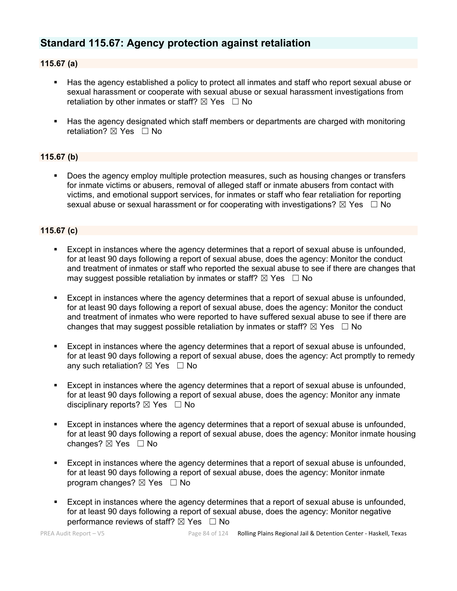# **Standard 115.67: Agency protection against retaliation**

## **115.67 (a)**

- Has the agency established a policy to protect all inmates and staff who report sexual abuse or sexual harassment or cooperate with sexual abuse or sexual harassment investigations from retaliation by other inmates or staff?  $\boxtimes$  Yes  $\Box$  No
- Has the agency designated which staff members or departments are charged with monitoring retaliation? ⊠ Yes □ No

#### **115.67 (b)**

**Does the agency employ multiple protection measures, such as housing changes or transfers** for inmate victims or abusers, removal of alleged staff or inmate abusers from contact with victims, and emotional support services, for inmates or staff who fear retaliation for reporting sexual abuse or sexual harassment or for cooperating with investigations?  $\boxtimes$  Yes  $\Box$  No

#### **115.67 (c)**

- Except in instances where the agency determines that a report of sexual abuse is unfounded, for at least 90 days following a report of sexual abuse, does the agency: Monitor the conduct and treatment of inmates or staff who reported the sexual abuse to see if there are changes that may suggest possible retaliation by inmates or staff?  $\boxtimes$  Yes  $\Box$  No
- Except in instances where the agency determines that a report of sexual abuse is unfounded, for at least 90 days following a report of sexual abuse, does the agency: Monitor the conduct and treatment of inmates who were reported to have suffered sexual abuse to see if there are changes that may suggest possible retaliation by inmates or staff?  $\boxtimes$  Yes  $\Box$  No
- Except in instances where the agency determines that a report of sexual abuse is unfounded, for at least 90 days following a report of sexual abuse, does the agency: Act promptly to remedy any such retaliation?  $\boxtimes$  Yes  $\Box$  No
- Except in instances where the agency determines that a report of sexual abuse is unfounded, for at least 90 days following a report of sexual abuse, does the agency: Monitor any inmate disciplinary reports?  $\boxtimes$  Yes  $\Box$  No
- Except in instances where the agency determines that a report of sexual abuse is unfounded, for at least 90 days following a report of sexual abuse, does the agency: Monitor inmate housing changes? ⊠ Yes □ No
- Except in instances where the agency determines that a report of sexual abuse is unfounded, for at least 90 days following a report of sexual abuse, does the agency: Monitor inmate program changes?  $\boxtimes$  Yes  $\Box$  No
- Except in instances where the agency determines that a report of sexual abuse is unfounded, for at least 90 days following a report of sexual abuse, does the agency: Monitor negative performance reviews of staff?  $\boxtimes$  Yes  $\Box$  No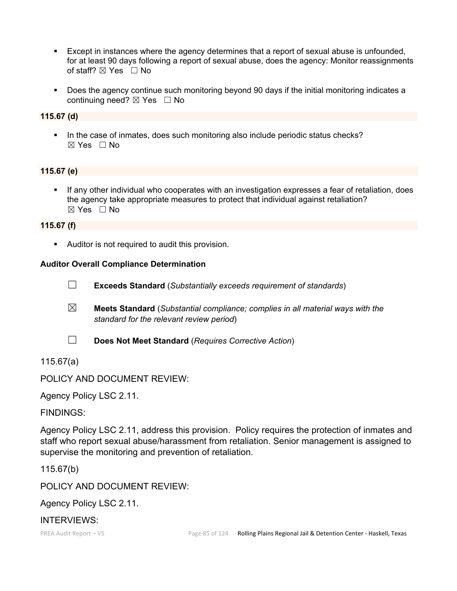- Except in instances where the agency determines that a report of sexual abuse is unfounded, for at least 90 days following a report of sexual abuse, does the agency: Monitor reassignments of staff? ⊠ Yes □ No
- Does the agency continue such monitoring beyond 90 days if the initial monitoring indicates a continuing need? ☒ Yes ☐ No

#### **115.67 (d)**

 In the case of inmates, does such monitoring also include periodic status checks?  $\boxtimes$  Yes  $\Box$  No

#### **115.67 (e)**

 If any other individual who cooperates with an investigation expresses a fear of retaliation, does the agency take appropriate measures to protect that individual against retaliation? ☒ Yes ☐ No

#### **115.67 (f)**

Auditor is not required to audit this provision.

#### **Auditor Overall Compliance Determination**

- ☐ **Exceeds Standard** (*Substantially exceeds requirement of standards*)
- ☒ **Meets Standard** (*Substantial compliance; complies in all material ways with the standard for the relevant review period*)
- ☐ **Does Not Meet Standard** (*Requires Corrective Action*)

## 115.67(a)

POLICY AND DOCUMENT REVIEW:

Agency Policy LSC 2.11.

FINDINGS:

Agency Policy LSC 2.11, address this provision. Policy requires the protection of inmates and staff who report sexual abuse/harassment from retaliation. Senior management is assigned to supervise the monitoring and prevention of retaliation.

115.67(b)

POLICY AND DOCUMENT REVIEW:

Agency Policy LSC 2.11.

## INTERVIEWS: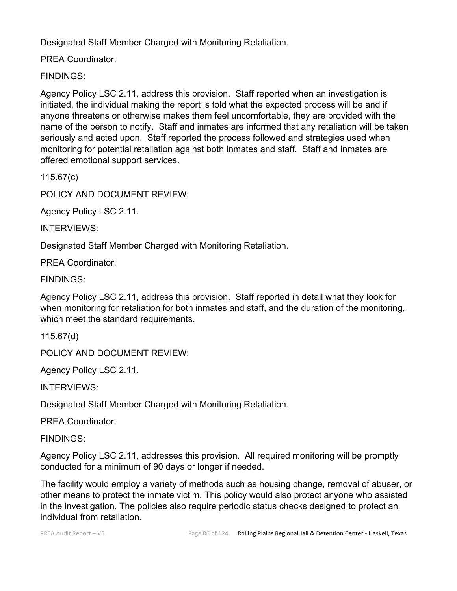Designated Staff Member Charged with Monitoring Retaliation.

PREA Coordinator.

FINDINGS:

Agency Policy LSC 2.11, address this provision. Staff reported when an investigation is initiated, the individual making the report is told what the expected process will be and if anyone threatens or otherwise makes them feel uncomfortable, they are provided with the name of the person to notify. Staff and inmates are informed that any retaliation will be taken seriously and acted upon. Staff reported the process followed and strategies used when monitoring for potential retaliation against both inmates and staff. Staff and inmates are offered emotional support services.

115.67(c)

POLICY AND DOCUMENT REVIEW:

Agency Policy LSC 2.11.

INTERVIEWS:

Designated Staff Member Charged with Monitoring Retaliation.

PREA Coordinator.

FINDINGS:

Agency Policy LSC 2.11, address this provision. Staff reported in detail what they look for when monitoring for retaliation for both inmates and staff, and the duration of the monitoring, which meet the standard requirements.

115.67(d)

POLICY AND DOCUMENT REVIEW:

Agency Policy LSC 2.11.

INTERVIEWS:

Designated Staff Member Charged with Monitoring Retaliation.

PREA Coordinator.

FINDINGS:

Agency Policy LSC 2.11, addresses this provision. All required monitoring will be promptly conducted for a minimum of 90 days or longer if needed.

The facility would employ a variety of methods such as housing change, removal of abuser, or other means to protect the inmate victim. This policy would also protect anyone who assisted in the investigation. The policies also require periodic status checks designed to protect an individual from retaliation.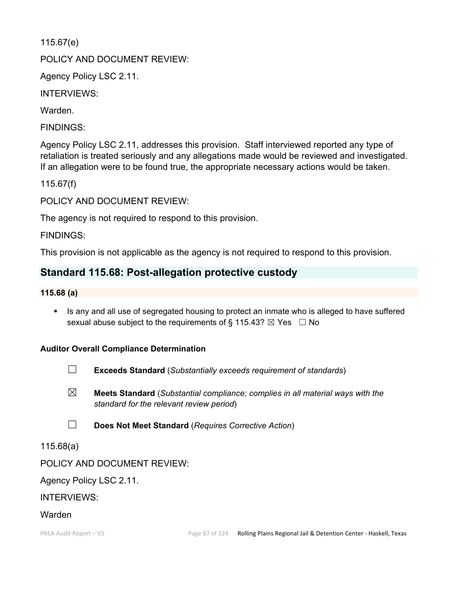115.67(e)

POLICY AND DOCUMENT REVIEW:

Agency Policy LSC 2.11.

INTERVIEWS:

Warden.

FINDINGS:

Agency Policy LSC 2.11, addresses this provision. Staff interviewed reported any type of retaliation is treated seriously and any allegations made would be reviewed and investigated. If an allegation were to be found true, the appropriate necessary actions would be taken.

115.67(f)

POLICY AND DOCUMENT REVIEW:

The agency is not required to respond to this provision.

FINDINGS:

This provision is not applicable as the agency is not required to respond to this provision.

## **Standard 115.68: Post-allegation protective custody**

#### **115.68 (a)**

Is any and all use of segregated housing to protect an inmate who is alleged to have suffered sexual abuse subject to the requirements of § 115.43?  $\boxtimes$  Yes  $\Box$  No

## **Auditor Overall Compliance Determination**

- ☐ **Exceeds Standard** (*Substantially exceeds requirement of standards*)
- ☒ **Meets Standard** (*Substantial compliance; complies in all material ways with the standard for the relevant review period*)
- ☐ **Does Not Meet Standard** (*Requires Corrective Action*)

115.68(a)

## POLICY AND DOCUMENT REVIEW:

Agency Policy LSC 2.11.

## INTERVIEWS:

## Warden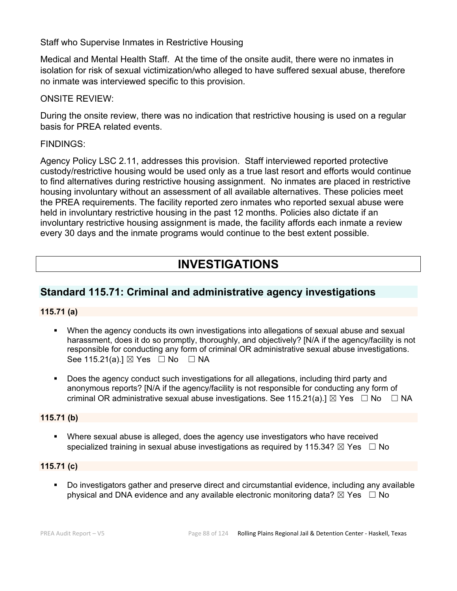Staff who Supervise Inmates in Restrictive Housing

Medical and Mental Health Staff. At the time of the onsite audit, there were no inmates in isolation for risk of sexual victimization/who alleged to have suffered sexual abuse, therefore no inmate was interviewed specific to this provision.

ONSITE REVIEW:

During the onsite review, there was no indication that restrictive housing is used on a regular basis for PREA related events.

## FINDINGS:

Agency Policy LSC 2.11, addresses this provision. Staff interviewed reported protective custody/restrictive housing would be used only as a true last resort and efforts would continue to find alternatives during restrictive housing assignment. No inmates are placed in restrictive housing involuntary without an assessment of all available alternatives. These policies meet the PREA requirements. The facility reported zero inmates who reported sexual abuse were held in involuntary restrictive housing in the past 12 months. Policies also dictate if an involuntary restrictive housing assignment is made, the facility affords each inmate a review every 30 days and the inmate programs would continue to the best extent possible.

# **INVESTIGATIONS**

# **Standard 115.71: Criminal and administrative agency investigations**

## **115.71 (a)**

- When the agency conducts its own investigations into allegations of sexual abuse and sexual harassment, does it do so promptly, thoroughly, and objectively? [N/A if the agency/facility is not responsible for conducting any form of criminal OR administrative sexual abuse investigations. See 115.21(a).] ⊠ Yes □ No □ NA
- Does the agency conduct such investigations for all allegations, including third party and anonymous reports? [N/A if the agency/facility is not responsible for conducting any form of criminal OR administrative sexual abuse investigations. See 115.21(a).]  $\boxtimes$  Yes  $\Box$  No  $\Box$  NA

## **115.71 (b)**

 Where sexual abuse is alleged, does the agency use investigators who have received specialized training in sexual abuse investigations as required by 115.34?  $\boxtimes$  Yes  $\Box$  No

## **115.71 (c)**

 Do investigators gather and preserve direct and circumstantial evidence, including any available physical and DNA evidence and any available electronic monitoring data?  $\boxtimes$  Yes  $\Box$  No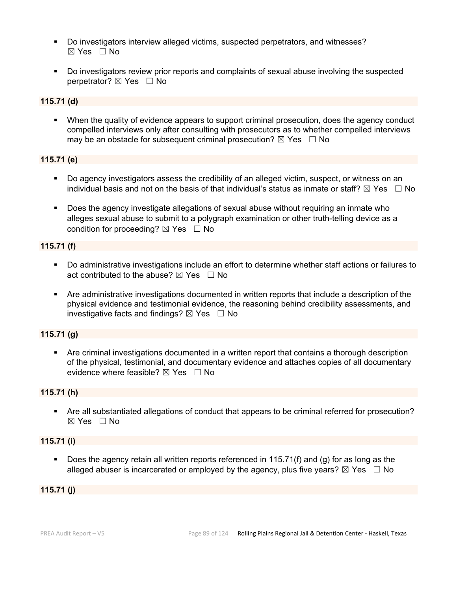- Do investigators interview alleged victims, suspected perpetrators, and witnesses?  $\boxtimes$  Yes  $\Box$  No
- Do investigators review prior reports and complaints of sexual abuse involving the suspected perpetrator? **⊠** Yes □ No

#### **115.71 (d)**

 When the quality of evidence appears to support criminal prosecution, does the agency conduct compelled interviews only after consulting with prosecutors as to whether compelled interviews may be an obstacle for subsequent criminal prosecution?  $\boxtimes$  Yes  $\Box$  No

## **115.71 (e)**

- Do agency investigators assess the credibility of an alleged victim, suspect, or witness on an individual basis and not on the basis of that individual's status as inmate or staff?  $\boxtimes$  Yes  $\Box$  No
- Does the agency investigate allegations of sexual abuse without requiring an inmate who alleges sexual abuse to submit to a polygraph examination or other truth-telling device as a condition for proceeding?  $\boxtimes$  Yes  $\Box$  No

## **115.71 (f)**

- Do administrative investigations include an effort to determine whether staff actions or failures to act contributed to the abuse?  $\boxtimes$  Yes  $\Box$  No
- Are administrative investigations documented in written reports that include a description of the physical evidence and testimonial evidence, the reasoning behind credibility assessments, and investigative facts and findings?  $\boxtimes$  Yes  $\Box$  No

## **115.71 (g)**

 Are criminal investigations documented in a written report that contains a thorough description of the physical, testimonial, and documentary evidence and attaches copies of all documentary evidence where feasible?  $\boxtimes$  Yes  $\Box$  No

#### **115.71 (h)**

 Are all substantiated allegations of conduct that appears to be criminal referred for prosecution?  $\boxtimes$  Yes  $\Box$  No

#### **115.71 (i)**

Does the agency retain all written reports referenced in 115.71(f) and (g) for as long as the alleged abuser is incarcerated or employed by the agency, plus five years?  $\boxtimes$  Yes  $\Box$  No

#### **115.71 (j)**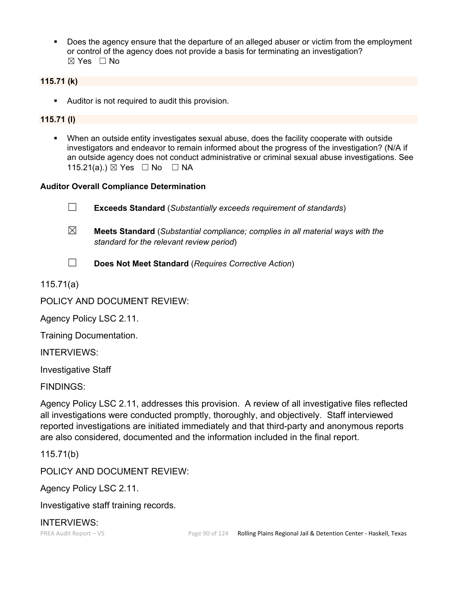Does the agency ensure that the departure of an alleged abuser or victim from the employment or control of the agency does not provide a basis for terminating an investigation? ☒ Yes ☐ No

## **115.71 (k)**

**Auditor is not required to audit this provision.** 

## **115.71 (l)**

 When an outside entity investigates sexual abuse, does the facility cooperate with outside investigators and endeavor to remain informed about the progress of the investigation? (N/A if an outside agency does not conduct administrative or criminal sexual abuse investigations. See 115.21(a).) ⊠ Yes □ No □ NA

## **Auditor Overall Compliance Determination**

- ☐ **Exceeds Standard** (*Substantially exceeds requirement of standards*)
- ☒ **Meets Standard** (*Substantial compliance; complies in all material ways with the standard for the relevant review period*)
- ☐ **Does Not Meet Standard** (*Requires Corrective Action*)
- 115.71(a)

POLICY AND DOCUMENT REVIEW:

Agency Policy LSC 2.11.

Training Documentation.

INTERVIEWS:

Investigative Staff

FINDINGS:

Agency Policy LSC 2.11, addresses this provision. A review of all investigative files reflected all investigations were conducted promptly, thoroughly, and objectively. Staff interviewed reported investigations are initiated immediately and that third-party and anonymous reports are also considered, documented and the information included in the final report.

115.71(b)

POLICY AND DOCUMENT REVIEW:

Agency Policy LSC 2.11.

Investigative staff training records.

INTERVIEWS: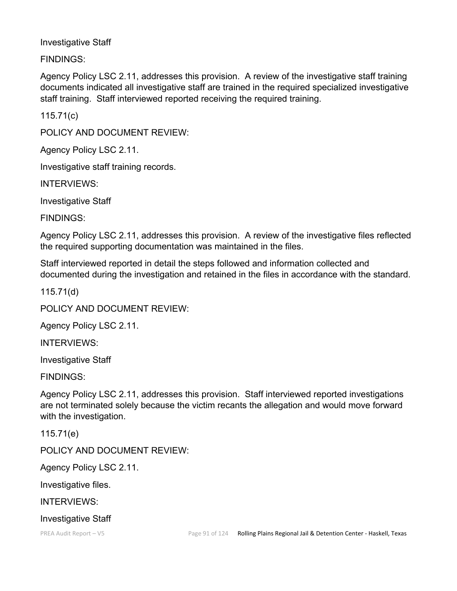## Investigative Staff

FINDINGS:

Agency Policy LSC 2.11, addresses this provision. A review of the investigative staff training documents indicated all investigative staff are trained in the required specialized investigative staff training. Staff interviewed reported receiving the required training.

115.71(c)

POLICY AND DOCUMENT REVIEW:

Agency Policy LSC 2.11.

Investigative staff training records.

INTERVIEWS:

Investigative Staff

FINDINGS:

Agency Policy LSC 2.11, addresses this provision. A review of the investigative files reflected the required supporting documentation was maintained in the files.

Staff interviewed reported in detail the steps followed and information collected and documented during the investigation and retained in the files in accordance with the standard.

115.71(d)

POLICY AND DOCUMENT REVIEW:

Agency Policy LSC 2.11.

INTERVIEWS:

Investigative Staff

FINDINGS:

Agency Policy LSC 2.11, addresses this provision. Staff interviewed reported investigations are not terminated solely because the victim recants the allegation and would move forward with the investigation.

115.71(e)

POLICY AND DOCUMENT REVIEW:

Agency Policy LSC 2.11.

Investigative files.

INTERVIEWS:

Investigative Staff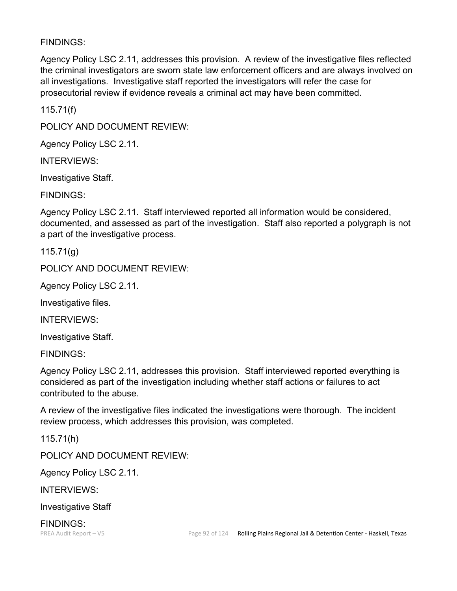## FINDINGS:

Agency Policy LSC 2.11, addresses this provision. A review of the investigative files reflected the criminal investigators are sworn state law enforcement officers and are always involved on all investigations. Investigative staff reported the investigators will refer the case for prosecutorial review if evidence reveals a criminal act may have been committed.

115.71(f)

POLICY AND DOCUMENT REVIEW:

Agency Policy LSC 2.11.

INTERVIEWS:

Investigative Staff.

FINDINGS:

Agency Policy LSC 2.11. Staff interviewed reported all information would be considered, documented, and assessed as part of the investigation. Staff also reported a polygraph is not a part of the investigative process.

115.71(g)

POLICY AND DOCUMENT REVIEW:

Agency Policy LSC 2.11.

Investigative files.

INTERVIEWS:

Investigative Staff.

FINDINGS:

Agency Policy LSC 2.11, addresses this provision. Staff interviewed reported everything is considered as part of the investigation including whether staff actions or failures to act contributed to the abuse.

A review of the investigative files indicated the investigations were thorough. The incident review process, which addresses this provision, was completed.

115.71(h)

POLICY AND DOCUMENT REVIEW:

Agency Policy LSC 2.11.

INTERVIEWS:

Investigative Staff

FINDINGS: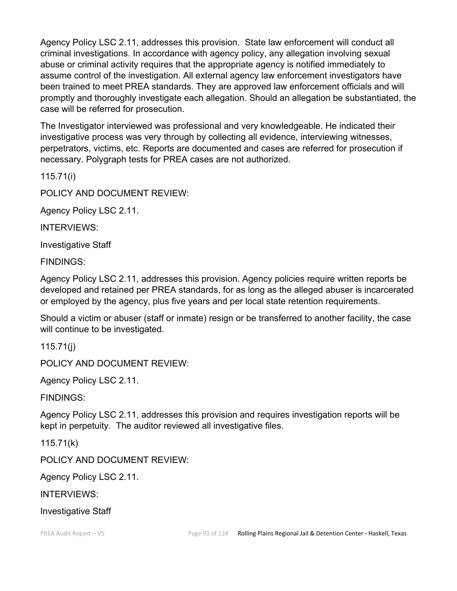Agency Policy LSC 2.11, addresses this provision. State law enforcement will conduct all criminal investigations. In accordance with agency policy, any allegation involving sexual abuse or criminal activity requires that the appropriate agency is notified immediately to assume control of the investigation. All external agency law enforcement investigators have been trained to meet PREA standards. They are approved law enforcement officials and will promptly and thoroughly investigate each allegation. Should an allegation be substantiated, the case will be referred for prosecution.

The Investigator interviewed was professional and very knowledgeable. He indicated their investigative process was very through by collecting all evidence, interviewing witnesses, perpetrators, victims, etc. Reports are documented and cases are referred for prosecution if necessary. Polygraph tests for PREA cases are not authorized.

115.71(i)

POLICY AND DOCUMENT REVIEW:

Agency Policy LSC 2.11.

INTERVIEWS:

Investigative Staff

FINDINGS:

Agency Policy LSC 2.11, addresses this provision. Agency policies require written reports be developed and retained per PREA standards, for as long as the alleged abuser is incarcerated or employed by the agency, plus five years and per local state retention requirements.

Should a victim or abuser (staff or inmate) resign or be transferred to another facility, the case will continue to be investigated.

115.71(j)

POLICY AND DOCUMENT REVIEW:

Agency Policy LSC 2.11.

FINDINGS:

Agency Policy LSC 2.11, addresses this provision and requires investigation reports will be kept in perpetuity. The auditor reviewed all investigative files.

115.71(k)

POLICY AND DOCUMENT REVIEW:

Agency Policy LSC 2.11.

INTERVIEWS:

Investigative Staff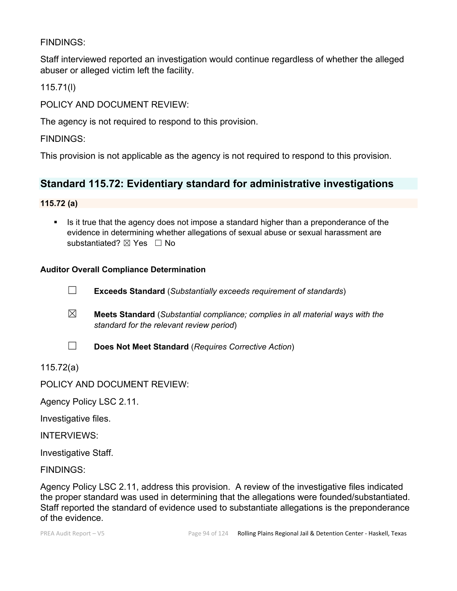## FINDINGS:

Staff interviewed reported an investigation would continue regardless of whether the alleged abuser or alleged victim left the facility.

115.71(l)

POLICY AND DOCUMENT REVIEW:

The agency is not required to respond to this provision.

FINDINGS:

This provision is not applicable as the agency is not required to respond to this provision.

# **Standard 115.72: Evidentiary standard for administrative investigations**

## **115.72 (a)**

Is it true that the agency does not impose a standard higher than a preponderance of the evidence in determining whether allegations of sexual abuse or sexual harassment are substantiated? ⊠ Yes □ No

## **Auditor Overall Compliance Determination**



- ☒ **Meets Standard** (*Substantial compliance; complies in all material ways with the standard for the relevant review period*)
- ☐ **Does Not Meet Standard** (*Requires Corrective Action*)

115.72(a)

POLICY AND DOCUMENT REVIEW:

Agency Policy LSC 2.11.

Investigative files.

INTERVIEWS:

Investigative Staff.

FINDINGS:

Agency Policy LSC 2.11, address this provision. A review of the investigative files indicated the proper standard was used in determining that the allegations were founded/substantiated. Staff reported the standard of evidence used to substantiate allegations is the preponderance of the evidence.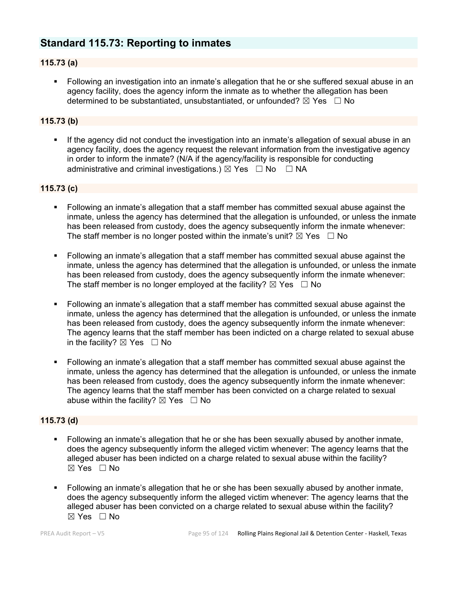# **Standard 115.73: Reporting to inmates**

## **115.73 (a)**

 Following an investigation into an inmate's allegation that he or she suffered sexual abuse in an agency facility, does the agency inform the inmate as to whether the allegation has been determined to be substantiated, unsubstantiated, or unfounded?  $\boxtimes$  Yes  $\Box$  No

## **115.73 (b)**

 If the agency did not conduct the investigation into an inmate's allegation of sexual abuse in an agency facility, does the agency request the relevant information from the investigative agency in order to inform the inmate? (N/A if the agency/facility is responsible for conducting administrative and criminal investigations.)  $\boxtimes$  Yes  $\Box$  No  $\Box$  NA

#### **115.73 (c)**

- Following an inmate's allegation that a staff member has committed sexual abuse against the inmate, unless the agency has determined that the allegation is unfounded, or unless the inmate has been released from custody, does the agency subsequently inform the inmate whenever: The staff member is no longer posted within the inmate's unit?  $\boxtimes$  Yes  $\Box$  No
- Following an inmate's allegation that a staff member has committed sexual abuse against the inmate, unless the agency has determined that the allegation is unfounded, or unless the inmate has been released from custody, does the agency subsequently inform the inmate whenever: The staff member is no longer employed at the facility?  $\boxtimes$  Yes  $\Box$  No
- Following an inmate's allegation that a staff member has committed sexual abuse against the inmate, unless the agency has determined that the allegation is unfounded, or unless the inmate has been released from custody, does the agency subsequently inform the inmate whenever: The agency learns that the staff member has been indicted on a charge related to sexual abuse in the facility?  $\boxtimes$  Yes  $\Box$  No
- Following an inmate's allegation that a staff member has committed sexual abuse against the inmate, unless the agency has determined that the allegation is unfounded, or unless the inmate has been released from custody, does the agency subsequently inform the inmate whenever: The agency learns that the staff member has been convicted on a charge related to sexual abuse within the facility?  $\boxtimes$  Yes  $\Box$  No

#### **115.73 (d)**

- Following an inmate's allegation that he or she has been sexually abused by another inmate, does the agency subsequently inform the alleged victim whenever: The agency learns that the alleged abuser has been indicted on a charge related to sexual abuse within the facility?  $\boxtimes$  Yes  $\Box$  No
- Following an inmate's allegation that he or she has been sexually abused by another inmate, does the agency subsequently inform the alleged victim whenever: The agency learns that the alleged abuser has been convicted on a charge related to sexual abuse within the facility?  $\boxtimes$  Yes  $\Box$  No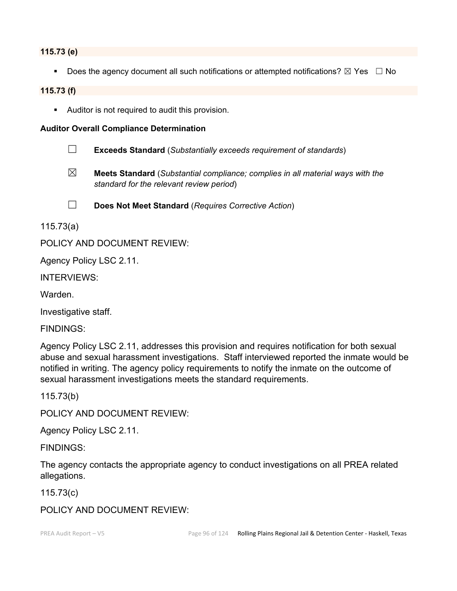#### **115.73 (e)**

Does the agency document all such notifications or attempted notifications?  $\boxtimes$  Yes  $\Box$  No

#### **115.73 (f)**

Auditor is not required to audit this provision.

#### **Auditor Overall Compliance Determination**

- ☐ **Exceeds Standard** (*Substantially exceeds requirement of standards*)
- ☒ **Meets Standard** (*Substantial compliance; complies in all material ways with the standard for the relevant review period*)
- ☐ **Does Not Meet Standard** (*Requires Corrective Action*)

115.73(a)

## POLICY AND DOCUMENT REVIEW:

Agency Policy LSC 2.11.

INTERVIEWS:

Warden.

Investigative staff.

FINDINGS:

Agency Policy LSC 2.11, addresses this provision and requires notification for both sexual abuse and sexual harassment investigations. Staff interviewed reported the inmate would be notified in writing. The agency policy requirements to notify the inmate on the outcome of sexual harassment investigations meets the standard requirements.

115.73(b)

POLICY AND DOCUMENT REVIEW:

Agency Policy LSC 2.11.

FINDINGS:

The agency contacts the appropriate agency to conduct investigations on all PREA related allegations.

115.73(c)

POLICY AND DOCUMENT REVIEW: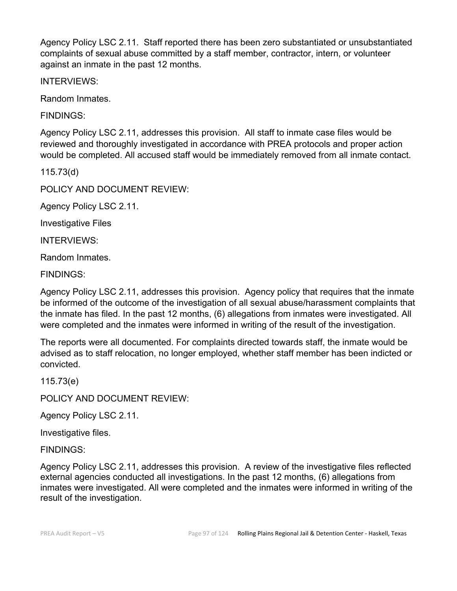Agency Policy LSC 2.11. Staff reported there has been zero substantiated or unsubstantiated complaints of sexual abuse committed by a staff member, contractor, intern, or volunteer against an inmate in the past 12 months.

INTERVIEWS:

Random Inmates.

FINDINGS:

Agency Policy LSC 2.11, addresses this provision. All staff to inmate case files would be reviewed and thoroughly investigated in accordance with PREA protocols and proper action would be completed. All accused staff would be immediately removed from all inmate contact.

115.73(d)

POLICY AND DOCUMENT REVIEW:

Agency Policy LSC 2.11.

Investigative Files

INTERVIEWS:

Random Inmates.

FINDINGS:

Agency Policy LSC 2.11, addresses this provision. Agency policy that requires that the inmate be informed of the outcome of the investigation of all sexual abuse/harassment complaints that the inmate has filed. In the past 12 months, (6) allegations from inmates were investigated. All were completed and the inmates were informed in writing of the result of the investigation.

The reports were all documented. For complaints directed towards staff, the inmate would be advised as to staff relocation, no longer employed, whether staff member has been indicted or convicted.

115.73(e)

POLICY AND DOCUMENT REVIEW:

Agency Policy LSC 2.11.

Investigative files.

FINDINGS:

Agency Policy LSC 2.11, addresses this provision. A review of the investigative files reflected external agencies conducted all investigations. In the past 12 months, (6) allegations from inmates were investigated. All were completed and the inmates were informed in writing of the result of the investigation.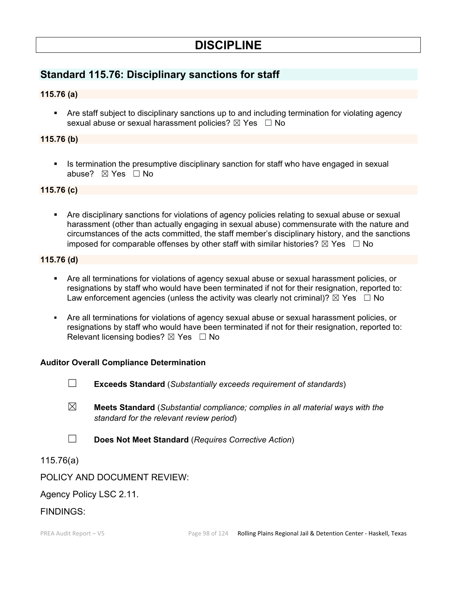# **DISCIPLINE**

# **Standard 115.76: Disciplinary sanctions for staff**

## **115.76 (a)**

 Are staff subject to disciplinary sanctions up to and including termination for violating agency sexual abuse or sexual harassment policies?  $\boxtimes$  Yes  $\Box$  No

## **115.76 (b)**

Is termination the presumptive disciplinary sanction for staff who have engaged in sexual abuse? ⊠ Yes □ No

#### **115.76 (c)**

 Are disciplinary sanctions for violations of agency policies relating to sexual abuse or sexual harassment (other than actually engaging in sexual abuse) commensurate with the nature and circumstances of the acts committed, the staff member's disciplinary history, and the sanctions imposed for comparable offenses by other staff with similar histories?  $\boxtimes$  Yes  $\Box$  No

#### **115.76 (d)**

- Are all terminations for violations of agency sexual abuse or sexual harassment policies, or resignations by staff who would have been terminated if not for their resignation, reported to: Law enforcement agencies (unless the activity was clearly not criminal)?  $\boxtimes$  Yes  $\Box$  No
- Are all terminations for violations of agency sexual abuse or sexual harassment policies, or resignations by staff who would have been terminated if not for their resignation, reported to: Relevant licensing bodies?  $\boxtimes$  Yes  $\Box$  No

## **Auditor Overall Compliance Determination**

- ☐ **Exceeds Standard** (*Substantially exceeds requirement of standards*)
- ☒ **Meets Standard** (*Substantial compliance; complies in all material ways with the standard for the relevant review period*)
- ☐ **Does Not Meet Standard** (*Requires Corrective Action*)

## 115.76(a)

## POLICY AND DOCUMENT REVIEW:

## Agency Policy LSC 2.11.

## FINDINGS: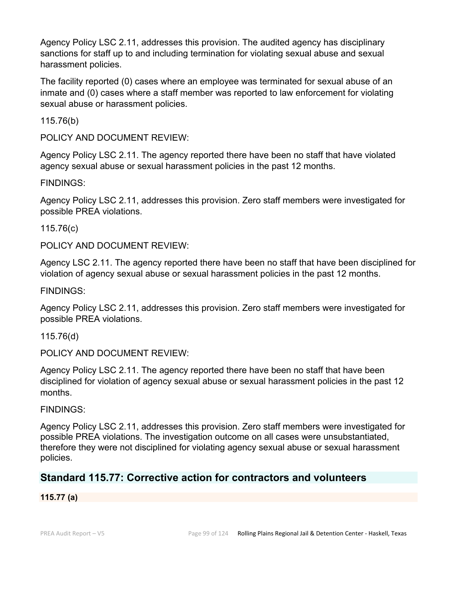Agency Policy LSC 2.11, addresses this provision. The audited agency has disciplinary sanctions for staff up to and including termination for violating sexual abuse and sexual harassment policies.

The facility reported (0) cases where an employee was terminated for sexual abuse of an inmate and (0) cases where a staff member was reported to law enforcement for violating sexual abuse or harassment policies.

115.76(b)

POLICY AND DOCUMENT REVIEW:

Agency Policy LSC 2.11. The agency reported there have been no staff that have violated agency sexual abuse or sexual harassment policies in the past 12 months.

## FINDINGS:

Agency Policy LSC 2.11, addresses this provision. Zero staff members were investigated for possible PREA violations.

115.76(c)

POLICY AND DOCUMENT REVIEW:

Agency LSC 2.11. The agency reported there have been no staff that have been disciplined for violation of agency sexual abuse or sexual harassment policies in the past 12 months.

FINDINGS:

Agency Policy LSC 2.11, addresses this provision. Zero staff members were investigated for possible PREA violations.

115.76(d)

POLICY AND DOCUMENT REVIEW:

Agency Policy LSC 2.11. The agency reported there have been no staff that have been disciplined for violation of agency sexual abuse or sexual harassment policies in the past 12 months.

## FINDINGS:

Agency Policy LSC 2.11, addresses this provision. Zero staff members were investigated for possible PREA violations. The investigation outcome on all cases were unsubstantiated, therefore they were not disciplined for violating agency sexual abuse or sexual harassment policies.

# **Standard 115.77: Corrective action for contractors and volunteers**

## **115.77 (a)**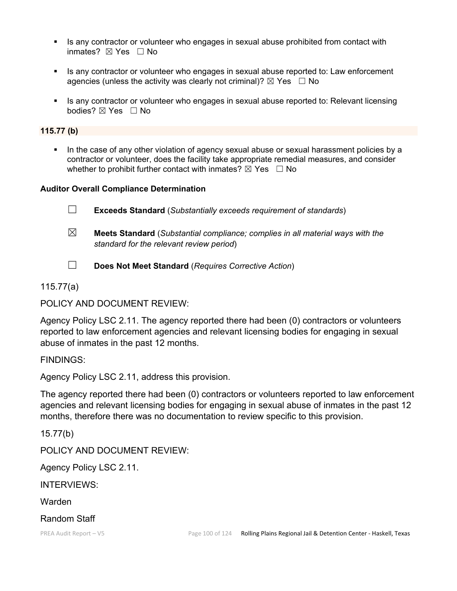- Is any contractor or volunteer who engages in sexual abuse prohibited from contact with inmates? ☒ Yes ☐ No
- Is any contractor or volunteer who engages in sexual abuse reported to: Law enforcement agencies (unless the activity was clearly not criminal)?  $\boxtimes$  Yes  $\Box$  No
- Is any contractor or volunteer who engages in sexual abuse reported to: Relevant licensing bodies? ☒ Yes ☐ No

## **115.77 (b)**

 In the case of any other violation of agency sexual abuse or sexual harassment policies by a contractor or volunteer, does the facility take appropriate remedial measures, and consider whether to prohibit further contact with inmates?  $\boxtimes$  Yes  $\Box$  No

#### **Auditor Overall Compliance Determination**

☐ **Exceeds Standard** (*Substantially exceeds requirement of standards*) ☒ **Meets Standard** (*Substantial compliance; complies in all material ways with the standard for the relevant review period*)

☐ **Does Not Meet Standard** (*Requires Corrective Action*)

115.77(a)

POLICY AND DOCUMENT REVIEW:

Agency Policy LSC 2.11. The agency reported there had been (0) contractors or volunteers reported to law enforcement agencies and relevant licensing bodies for engaging in sexual abuse of inmates in the past 12 months.

FINDINGS:

Agency Policy LSC 2.11, address this provision.

The agency reported there had been (0) contractors or volunteers reported to law enforcement agencies and relevant licensing bodies for engaging in sexual abuse of inmates in the past 12 months, therefore there was no documentation to review specific to this provision.

15.77(b)

POLICY AND DOCUMENT REVIEW:

Agency Policy LSC 2.11.

INTERVIEWS:

Warden

Random Staff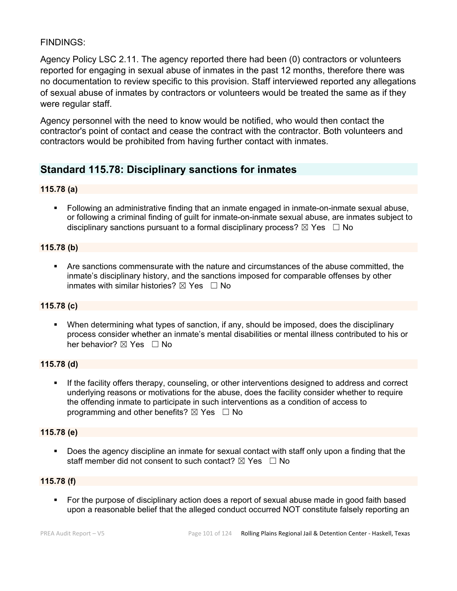## FINDINGS:

Agency Policy LSC 2.11. The agency reported there had been (0) contractors or volunteers reported for engaging in sexual abuse of inmates in the past 12 months, therefore there was no documentation to review specific to this provision. Staff interviewed reported any allegations of sexual abuse of inmates by contractors or volunteers would be treated the same as if they were regular staff.

Agency personnel with the need to know would be notified, who would then contact the contractor's point of contact and cease the contract with the contractor. Both volunteers and contractors would be prohibited from having further contact with inmates.

# **Standard 115.78: Disciplinary sanctions for inmates**

## **115.78 (a)**

 Following an administrative finding that an inmate engaged in inmate-on-inmate sexual abuse, or following a criminal finding of guilt for inmate-on-inmate sexual abuse, are inmates subject to disciplinary sanctions pursuant to a formal disciplinary process?  $\boxtimes$  Yes  $\Box$  No

## **115.78 (b)**

 Are sanctions commensurate with the nature and circumstances of the abuse committed, the inmate's disciplinary history, and the sanctions imposed for comparable offenses by other inmates with similar histories?  $\boxtimes$  Yes  $\Box$  No

## **115.78 (c)**

 When determining what types of sanction, if any, should be imposed, does the disciplinary process consider whether an inmate's mental disabilities or mental illness contributed to his or her behavior?  $\boxtimes$  Yes  $\Box$  No

## **115.78 (d)**

 If the facility offers therapy, counseling, or other interventions designed to address and correct underlying reasons or motivations for the abuse, does the facility consider whether to require the offending inmate to participate in such interventions as a condition of access to programming and other benefits?  $\boxtimes$  Yes  $\Box$  No

## **115.78 (e)**

 Does the agency discipline an inmate for sexual contact with staff only upon a finding that the staff member did not consent to such contact?  $\boxtimes$  Yes  $\Box$  No

## **115.78 (f)**

 For the purpose of disciplinary action does a report of sexual abuse made in good faith based upon a reasonable belief that the alleged conduct occurred NOT constitute falsely reporting an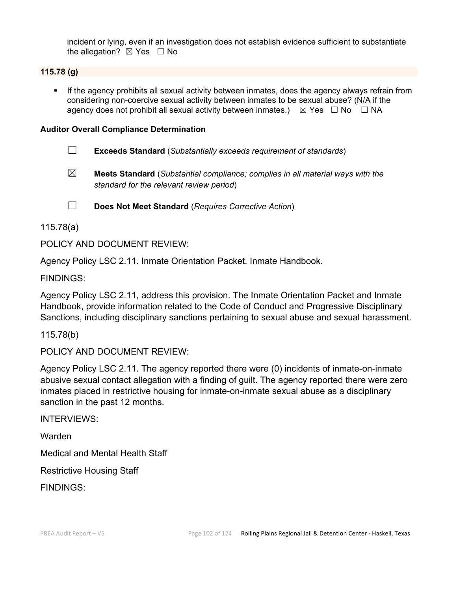incident or lying, even if an investigation does not establish evidence sufficient to substantiate the allegation?  $\boxtimes$  Yes  $\Box$  No

## **115.78 (g)**

 If the agency prohibits all sexual activity between inmates, does the agency always refrain from considering non-coercive sexual activity between inmates to be sexual abuse? (N/A if the agency does not prohibit all sexual activity between inmates.)  $\boxtimes$  Yes  $\Box$  No  $\Box$  NA

## **Auditor Overall Compliance Determination**

- ☐ **Exceeds Standard** (*Substantially exceeds requirement of standards*)
- ☒ **Meets Standard** (*Substantial compliance; complies in all material ways with the standard for the relevant review period*)

☐ **Does Not Meet Standard** (*Requires Corrective Action*)

## 115.78(a)

POLICY AND DOCUMENT REVIEW:

Agency Policy LSC 2.11. Inmate Orientation Packet. Inmate Handbook.

## FINDINGS:

Agency Policy LSC 2.11, address this provision. The Inmate Orientation Packet and Inmate Handbook, provide information related to the Code of Conduct and Progressive Disciplinary Sanctions, including disciplinary sanctions pertaining to sexual abuse and sexual harassment.

115.78(b)

POLICY AND DOCUMENT REVIEW:

Agency Policy LSC 2.11. The agency reported there were (0) incidents of inmate-on-inmate abusive sexual contact allegation with a finding of guilt. The agency reported there were zero inmates placed in restrictive housing for inmate-on-inmate sexual abuse as a disciplinary sanction in the past 12 months.

INTERVIEWS:

Warden

Medical and Mental Health Staff

Restrictive Housing Staff

FINDINGS: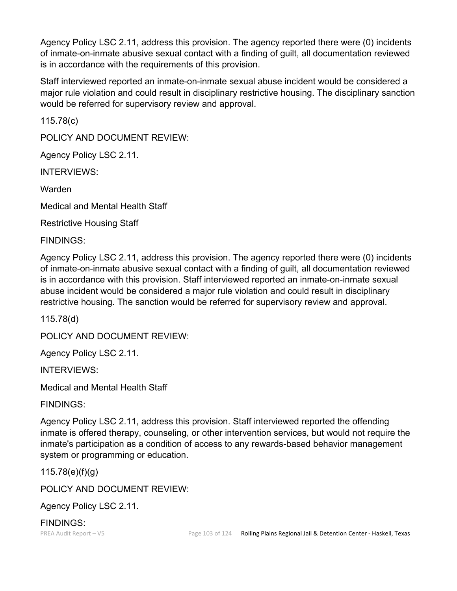Agency Policy LSC 2.11, address this provision. The agency reported there were (0) incidents of inmate-on-inmate abusive sexual contact with a finding of guilt, all documentation reviewed is in accordance with the requirements of this provision.

Staff interviewed reported an inmate-on-inmate sexual abuse incident would be considered a major rule violation and could result in disciplinary restrictive housing. The disciplinary sanction would be referred for supervisory review and approval.

115.78(c)

POLICY AND DOCUMENT REVIEW:

Agency Policy LSC 2.11.

INTERVIEWS:

Warden

Medical and Mental Health Staff

Restrictive Housing Staff

FINDINGS:

Agency Policy LSC 2.11, address this provision. The agency reported there were (0) incidents of inmate-on-inmate abusive sexual contact with a finding of guilt, all documentation reviewed is in accordance with this provision. Staff interviewed reported an inmate-on-inmate sexual abuse incident would be considered a major rule violation and could result in disciplinary restrictive housing. The sanction would be referred for supervisory review and approval.

115.78(d)

POLICY AND DOCUMENT REVIEW:

Agency Policy LSC 2.11.

INTERVIEWS:

Medical and Mental Health Staff

FINDINGS:

Agency Policy LSC 2.11, address this provision. Staff interviewed reported the offending inmate is offered therapy, counseling, or other intervention services, but would not require the inmate's participation as a condition of access to any rewards-based behavior management system or programming or education.

115.78(e)(f)(g)

POLICY AND DOCUMENT REVIEW:

Agency Policy LSC 2.11.

FINDINGS: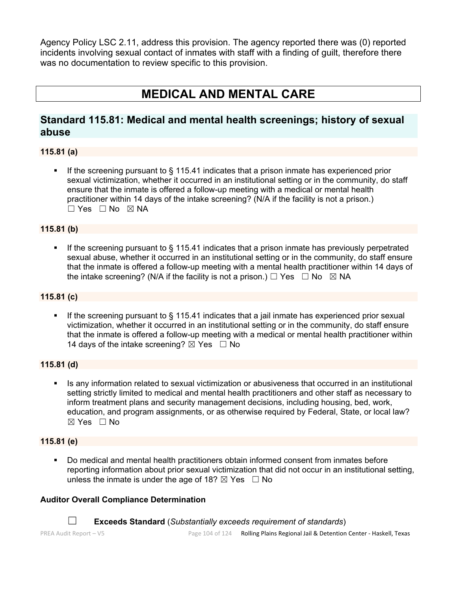Agency Policy LSC 2.11, address this provision. The agency reported there was (0) reported incidents involving sexual contact of inmates with staff with a finding of guilt, therefore there was no documentation to review specific to this provision.

# **MEDICAL AND MENTAL CARE**

# **Standard 115.81: Medical and mental health screenings; history of sexual abuse**

## **115.81 (a)**

 If the screening pursuant to § 115.41 indicates that a prison inmate has experienced prior sexual victimization, whether it occurred in an institutional setting or in the community, do staff ensure that the inmate is offered a follow-up meeting with a medical or mental health practitioner within 14 days of the intake screening? (N/A if the facility is not a prison.) ☐ Yes ☐ No ☒ NA

## **115.81 (b)**

If the screening pursuant to  $\S$  115.41 indicates that a prison inmate has previously perpetrated sexual abuse, whether it occurred in an institutional setting or in the community, do staff ensure that the inmate is offered a follow-up meeting with a mental health practitioner within 14 days of the intake screening? (N/A if the facility is not a prison.)  $\Box$  Yes  $\Box$  No  $\boxtimes$  NA

## **115.81 (c)**

If the screening pursuant to § 115.41 indicates that a jail inmate has experienced prior sexual victimization, whether it occurred in an institutional setting or in the community, do staff ensure that the inmate is offered a follow-up meeting with a medical or mental health practitioner within 14 days of the intake screening?  $\boxtimes$  Yes  $\Box$  No

#### **115.81 (d)**

 Is any information related to sexual victimization or abusiveness that occurred in an institutional setting strictly limited to medical and mental health practitioners and other staff as necessary to inform treatment plans and security management decisions, including housing, bed, work, education, and program assignments, or as otherwise required by Federal, State, or local law?  $\boxtimes$  Yes  $\Box$  No

## **115.81 (e)**

 Do medical and mental health practitioners obtain informed consent from inmates before reporting information about prior sexual victimization that did not occur in an institutional setting, unless the inmate is under the age of 18?  $\boxtimes$  Yes  $\Box$  No

#### **Auditor Overall Compliance Determination**

☐ **Exceeds Standard** (*Substantially exceeds requirement of standards*)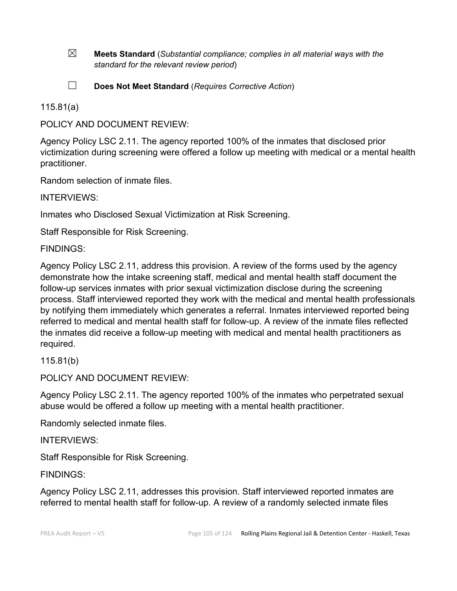☒ **Meets Standard** (*Substantial compliance; complies in all material ways with the standard for the relevant review period*)

☐ **Does Not Meet Standard** (*Requires Corrective Action*)

115.81(a)

POLICY AND DOCUMENT REVIEW:

Agency Policy LSC 2.11. The agency reported 100% of the inmates that disclosed prior victimization during screening were offered a follow up meeting with medical or a mental health practitioner.

Random selection of inmate files.

INTERVIEWS:

Inmates who Disclosed Sexual Victimization at Risk Screening.

Staff Responsible for Risk Screening.

FINDINGS:

Agency Policy LSC 2.11, address this provision. A review of the forms used by the agency demonstrate how the intake screening staff, medical and mental health staff document the follow-up services inmates with prior sexual victimization disclose during the screening process. Staff interviewed reported they work with the medical and mental health professionals by notifying them immediately which generates a referral. Inmates interviewed reported being referred to medical and mental health staff for follow-up. A review of the inmate files reflected the inmates did receive a follow-up meeting with medical and mental health practitioners as required.

115.81(b)

POLICY AND DOCUMENT REVIEW:

Agency Policy LSC 2.11. The agency reported 100% of the inmates who perpetrated sexual abuse would be offered a follow up meeting with a mental health practitioner.

Randomly selected inmate files.

INTERVIEWS:

Staff Responsible for Risk Screening.

FINDINGS:

Agency Policy LSC 2.11, addresses this provision. Staff interviewed reported inmates are referred to mental health staff for follow-up. A review of a randomly selected inmate files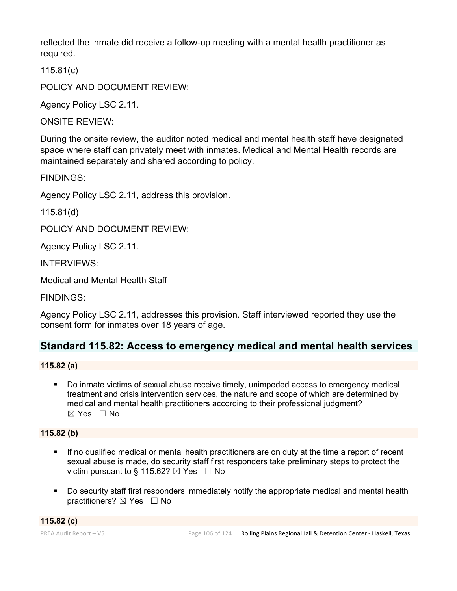reflected the inmate did receive a follow-up meeting with a mental health practitioner as required.

115.81(c)

POLICY AND DOCUMENT REVIEW:

Agency Policy LSC 2.11.

ONSITE REVIEW:

During the onsite review, the auditor noted medical and mental health staff have designated space where staff can privately meet with inmates. Medical and Mental Health records are maintained separately and shared according to policy.

FINDINGS:

Agency Policy LSC 2.11, address this provision.

115.81(d)

POLICY AND DOCUMENT REVIEW:

Agency Policy LSC 2.11.

INTERVIEWS:

Medical and Mental Health Staff

FINDINGS:

Agency Policy LSC 2.11, addresses this provision. Staff interviewed reported they use the consent form for inmates over 18 years of age.

# **Standard 115.82: Access to emergency medical and mental health services**

**115.82 (a)**

 Do inmate victims of sexual abuse receive timely, unimpeded access to emergency medical treatment and crisis intervention services, the nature and scope of which are determined by medical and mental health practitioners according to their professional judgment? ☒ Yes ☐ No

## **115.82 (b)**

- If no qualified medical or mental health practitioners are on duty at the time a report of recent sexual abuse is made, do security staff first responders take preliminary steps to protect the victim pursuant to § 115.62?  $\boxtimes$  Yes  $\Box$  No
- Do security staff first responders immediately notify the appropriate medical and mental health practitioners? ⊠ Yes □ No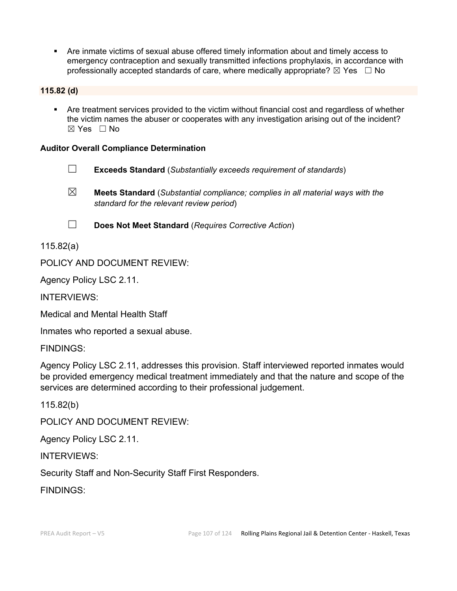Are inmate victims of sexual abuse offered timely information about and timely access to emergency contraception and sexually transmitted infections prophylaxis, in accordance with professionally accepted standards of care, where medically appropriate?  $\boxtimes$  Yes  $\Box$  No

## **115.82 (d)**

 Are treatment services provided to the victim without financial cost and regardless of whether the victim names the abuser or cooperates with any investigation arising out of the incident?  $\boxtimes$  Yes  $\Box$  No

## **Auditor Overall Compliance Determination**

- ☐ **Exceeds Standard** (*Substantially exceeds requirement of standards*)
- ☒ **Meets Standard** (*Substantial compliance; complies in all material ways with the standard for the relevant review period*)

☐ **Does Not Meet Standard** (*Requires Corrective Action*)

115.82(a)

POLICY AND DOCUMENT REVIEW:

Agency Policy LSC 2.11.

INTERVIEWS:

Medical and Mental Health Staff

Inmates who reported a sexual abuse.

FINDINGS:

Agency Policy LSC 2.11, addresses this provision. Staff interviewed reported inmates would be provided emergency medical treatment immediately and that the nature and scope of the services are determined according to their professional judgement.

115.82(b)

POLICY AND DOCUMENT REVIEW:

Agency Policy LSC 2.11.

INTERVIEWS:

Security Staff and Non-Security Staff First Responders.

FINDINGS: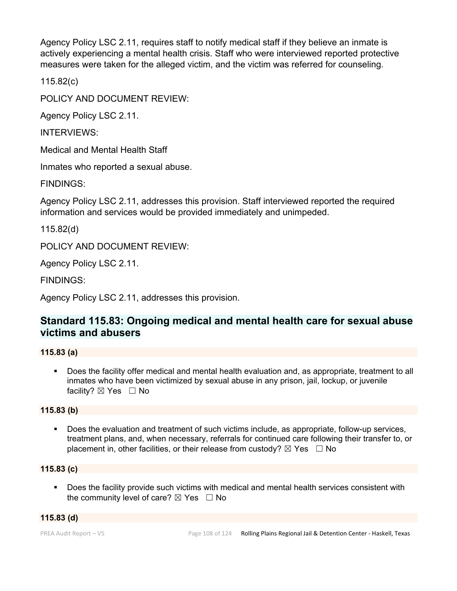Agency Policy LSC 2.11, requires staff to notify medical staff if they believe an inmate is actively experiencing a mental health crisis. Staff who were interviewed reported protective measures were taken for the alleged victim, and the victim was referred for counseling.

115.82(c)

POLICY AND DOCUMENT REVIEW:

Agency Policy LSC 2.11.

INTERVIEWS:

Medical and Mental Health Staff

Inmates who reported a sexual abuse.

FINDINGS:

Agency Policy LSC 2.11, addresses this provision. Staff interviewed reported the required information and services would be provided immediately and unimpeded.

115.82(d)

POLICY AND DOCUMENT REVIEW:

Agency Policy LSC 2.11.

FINDINGS:

Agency Policy LSC 2.11, addresses this provision.

# **Standard 115.83: Ongoing medical and mental health care for sexual abuse victims and abusers**

## **115.83 (a)**

 Does the facility offer medical and mental health evaluation and, as appropriate, treatment to all inmates who have been victimized by sexual abuse in any prison, jail, lockup, or juvenile facility?  $\boxtimes$  Yes  $\Box$  No

## **115.83 (b)**

 Does the evaluation and treatment of such victims include, as appropriate, follow-up services, treatment plans, and, when necessary, referrals for continued care following their transfer to, or placement in, other facilities, or their release from custody?  $\boxtimes$  Yes  $\Box$  No

## **115.83 (c)**

Does the facility provide such victims with medical and mental health services consistent with the community level of care?  $\boxtimes$  Yes  $\Box$  No

## **115.83 (d)**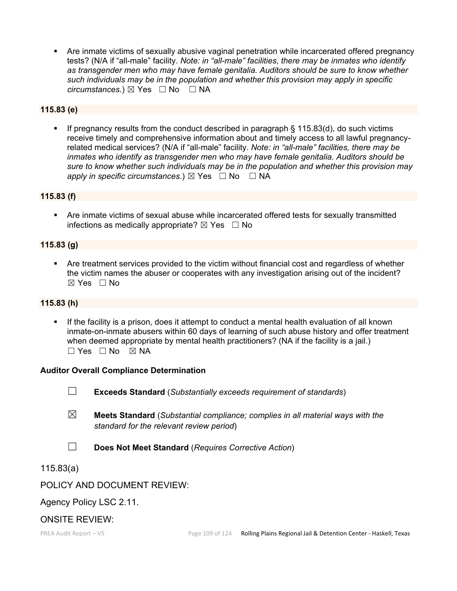Are inmate victims of sexually abusive vaginal penetration while incarcerated offered pregnancy tests? (N/A if "all-male" facility. *Note: in "all-male" facilities, there may be inmates who identify as transgender men who may have female genitalia. Auditors should be sure to know whether such individuals may be in the population and whether this provision may apply in specific circumstances.*) ⊠ Yes  $□$  No  $□$  NA

# **115.83 (e)**

 If pregnancy results from the conduct described in paragraph § 115.83(d), do such victims receive timely and comprehensive information about and timely access to all lawful pregnancyrelated medical services? (N/A if "all-male" facility. *Note: in "all-male" facilities, there may be inmates who identify as transgender men who may have female genitalia. Auditors should be sure to know whether such individuals may be in the population and whether this provision may apply in specific circumstances.*) ⊠ Yes  $□$  No  $□$  NA

#### **115.83 (f)**

 Are inmate victims of sexual abuse while incarcerated offered tests for sexually transmitted infections as medically appropriate?  $\boxtimes$  Yes  $\Box$  No

#### **115.83 (g)**

 Are treatment services provided to the victim without financial cost and regardless of whether the victim names the abuser or cooperates with any investigation arising out of the incident? ☒ Yes ☐ No

# **115.83 (h)**

 If the facility is a prison, does it attempt to conduct a mental health evaluation of all known inmate-on-inmate abusers within 60 days of learning of such abuse history and offer treatment when deemed appropriate by mental health practitioners? (NA if the facility is a jail.)  $\Box$  Yes  $\Box$  No  $\boxtimes$  NA

#### **Auditor Overall Compliance Determination**

- ☐ **Exceeds Standard** (*Substantially exceeds requirement of standards*)
- ☒ **Meets Standard** (*Substantial compliance; complies in all material ways with the standard for the relevant review period*)
- ☐ **Does Not Meet Standard** (*Requires Corrective Action*)

# 115.83(a)

# POLICY AND DOCUMENT REVIEW:

# Agency Policy LSC 2.11.

# ONSITE REVIEW: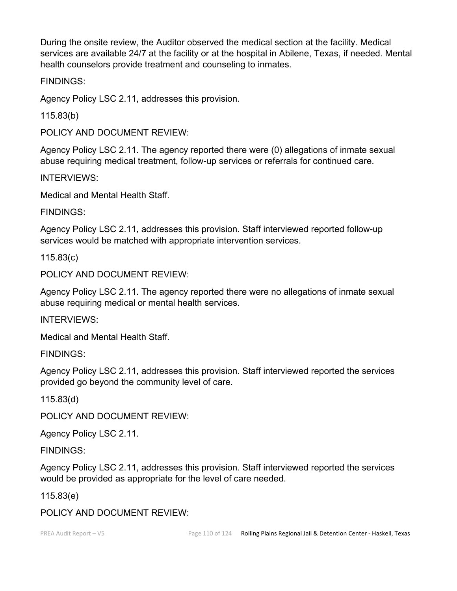During the onsite review, the Auditor observed the medical section at the facility. Medical services are available 24/7 at the facility or at the hospital in Abilene, Texas, if needed. Mental health counselors provide treatment and counseling to inmates.

FINDINGS:

Agency Policy LSC 2.11, addresses this provision.

115.83(b)

POLICY AND DOCUMENT REVIEW:

Agency Policy LSC 2.11. The agency reported there were (0) allegations of inmate sexual abuse requiring medical treatment, follow-up services or referrals for continued care.

INTERVIEWS:

Medical and Mental Health Staff.

FINDINGS:

Agency Policy LSC 2.11, addresses this provision. Staff interviewed reported follow-up services would be matched with appropriate intervention services.

115.83(c)

POLICY AND DOCUMENT REVIEW:

Agency Policy LSC 2.11. The agency reported there were no allegations of inmate sexual abuse requiring medical or mental health services.

INTERVIEWS:

Medical and Mental Health Staff.

FINDINGS:

Agency Policy LSC 2.11, addresses this provision. Staff interviewed reported the services provided go beyond the community level of care.

115.83(d)

POLICY AND DOCUMENT REVIEW:

Agency Policy LSC 2.11.

FINDINGS:

Agency Policy LSC 2.11, addresses this provision. Staff interviewed reported the services would be provided as appropriate for the level of care needed.

115.83(e)

POLICY AND DOCUMENT REVIEW: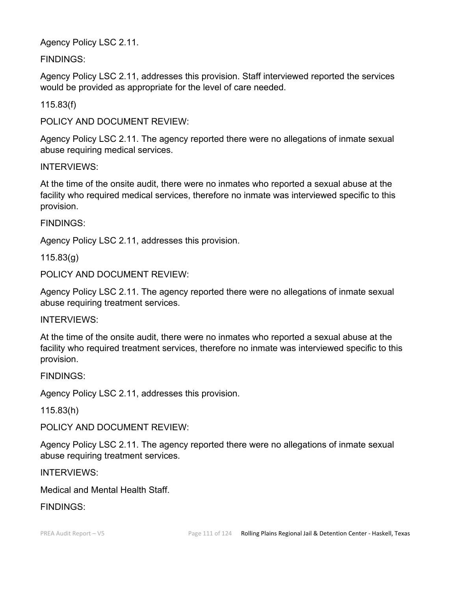Agency Policy LSC 2.11.

FINDINGS:

Agency Policy LSC 2.11, addresses this provision. Staff interviewed reported the services would be provided as appropriate for the level of care needed.

115.83(f)

POLICY AND DOCUMENT REVIEW:

Agency Policy LSC 2.11. The agency reported there were no allegations of inmate sexual abuse requiring medical services.

INTERVIEWS:

At the time of the onsite audit, there were no inmates who reported a sexual abuse at the facility who required medical services, therefore no inmate was interviewed specific to this provision.

FINDINGS:

Agency Policy LSC 2.11, addresses this provision.

115.83(g)

POLICY AND DOCUMENT REVIEW:

Agency Policy LSC 2.11. The agency reported there were no allegations of inmate sexual abuse requiring treatment services.

INTERVIEWS:

At the time of the onsite audit, there were no inmates who reported a sexual abuse at the facility who required treatment services, therefore no inmate was interviewed specific to this provision.

FINDINGS:

Agency Policy LSC 2.11, addresses this provision.

115.83(h)

POLICY AND DOCUMENT REVIEW:

Agency Policy LSC 2.11. The agency reported there were no allegations of inmate sexual abuse requiring treatment services.

INTERVIEWS:

Medical and Mental Health Staff.

FINDINGS: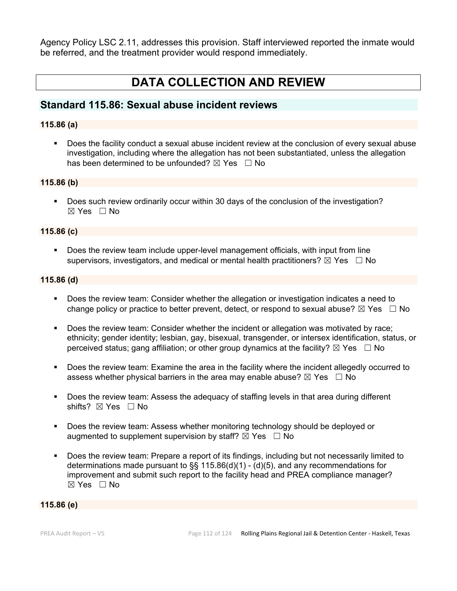Agency Policy LSC 2.11, addresses this provision. Staff interviewed reported the inmate would be referred, and the treatment provider would respond immediately.

# **DATA COLLECTION AND REVIEW**

# **Standard 115.86: Sexual abuse incident reviews**

# **115.86 (a)**

 Does the facility conduct a sexual abuse incident review at the conclusion of every sexual abuse investigation, including where the allegation has not been substantiated, unless the allegation has been determined to be unfounded?  $\boxtimes$  Yes  $\Box$  No

#### **115.86 (b)**

Does such review ordinarily occur within 30 days of the conclusion of the investigation?  $\boxtimes$  Yes  $\Box$  No

#### **115.86 (c)**

 Does the review team include upper-level management officials, with input from line supervisors, investigators, and medical or mental health practitioners?  $\boxtimes$  Yes  $\Box$  No

#### **115.86 (d)**

- Does the review team: Consider whether the allegation or investigation indicates a need to change policy or practice to better prevent, detect, or respond to sexual abuse?  $\boxtimes$  Yes  $\Box$  No
- Does the review team: Consider whether the incident or allegation was motivated by race; ethnicity; gender identity; lesbian, gay, bisexual, transgender, or intersex identification, status, or perceived status; gang affiliation; or other group dynamics at the facility?  $\boxtimes$  Yes  $\Box$  No
- Does the review team: Examine the area in the facility where the incident allegedly occurred to assess whether physical barriers in the area may enable abuse?  $\boxtimes$  Yes  $\Box$  No
- Does the review team: Assess the adequacy of staffing levels in that area during different shifts? ⊠ Yes □ No
- **Does the review team: Assess whether monitoring technology should be deployed or** augmented to supplement supervision by staff?  $\boxtimes$  Yes  $\Box$  No
- Does the review team: Prepare a report of its findings, including but not necessarily limited to determinations made pursuant to §§ 115.86(d)(1) - (d)(5), and any recommendations for improvement and submit such report to the facility head and PREA compliance manager? ☒ Yes ☐ No

#### **115.86 (e)**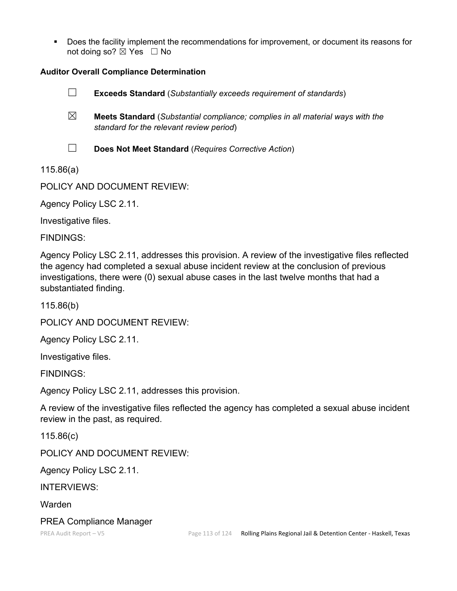Does the facility implement the recommendations for improvement, or document its reasons for not doing so?  $\boxtimes$  Yes  $\Box$  No

# **Auditor Overall Compliance Determination**



- ☒ **Meets Standard** (*Substantial compliance; complies in all material ways with the standard for the relevant review period*)
- ☐ **Does Not Meet Standard** (*Requires Corrective Action*)

115.86(a)

POLICY AND DOCUMENT REVIEW:

Agency Policy LSC 2.11.

Investigative files.

FINDINGS:

Agency Policy LSC 2.11, addresses this provision. A review of the investigative files reflected the agency had completed a sexual abuse incident review at the conclusion of previous investigations, there were (0) sexual abuse cases in the last twelve months that had a substantiated finding.

115.86(b)

POLICY AND DOCUMENT REVIEW:

Agency Policy LSC 2.11.

Investigative files.

FINDINGS:

Agency Policy LSC 2.11, addresses this provision.

A review of the investigative files reflected the agency has completed a sexual abuse incident review in the past, as required.

115.86(c)

POLICY AND DOCUMENT REVIEW:

Agency Policy LSC 2.11.

INTERVIEWS:

**Warden** 

# PREA Compliance Manager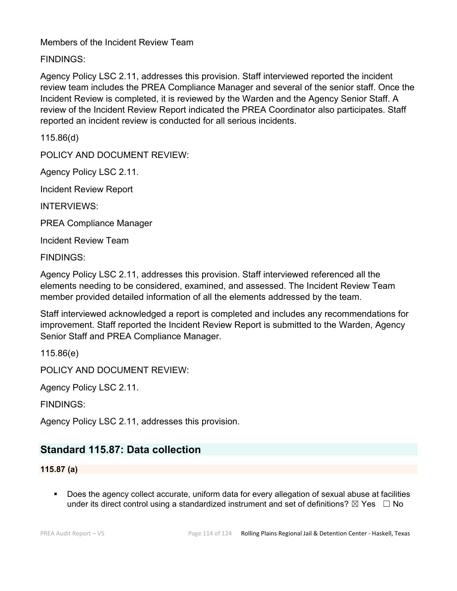Members of the Incident Review Team

FINDINGS:

Agency Policy LSC 2.11, addresses this provision. Staff interviewed reported the incident review team includes the PREA Compliance Manager and several of the senior staff. Once the Incident Review is completed, it is reviewed by the Warden and the Agency Senior Staff. A review of the Incident Review Report indicated the PREA Coordinator also participates. Staff reported an incident review is conducted for all serious incidents.

115.86(d)

POLICY AND DOCUMENT REVIEW:

Agency Policy LSC 2.11.

Incident Review Report

INTERVIEWS:

PREA Compliance Manager

Incident Review Team

FINDINGS:

Agency Policy LSC 2.11, addresses this provision. Staff interviewed referenced all the elements needing to be considered, examined, and assessed. The Incident Review Team member provided detailed information of all the elements addressed by the team.

Staff interviewed acknowledged a report is completed and includes any recommendations for improvement. Staff reported the Incident Review Report is submitted to the Warden, Agency Senior Staff and PREA Compliance Manager.

115.86(e)

POLICY AND DOCUMENT REVIEW:

Agency Policy LSC 2.11.

FINDINGS:

Agency Policy LSC 2.11, addresses this provision.

# **Standard 115.87: Data collection**

**115.87 (a)**

 Does the agency collect accurate, uniform data for every allegation of sexual abuse at facilities under its direct control using a standardized instrument and set of definitions?  $\boxtimes$  Yes  $\Box$  No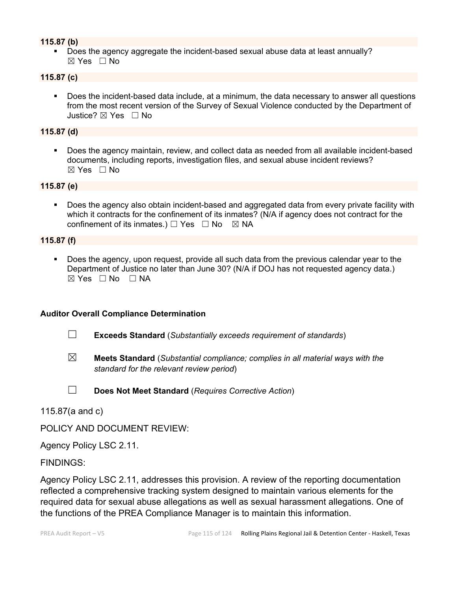# **115.87 (b)**

 Does the agency aggregate the incident-based sexual abuse data at least annually? ☒ Yes ☐ No

#### **115.87 (c)**

 Does the incident-based data include, at a minimum, the data necessary to answer all questions from the most recent version of the Survey of Sexual Violence conducted by the Department of Justice? ⊠ Yes □ No

#### **115.87 (d)**

 Does the agency maintain, review, and collect data as needed from all available incident-based documents, including reports, investigation files, and sexual abuse incident reviews?  $\boxtimes$  Yes  $\Box$  No

# **115.87 (e)**

 Does the agency also obtain incident-based and aggregated data from every private facility with which it contracts for the confinement of its inmates? (N/A if agency does not contract for the confinement of its inmates.)  $\Box$  Yes  $\Box$  No  $\boxtimes$  NA

#### **115.87 (f)**

 Does the agency, upon request, provide all such data from the previous calendar year to the Department of Justice no later than June 30? (N/A if DOJ has not requested agency data.)  $\boxtimes$  Yes  $\Box$  No  $\Box$  NA

#### **Auditor Overall Compliance Determination**

- ☐ **Exceeds Standard** (*Substantially exceeds requirement of standards*)
- ☒ **Meets Standard** (*Substantial compliance; complies in all material ways with the standard for the relevant review period*)
- ☐ **Does Not Meet Standard** (*Requires Corrective Action*)

115.87(a and c)

POLICY AND DOCUMENT REVIEW:

Agency Policy LSC 2.11.

FINDINGS:

Agency Policy LSC 2.11, addresses this provision. A review of the reporting documentation reflected a comprehensive tracking system designed to maintain various elements for the required data for sexual abuse allegations as well as sexual harassment allegations. One of the functions of the PREA Compliance Manager is to maintain this information.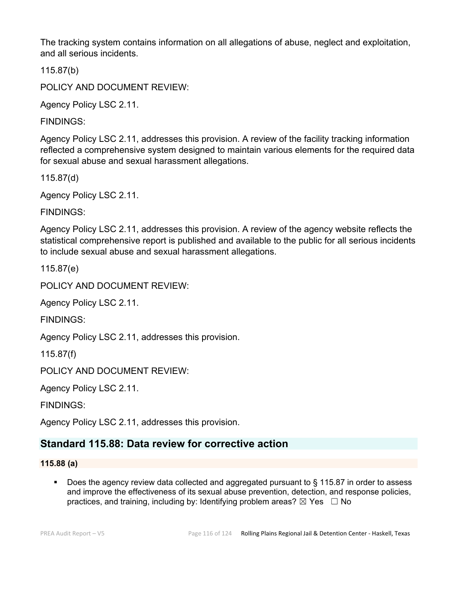The tracking system contains information on all allegations of abuse, neglect and exploitation, and all serious incidents.

115.87(b)

POLICY AND DOCUMENT REVIEW:

Agency Policy LSC 2.11.

FINDINGS:

Agency Policy LSC 2.11, addresses this provision. A review of the facility tracking information reflected a comprehensive system designed to maintain various elements for the required data for sexual abuse and sexual harassment allegations.

115.87(d)

Agency Policy LSC 2.11.

FINDINGS:

Agency Policy LSC 2.11, addresses this provision. A review of the agency website reflects the statistical comprehensive report is published and available to the public for all serious incidents to include sexual abuse and sexual harassment allegations.

115.87(e)

POLICY AND DOCUMENT REVIEW:

Agency Policy LSC 2.11.

FINDINGS:

Agency Policy LSC 2.11, addresses this provision.

115.87(f)

POLICY AND DOCUMENT REVIEW:

Agency Policy LSC 2.11.

FINDINGS:

Agency Policy LSC 2.11, addresses this provision.

# **Standard 115.88: Data review for corrective action**

# **115.88 (a)**

■ Does the agency review data collected and aggregated pursuant to § 115.87 in order to assess and improve the effectiveness of its sexual abuse prevention, detection, and response policies, practices, and training, including by: Identifying problem areas?  $\boxtimes$  Yes  $\Box$  No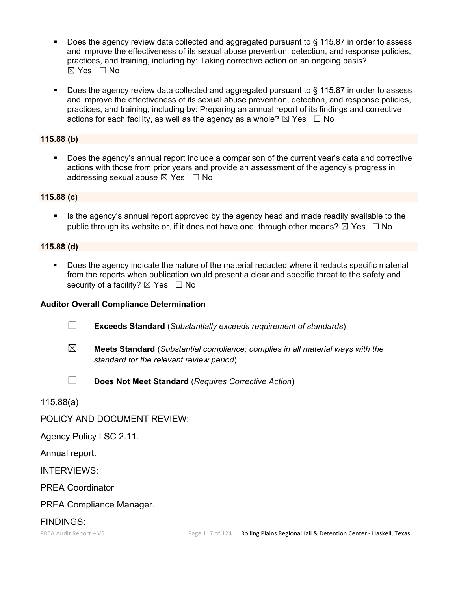- Does the agency review data collected and aggregated pursuant to § 115.87 in order to assess and improve the effectiveness of its sexual abuse prevention, detection, and response policies, practices, and training, including by: Taking corrective action on an ongoing basis? ☒ Yes ☐ No
- Does the agency review data collected and aggregated pursuant to § 115.87 in order to assess and improve the effectiveness of its sexual abuse prevention, detection, and response policies, practices, and training, including by: Preparing an annual report of its findings and corrective actions for each facility, as well as the agency as a whole?  $\boxtimes$  Yes  $\Box$  No

# **115.88 (b)**

 Does the agency's annual report include a comparison of the current year's data and corrective actions with those from prior years and provide an assessment of the agency's progress in addressing sexual abuse  $\boxtimes$  Yes  $\Box$  No

#### **115.88 (c)**

 Is the agency's annual report approved by the agency head and made readily available to the public through its website or, if it does not have one, through other means?  $\boxtimes$  Yes  $\Box$  No

#### **115.88 (d)**

 Does the agency indicate the nature of the material redacted where it redacts specific material from the reports when publication would present a clear and specific threat to the safety and security of a facility?  $\boxtimes$  Yes  $\Box$  No

# **Auditor Overall Compliance Determination**

- ☐ **Exceeds Standard** (*Substantially exceeds requirement of standards*)
- ☒ **Meets Standard** (*Substantial compliance; complies in all material ways with the standard for the relevant review period*)
- 
- ☐ **Does Not Meet Standard** (*Requires Corrective Action*)

115.88(a)

POLICY AND DOCUMENT REVIEW:

Agency Policy LSC 2.11.

Annual report.

INTERVIEWS:

PREA Coordinator

# PREA Compliance Manager.

# FINDINGS: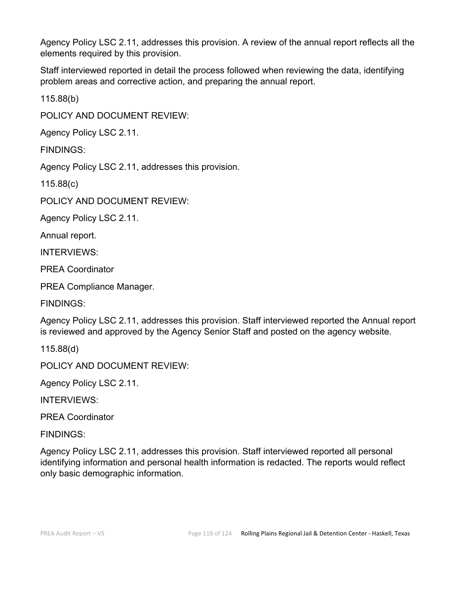Agency Policy LSC 2.11, addresses this provision. A review of the annual report reflects all the elements required by this provision.

Staff interviewed reported in detail the process followed when reviewing the data, identifying problem areas and corrective action, and preparing the annual report.

115.88(b)

POLICY AND DOCUMENT REVIEW:

Agency Policy LSC 2.11.

FINDINGS:

Agency Policy LSC 2.11, addresses this provision.

115.88(c)

POLICY AND DOCUMENT REVIEW:

Agency Policy LSC 2.11.

Annual report.

INTERVIEWS:

PREA Coordinator

PREA Compliance Manager.

FINDINGS:

Agency Policy LSC 2.11, addresses this provision. Staff interviewed reported the Annual report is reviewed and approved by the Agency Senior Staff and posted on the agency website.

115.88(d)

POLICY AND DOCUMENT REVIEW:

Agency Policy LSC 2.11.

INTERVIEWS:

PREA Coordinator

FINDINGS:

Agency Policy LSC 2.11, addresses this provision. Staff interviewed reported all personal identifying information and personal health information is redacted. The reports would reflect only basic demographic information.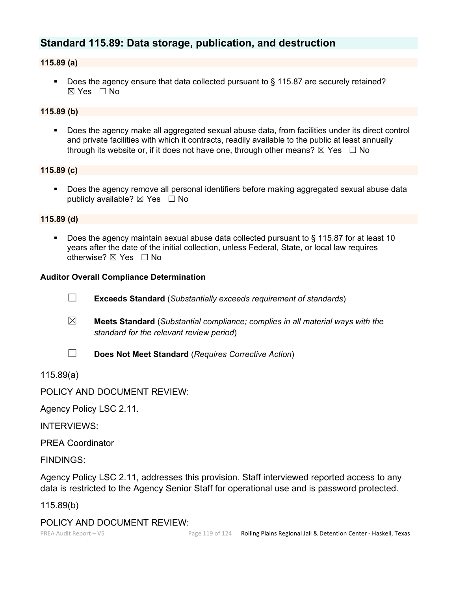# **Standard 115.89: Data storage, publication, and destruction**

# **115.89 (a)**

■ Does the agency ensure that data collected pursuant to § 115.87 are securely retained?  $\boxtimes$  Yes  $\Box$  No

# **115.89 (b)**

 Does the agency make all aggregated sexual abuse data, from facilities under its direct control and private facilities with which it contracts, readily available to the public at least annually through its website or, if it does not have one, through other means?  $\boxtimes$  Yes  $\Box$  No

# **115.89 (c)**

 Does the agency remove all personal identifiers before making aggregated sexual abuse data publicly available?  $\boxtimes$  Yes  $\Box$  No

#### **115.89 (d)**

 Does the agency maintain sexual abuse data collected pursuant to § 115.87 for at least 10 years after the date of the initial collection, unless Federal, State, or local law requires otherwise? ⊠ Yes □ No

#### **Auditor Overall Compliance Determination**

- ☐ **Exceeds Standard** (*Substantially exceeds requirement of standards*)
- ☒ **Meets Standard** (*Substantial compliance; complies in all material ways with the standard for the relevant review period*)
- 

☐ **Does Not Meet Standard** (*Requires Corrective Action*)

115.89(a)

# POLICY AND DOCUMENT REVIEW:

Agency Policy LSC 2.11.

INTERVIEWS:

PREA Coordinator

FINDINGS:

Agency Policy LSC 2.11, addresses this provision. Staff interviewed reported access to any data is restricted to the Agency Senior Staff for operational use and is password protected.

115.89(b)

# POLICY AND DOCUMENT REVIEW: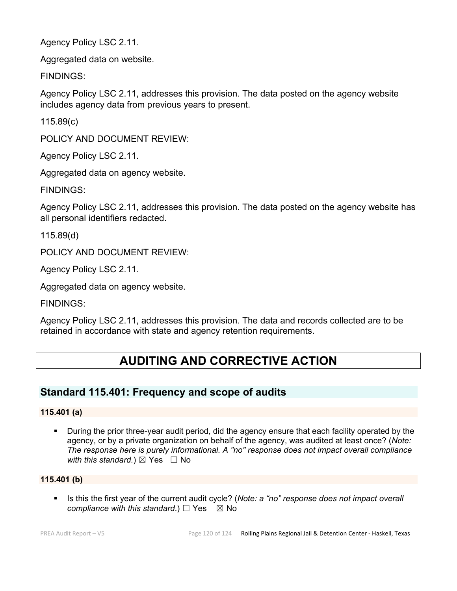Agency Policy LSC 2.11.

Aggregated data on website.

FINDINGS:

Agency Policy LSC 2.11, addresses this provision. The data posted on the agency website includes agency data from previous years to present.

115.89(c)

POLICY AND DOCUMENT REVIEW:

Agency Policy LSC 2.11.

Aggregated data on agency website.

FINDINGS:

Agency Policy LSC 2.11, addresses this provision. The data posted on the agency website has all personal identifiers redacted.

115.89(d)

POLICY AND DOCUMENT REVIEW:

Agency Policy LSC 2.11.

Aggregated data on agency website.

FINDINGS:

Agency Policy LSC 2.11, addresses this provision. The data and records collected are to be retained in accordance with state and agency retention requirements.

# **AUDITING AND CORRECTIVE ACTION**

# **Standard 115.401: Frequency and scope of audits**

# **115.401 (a)**

 During the prior three-year audit period, did the agency ensure that each facility operated by the agency, or by a private organization on behalf of the agency, was audited at least once? (*Note: The response here is purely informational. A "no" response does not impact overall compliance with this standard.*)  $\boxtimes$  Yes  $\Box$  No

# **115.401 (b)**

 Is this the first year of the current audit cycle? (*Note: a "no" response does not impact overall compliance with this standard.*) □ Yes  $\boxtimes$  No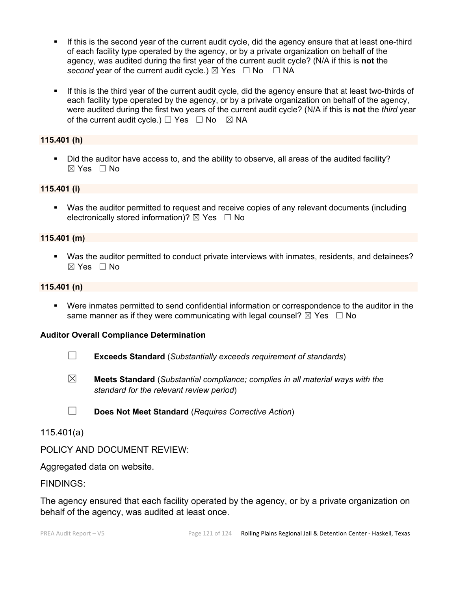- If this is the second year of the current audit cycle, did the agency ensure that at least one-third of each facility type operated by the agency, or by a private organization on behalf of the agency, was audited during the first year of the current audit cycle? (N/A if this is **not** the *second* year of the current audit cycle.)  $\boxtimes$  Yes  $\Box$  No  $\Box$  NA
- If this is the third year of the current audit cycle, did the agency ensure that at least two-thirds of each facility type operated by the agency, or by a private organization on behalf of the agency, were audited during the first two years of the current audit cycle? (N/A if this is **not** the *third* year of the current audit cycle.)  $\Box$  Yes  $\Box$  No  $\boxtimes$  NA

#### **115.401 (h)**

 Did the auditor have access to, and the ability to observe, all areas of the audited facility? ☒ Yes ☐ No

#### **115.401 (i)**

 Was the auditor permitted to request and receive copies of any relevant documents (including electronically stored information)?  $\boxtimes$  Yes  $\Box$  No

#### **115.401 (m)**

 Was the auditor permitted to conduct private interviews with inmates, residents, and detainees? ☒ Yes ☐ No

#### **115.401 (n)**

 Were inmates permitted to send confidential information or correspondence to the auditor in the same manner as if they were communicating with legal counsel?  $\boxtimes$  Yes  $\Box$  No

#### **Auditor Overall Compliance Determination**

- ☐ **Exceeds Standard** (*Substantially exceeds requirement of standards*)
- ☒ **Meets Standard** (*Substantial compliance; complies in all material ways with the standard for the relevant review period*)
- ☐ **Does Not Meet Standard** (*Requires Corrective Action*)

# 115.401(a)

POLICY AND DOCUMENT REVIEW:

Aggregated data on website.

#### FINDINGS:

The agency ensured that each facility operated by the agency, or by a private organization on behalf of the agency, was audited at least once.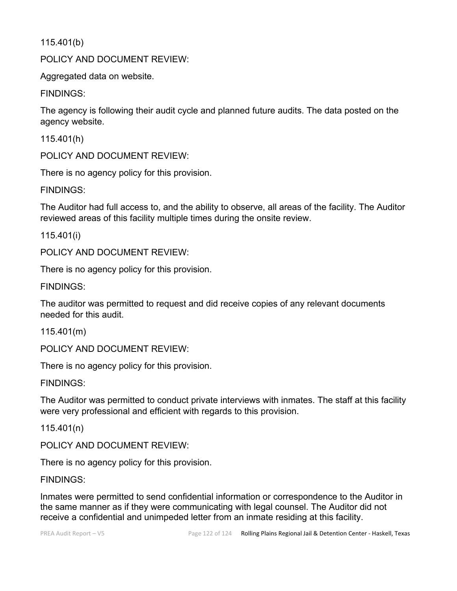115.401(b)

POLICY AND DOCUMENT REVIEW:

Aggregated data on website.

FINDINGS:

The agency is following their audit cycle and planned future audits. The data posted on the agency website.

115.401(h)

POLICY AND DOCUMENT REVIEW:

There is no agency policy for this provision.

FINDINGS:

The Auditor had full access to, and the ability to observe, all areas of the facility. The Auditor reviewed areas of this facility multiple times during the onsite review.

115.401(i)

POLICY AND DOCUMENT REVIEW:

There is no agency policy for this provision.

FINDINGS:

The auditor was permitted to request and did receive copies of any relevant documents needed for this audit.

115.401(m)

POLICY AND DOCUMENT REVIEW:

There is no agency policy for this provision.

FINDINGS:

The Auditor was permitted to conduct private interviews with inmates. The staff at this facility were very professional and efficient with regards to this provision.

115.401(n)

POLICY AND DOCUMENT REVIEW:

There is no agency policy for this provision.

FINDINGS:

Inmates were permitted to send confidential information or correspondence to the Auditor in the same manner as if they were communicating with legal counsel. The Auditor did not receive a confidential and unimpeded letter from an inmate residing at this facility.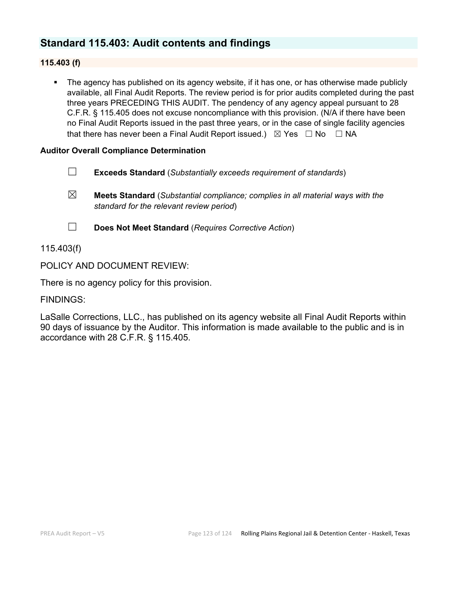# **Standard 115.403: Audit contents and findings**

# **115.403 (f)**

 The agency has published on its agency website, if it has one, or has otherwise made publicly available, all Final Audit Reports. The review period is for prior audits completed during the past three years PRECEDING THIS AUDIT. The pendency of any agency appeal pursuant to 28 C.F.R. § 115.405 does not excuse noncompliance with this provision. (N/A if there have been no Final Audit Reports issued in the past three years, or in the case of single facility agencies that there has never been a Final Audit Report issued.)  $\boxtimes$  Yes  $\Box$  No  $\Box$  NA

#### **Auditor Overall Compliance Determination**

- ☐ **Exceeds Standard** (*Substantially exceeds requirement of standards*)
- ☒ **Meets Standard** (*Substantial compliance; complies in all material ways with the standard for the relevant review period*)
- ☐ **Does Not Meet Standard** (*Requires Corrective Action*)

115.403(f)

POLICY AND DOCUMENT REVIEW:

There is no agency policy for this provision.

FINDINGS:

LaSalle Corrections, LLC., has published on its agency website all Final Audit Reports within 90 days of issuance by the Auditor. This information is made available to the public and is in accordance with 28 C.F.R. § 115.405.